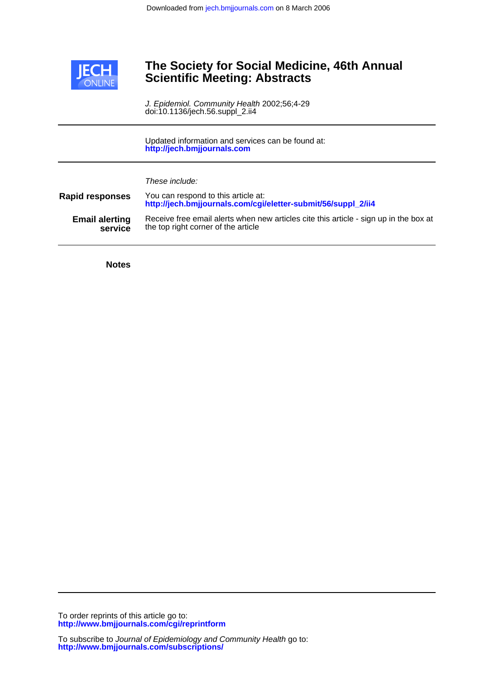

### **Scientific Meeting: Abstracts The Society for Social Medicine, 46th Annual**

doi:10.1136/jech.56.suppl\_2.ii4 J. Epidemiol. Community Health 2002;56;4-29

**<http://jech.bmjjournals.com>** Updated information and services can be found at:

### These include:

| <b>Rapid responses</b> | You can respond to this article at:<br>http://jech.bmjjournals.com/cgi/eletter-submit/56/suppl 2/ii4 |
|------------------------|------------------------------------------------------------------------------------------------------|
| <b>Email alerting</b>  | Receive free email alerts when new articles cite this article - sign up in the box at                |
| service                | the top right corner of the article                                                                  |

**Notes**

**<http://www.bmjjournals.com/cgi/reprintform>** To order reprints of this article go to: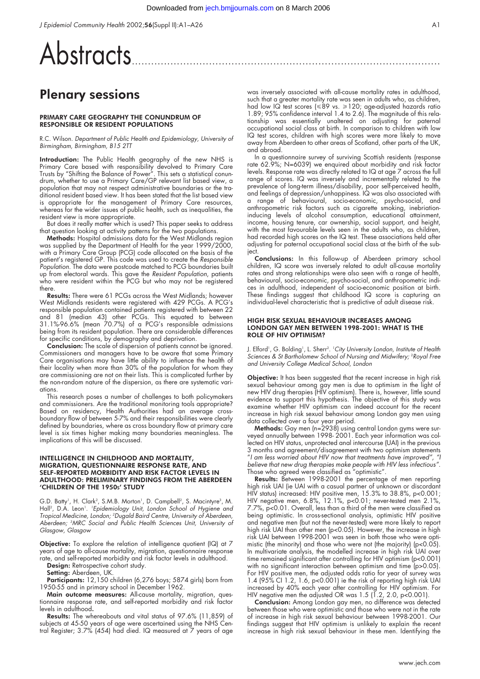# Abstracts................................................................................................

# Plenary sessions

### PRIMARY CARE GEOGRAPHY THE CONUNDRUM OF RESPONSIBLE OR RESIDENT POPULATIONS

R.C. Wilson. Department of Public Health and Epidemiology, University of Birmingham, Birmingham, B15 2TT

**Introduction:** The Public Health geography of the new NHS is Primary Care based with responsibility devolved to Primary Care Trusts by "Shifting the Balance of Power". This sets a statistical conundrum, whether to use a Primary Care/GP relevant list based view, a population that may not respect administrative boundaries or the traditional resident based view. It has been stated that the list based view is appropriate for the management of Primary Care resources, whereas for the wider issues of public health, such as inequalities, the resident view is more appropriate.

But does it really matter which is used? This paper seeks to address that question looking at activity patterns for the two populations.

**Methods:** Hospital admissions data for the West Midlands region was supplied by the Department of Health for the year 1999/2000, with a Primary Care Group (PCG) code allocated on the basis of the patient's registered GP. This code was used to create the Responsible Population. The data were postcode matched to PCG boundaries built up from electoral wards. This gave the Resident Population, patients who were resident within the PCG but who may not be registered there.

Results: There were 61 PCGs across the West Midlands; however West Midlands residents were registered with 429 PCGs. A PCG's responsible population contained patients registered with between 22 and 81 (median 43) other PCGs. This equated to between 31.1%-96.6% (mean 70.7%) of a PCG's responsible admissions being from its resident population. There are considerable differences for specific conditions, by demography and deprivation.

Conclusion: The scale of dispersion of patients cannot be ignored. Commissioners and managers have to be aware that some Primary Care organisations may have little ability to influence the health of their locality when more than 30% of the population for whom they are commissioning are not on their lists. This is complicated further by the non-random nature of the dispersion, as there are systematic variations.

This research poses a number of challenges to both policymakers and commissioners. Are the traditional monitoring tools appropriate? Based on residency, Health Authorities had an average crossboundary flow of between 5-7% and their responsibilities were clearly defined by boundaries, where as cross boundary flow at primary care level is six times higher making many boundaries meaningless. The implications of this will be discussed.

### INTELLIGENCE IN CHILDHOOD AND MORTALITY, MIGRATION, QUESTIONNAIRE RESPONSE RATE, AND SELF-REPORTED MORBIDITY AND RISK FACTOR LEVELS IN ADULTHOOD: PRELIMINARY FINDINGS FROM THE ABERDEEN 'CHILDREN OF THE 1950s' STUDY

G.D. Batty<sup>1</sup>, H. Clark<sup>2</sup>, S.M.B. Morton<sup>1</sup>, D. Campbell<sup>2</sup>, S. Macintyre<sup>3</sup>, M. Hall<sup>2</sup>, D.A. Leon<sup>1</sup>. 'Epidemiology Unit, London School of Hygiene and Tropical Medicine, London; <sup>2</sup> Dugald Baird Centre, University of Aberdeen, Aberdeen; <sup>3</sup> MRC Social and Public Health Sciences Unit, University of Glasgow, Glasgow

Objective: To explore the relation of intelligence quotient (IQ) at 7 years of age to all-cause mortality, migration, questionnaire response rate, and self-reported morbidity and risk factor levels in adulthood.

Design: Retrospective cohort study.

Setting: Aberdeen, UK.

Participants: 12,150 children (6,276 boys; 5874 girls) born from 1950-55 and in primary school in December 1962.

Main outcome measures: All-cause mortality, migration, questionnaire response rate, and self-reported morbidity and risk factor levels in adulthood.

Results: The whereabouts and vital status of 97.6% (11,859) of subjects at 45-50 years of age were ascertained using the NHS Central Register; 3.7% (454) had died. IQ measured at 7 years of age was inversely associated with all-cause mortality rates in adulthood, such that a greater mortality rate was seen in adults who, as children, had low IQ test scores (≤89 vs. ≥120; age-adjusted hazards ratio 1.89; 95% confidence interval 1.4 to 2.6). The magnitude of this relationship was essentially unaltered on adjusting for paternal occupational social class at birth. In comparison to children with low IQ test scores, children with high scores were more likely to move away from Aberdeen to other areas of Scotland, other parts of the UK, and abroad.

In a questionnaire survey of surviving Scottish residents (response rate 62.9%; N=6039) we enquired about morbidity and risk factor levels. Response rate was directly related to IQ at age 7 across the full range of scores. IQ was inversely and incrementally related to the prevalence of long-term illness/disability, poor self-perceived health, and feelings of depression/unhappiness. IQ was also associated with a range of behavioural, socio-economic, psycho-social, and anthropometric risk factors such as cigarette smoking, inebriationinducing levels of alcohol consumption, educational attainment, income, housing tenure, car ownership, social support, and height, with the most favourable levels seen in the adults who, as children, had recorded high scores on the IQ test. These associations held after adjusting for paternal occupational social class at the birth of the subject.

Conclusions: In this follow-up of Aberdeen primary school children, IQ score was inversely related to adult all-cause mortality rates and strong relationships were also seen with a range of health, behavioural, socio-economic, psycho-social, and anthropometric indices in adulthood, independent of socio-economic position at birth. These findings suggest that childhood IQ score is capturing an individual-level characteristic that is predictive of adult disease risk.

### HIGH RISK SEXUAL BEHAVIOUR INCREASES AMONG LONDON GAY MEN BETWEEN 1998-2001: WHAT IS THE ROLE OF HIV OPTIMISM?

J. Elford', G. Bolding', L. Sherr<sup>2</sup>. 'City University London, Institute of Health Sciences & St Bartholomew School of Nursing and Midwifery; <sup>2</sup>Royal Free and University College Medical School, London

Objective: It has been suggested that the recent increase in high risk sexual behaviour among gay men is due to optimism in the light of new HIV drug therapies (HIV optimism). There is, however, little sound evidence to support this hypothesis. The objective of this study was examine whether HIV optimism can indeed account for the recent increase in high risk sexual behaviour among London gay men using data collected over a four year period.

**Methods:** Gay men (n=2938) using central London gyms were surveyed annually between 1998- 2001. Each year information was collected on HIV status, unprotected anal intercourse (UAI) in the previous 3 months and agreement/disagreement with two optimism statements "<sup>I</sup> am less worried about HIV now that treatments have improved", "I believe that new drug therapies make people with HIV less infectious". Those who agreed were classified as "optimistic".

Results: Between 1998-2001 the percentage of men reporting high risk UAI (ie UAI with a casual partner of unknown or discordant HIV status) increased: HIV positive men, 15.3% to 38.8%, p<0.001; HIV negative men, 6.8%, 12.1%, p<0.01; never-tested men 2.1%, 7.7%, p<0.01. Overall, less than a third of the men were classified as being optimistic. In cross-sectional analysis, optimistic HIV positive and negative men (but not the never-tested) were more likely to report high risk UAI than other men (p<0.05). However, the increase in high risk UAI between 1998-2001 was seen in both those who were optimistic (the minority) and those who were not (the majority) (p<0.05). In multivariate analysis, the modelled increase in high risk UAI over time remained significant after controlling for HIV optimism (p<0.001) with no significant interaction between optimism and time (p>0.05). For HIV positive men, the adjusted odds ratio for year of survey was 1.4 (95% CI 1.2, 1.6, p<0.001) ie the risk of reporting high risk UAI increased by 40% each year after controlling for HIV optimism. For HIV negative men the adjusted OR was  $1.5$  (1.2, 2.0, p<0.001).

Conclusion: Among London gay men, no difference was detected between those who were optimistic and those who were not in the rate of increase in high risk sexual behaviour between 1998-2001. Our findings suggest that HIV optimism is unlikely to explain the recent increase in high risk sexual behaviour in these men. Identifying the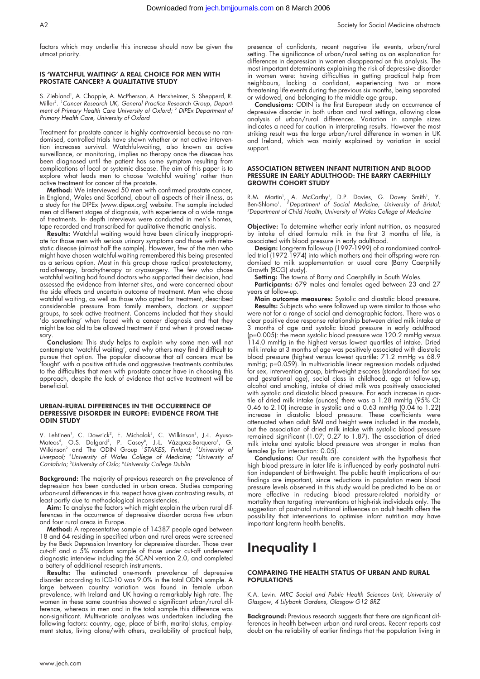factors which may underlie this increase should now be given the utmost priority.

### IS 'WATCHFUL WAITING' A REAL CHOICE FOR MEN WITH PROSTATE CANCER? A QUALITATIVE STUDY

S. Ziebland<sup>1</sup>, A. Chapple, A. McPherson, A. Herxheimer, S. Shepperd, R. Miller2 . 1 Cancer Research UK, General Practice Research Group, Department of Primary Health Care University of Oxford; <sup>2</sup> DIPEx Department of Primary Health Care, University of Oxford

Treatment for prostate cancer is highly controversial because no randomised, controlled trials have shown whether or not active intervention increases survival. Watchful-waiting, also known as active surveillance, or monitoring, implies no therapy once the disease has been diagnosed until the patient has some symptom resulting from complications of local or systemic disease. The aim of this paper is to explore what leads men to choose 'watchful waiting' rather than active treatment for cancer of the prostate.

Method: We interviewed 50 men with confirmed prostate cancer, in England, Wales and Scotland, about all aspects of their illness, as a study for the DIPEx (www.dipex.org) website. The sample included men at different stages of diagnosis, with experience of a wide range of treatments. In- depth interviews were conducted in men's homes, tape recorded and transcribed for qualitative thematic analysis.

**Results:** Watchful waiting would have been clinically inappropriate for those men with serious urinary symptoms and those with metastatic disease (almost half the sample). However, few of the men who might have chosen watchful-waiting remembered this being presented as a serious option. Most in this group chose radical prostatectomy, radiotherapy, brachytherapy or cryosurgery. The few who chose watchful waiting had found doctors who supported their decision, had assessed the evidence from Internet sites, and were concerned about the side effects and uncertain outcome of treatment. Men who chose watchful waiting, as well as those who opted for treatment, described considerable pressure from family members, doctors or support groups, to seek active treatment. Concerns included that they should 'do something' when faced with a cancer diagnosis and that they might be too old to be allowed treatment if and when it proved necessary.

Conclusion: This study helps to explain why some men will not contemplate 'watchful waiting', and why others may find it difficult to pursue that option. The popular discourse that all cancers must be 'fought' with a positive attitude and aggressive treatments contributes to the difficulties that men with prostate cancer have in choosing this approach, despite the lack of evidence that active treatment will be beneficial.

### URBAN-RURAL DIFFERENCES IN THE OCCURRENCE OF DEPRESSIVE DISORDER IN EUROPE: EVIDENCE FROM THE ODIN STUDY

V. Lehtinen<sup>1</sup>, C. Dowrick<sup>2</sup>, E. Michalak<sup>3</sup>, C. Wilkinson<sup>3</sup>, J.-L. Ayuso-Mateos<sup>4</sup>, O.S. Dalgard<sup>5</sup>, P. Casey<sup>6</sup>, J.-L. Vázquez-Barquero<sup>4</sup>, G. Wilkinson<sup>2</sup> and The ODIN Group 'STAKES, Finland; <sup>2</sup>University of Liverpool; <sup>3</sup> University of Wales College of Medicine; <sup>4</sup> University of Cantabria; <sup>s</sup>University of Oslo; <sup>6</sup>University College Dublin

Background: The majority of previous research on the prevalence of depression has been conducted in urban areas. Studies comparing urban-rural differences in this respect have given contrasting results, at least partly due to methodological inconsistencies.

Aim: To analyse the factors which might explain the urban rural differences in the occurrence of depressive disorder across five urban and four rural areas in Europe.

**Method:** A representative sample of 14387 people aged between 18 and 64 residing in specified urban and rural areas were screened by the Beck Depression Inventory for depressive disorder. Those over cut-off and a 5% random sample of those under cut-off underwent diagnostic interview including the SCAN version 2.0, and completed a battery of additional research instruments.

Results: The estimated one-month prevalence of depressive disorder according to ICD-10 was 9.0% in the total ODIN sample. A large between country variation was found in female urban prevalence, with Ireland and UK having a remarkably high rate. The women in these same countries showed a significant urban/rural difference, whereas in men and in the total sample this difference was non-significant. Multivariate analyses was undertaken including the following factors: country, age, place of birth, marital status, employment status, living alone/with others, availability of practical help,

presence of confidants, recent negative life events, urban/rural setting. The significance of urban/rural setting as an explanation for differences in depression in women disappeared on this analysis. The most important determinants explaining the risk of depressive disorder in women were: having difficulties in getting practical help from neighbours, lacking a confidant, experiencing two or more threatening life events during the previous six months, being separated or widowed, and belonging to the middle age group.

**Conclusions:** ODIN is the first European study on occurrence of depressive disorder in both urban and rural settings, allowing close analysis of urban/rural differences. Variation in sample sizes indicates a need for caution in interpreting results. However the most striking result was the large urban/rural difference in women in UK and Ireland, which was mainly explained by variation in social support.

### ASSOCIATION BETWEEN INFANT NUTRITION AND BLOOD PRESSURE IN EARLY ADULTHOOD: THE BARRY CAERPHILLY GROWTH COHORT STUDY

R.M. Martin<sup>1</sup>, A. McCarthy<sup>1</sup>, D.P. Davies, G. Davey Smith<sup>1</sup>, Y. Ben-Shlomo<sup>1</sup>. <sup>1</sup> Department of Social Medicine, University of Bristol;  $^{\rm 2}$ Department of Child Health, University of Wales College of Medicine

Objective: To determine whether early infant nutrition, as measured by intake of dried formula milk in the first 3 months of life, is associated with blood pressure in early adulthood.

Design: Long-term follow-up (1997-1999) of a randomised controlled trial (1972-1974) into which mothers and their offspring were randomised to milk supplementation or usual care (Barry Caerphilly Growth (BCG) study).

Setting: The towns of Barry and Caerphilly in South Wales.

Participants: 679 males and females aged between 23 and 27 years at follow-up.

Main outcome measures: Systolic and diastolic blood pressure. **Results:** Subjects who were followed up were similar to those who were not for a range of social and demographic factors. There was a clear positive dose response relationship between dried milk intake at 3 months of age and systolic blood pressure in early adulthood (p=0.005): the mean systolic blood pressure was 120.2 mmHg versus 114.0 mmHg in the highest versus lowest quartiles of intake. Dried milk intake at 3 months of age was positively associated with diastolic blood pressure (highest versus lowest quartile: 71.2 mmHg vs 68.9 mmHg; p=0.059). In multivariable linear regression models adjusted for sex, intervention group, birthweight z-scores (standardised for sex and gestational age), social class in childhood, age at follow-up, alcohol and smoking, intake of dried milk was positively associated with systolic and diastolic blood pressure. For each increase in quartile of dried milk intake (ounces) there was a 1.28 mmHg (95% CI: 0.46 to 2.10) increase in systolic and a 0.63 mmHg (0.04 to 1.22) increase in diastolic blood pressure. These coefficients were attenuated when adult BMI and height were included in the models, but the association of dried milk intake with systolic blood pressure remained significant (1.07; 0.27 to 1.87). The association of dried milk intake and systolic blood pressure was stronger in males than females (p for interaction: 0.05).

Conclusions: Our results are consistent with the hypothesis that high blood pressure in later life is influenced by early postnatal nutrition independent of birthweight. The public health implications of our findings are important, since reductions in population mean blood pressure levels observed in this study would be predicted to be as or more effective in reducing blood pressure-related morbidity or mortality than targeting interventions at high-risk individuals only. The suggestion of postnatal nutritional influences on adult health offers the possibility that interventions to optimise infant nutrition may have important long-term health benefits.

# Inequality I

### COMPARING THE HEALTH STATUS OF URBAN AND RURAL **POPULATIONS**

K.A. Levin. MRC Social and Public Health Sciences Unit, University of Glasgow, 4 Lilybank Gardens, Glasgow G12 8RZ

Background: Previous research suggests that there are significant differences in health between urban and rural areas. Recent reports cast doubt on the reliability of earlier findings that the population living in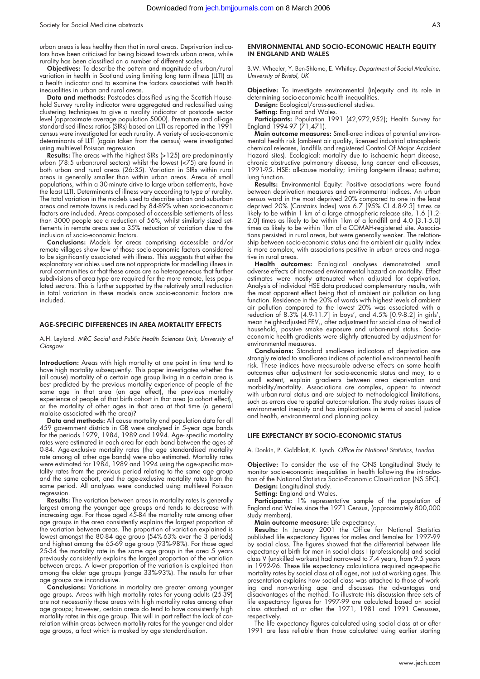urban areas is less healthy than that in rural areas. Deprivation indicators have been criticised for being biased towards urban areas, while rurality has been classified on a number of different scales.

Objectives: To describe the pattern and magnitude of urban/rural variation in health in Scotland using limiting long term illness (LLTI) as a health indicator and to examine the factors associated with health inequalities in urban and rural areas.

Data and methods: Postcodes classified using the Scottish Household Survey rurality indicator were aggregated and reclassified using clustering techniques to give a rurality indicator at postcode sector level (approximate average population 5000). Premature and all-age standardised illness ratios (SIRs) based on LLTI as reported in the 1991 census were investigated for each rurality. A variety of socio-economic determinants of LLTI (again taken from the census) were investigated using multilevel Poisson regression.

Results: The areas with the highest SIRs (>125) are predominantly urban (78:5 urban:rural sectors) whilst the lowest (<75) are found in both urban and rural areas (26:35). Variation in SIRs within rural areas is generally smaller than within urban areas. Areas of small populations, within a 30-minute drive to large urban settlements, have the least LLTI. Determinants of illness vary according to type of rurality. The total variation in the models used to describe urban and suburban areas and remote towns is reduced by 84-89% when socio-economic factors are included. Areas composed of accessible settlements of less than 3000 people see a reduction of 56%, whilst similarly sized settlements in remote areas see a 35% reduction of variation due to the inclusion of socio-economic factors.

Conclusions: Models for areas comprising accessible and/or remote villages show few of those socio-economic factors considered to be significantly associated with illness. This suggests that either the explanatory variables used are not appropriate for modelling illness in rural communities or that these areas are so heterogeneous that further subdivisions of area type are required for the more remote, less populated sectors. This is further supported by the relatively small reduction in total variation in these models once socio-economic factors are included.

### AGE-SPECIFIC DIFFERENCES IN AREA MORTALITY EFFECTS

A.H. Leyland. MRC Social and Public Health Sciences Unit, University of **Glasgow** 

Introduction: Areas with high mortality at one point in time tend to have high mortality subsequently. This paper investigates whether the (all cause) mortality of a certain age group living in a certain area is best predicted by the previous mortality experience of people of the same age in that area (an age effect), the previous mortality experience of people of that birth cohort in that area (a cohort effect), or the mortality of other ages in that area at that time (a general malaise associated with the area)?

Data and methods: All cause mortality and population data for all 459 government districts in GB were analysed in 5-year age bands for the periods 1979, 1984, 1989 and 1994. Age- specific mortality rates were estimated in each area for each band between the ages of 0-84. Age-exclusive mortality rates (the age standardised mortality rate among all other age bands) were also estimated. Mortality rates were estimated for 1984, 1989 and 1994 using the age-specific mortality rates from the previous period relating to the same age group and the same cohort, and the age-exclusive mortality rates from the same period. All analyses were conducted using multilevel Poisson regression.

Results: The variation between areas in mortality rates is generally largest among the younger age groups and tends to decrease with increasing age. For those aged 45-84 the mortality rate among other age groups in the area consistently explains the largest proportion of the variation between areas. The proportion of variation explained is lowest amongst the 80-84 age group (54%-63% over the 3 periods) and highest among the 65-69 age group (93%-98%). For those aged 25-34 the mortality rate in the same age group in the area 5 years previously consistently explains the largest proportion of the variation between areas. A lower proportion of the variation is explained than among the older age groups (range 33%-93%). The results for other age groups are inconclusive.

Conclusions: Variations in mortality are greater among younger age groups. Areas with high mortality rates for young adults (25-39) are not necessarily those areas with high mortality rates among other age groups; however, certain areas do tend to have consistently high mortality rates in this age group. This will in part reflect the lack of correlation within areas between mortality rates for the younger and older age groups, a fact which is masked by age standardisation.

### ENVIRONMENTAL AND SOCIO-ECONOMIC HEALTH EQUITY IN ENGLAND AND WALES

B.W. Wheeler, Y. Ben-Shlomo, E. Whitley. Department of Social Medicine, University of Bristol, UK

Objective: To investigate environmental (in)equity and its role in determining socio-economic health inequalities.

Design: Ecological/cross-sectional studies.

Setting: England and Wales.

Participants: Population 1991 (42,972,952); Health Survey for England 1994-97 (71,471).

Main outcome measures: Small-area indices of potential environmental health risk (ambient air quality, licensed industrial atmospheric chemical releases, landfills and registered Control Of Major Accident Hazard sites). Ecological: mortality due to ischaemic heart disease, chronic obstructive pulmonary disease, lung cancer and all-causes, 1991-95. HSE: all-cause mortality; limiting long-term illness; asthma; lung function.

Results: Environmental Equity: Positive associations were found between deprivation measures and environmental indices. An urban census ward in the most deprived 20% compared to one in the least deprived 20% (Carstairs Index) was 6.7 [95% CI 4.8-9.3] times as likely to be within 1 km of a large atmospheric release site, 1.6 [1.2- 2.0] times as likely to be within 1km of a landfill and 4.0 [3.1-5.0] times as likely to be within 1km of a COMAH-registered site. Associations persisted in rural areas, but were generally weaker. The relationship between socio-economic status and the ambient air quality index is more complex, with associations positive in urban areas and negative in rural areas.

Health outcomes: Ecological analyses demonstrated small adverse effects of increased environmental hazard on mortality. Effect estimates were mostly attenuated when adjusted for deprivation. Analysis of individual HSE data produced complementary results, with the most apparent effect being that of ambient air pollution on lung function. Residence in the 20% of wards with highest levels of ambient air pollution compared to the lowest 20% was associated with a reduction of 8.3% [4.9-11.7] in boys', and 4.5% [0.9-8.2] in girls', mean height-adjusted FEV<sub>1</sub>, after adjustment for social class of head of household, passive smoke exposure and urban-rural status. Socioeconomic health gradients were slightly attenuated by adjustment for environmental measures.

Conclusions: Standard small-area indicators of deprivation are strongly related to small-area indices of potential environmental health risk. These indices have measurable adverse effects on some health outcomes after adjustment for socio-economic status and may, to a small extent, explain gradients between area deprivation and morbidity/mortality. Associations are complex, appear to interact with urban-rural status and are subject to methodological limitations, such as errors due to spatial autocorrelation. The study raises issues of environmental inequity and has implications in terms of social justice and health, environmental and planning policy.

### LIFE EXPECTANCY BY SOCIO-ECONOMIC STATUS

A. Donkin, P. Goldblatt, K. Lynch. Office for National Statistics, London

Objective: To consider the use of the ONS Longitudinal Study to monitor socio-economic inequalities in health following the introduction of the National Statistics Socio-Economic Classification (NS SEC).

Design: Longitudinal study. Setting: England and Wales.

Participants: 1% representative sample of the population of England and Wales since the 1971 Census, (approximately 800,000 study members).

Main outcome measure: Life expectancy.

Results: In January 2001 the Office for National Statistics published life expectancy figures for males and females for 1997-99 by social class. The figures showed that the differential between life expectancy at birth for men in social class I (professionals) and social class V (unskilled workers) had narrowed to  $\ddot{7}$ .4 years, from 9.5 years in 1992-96. These life expectancy calculations required age-specific mortality rates by social class at all ages, not just at working ages. This presentation explains how social class was attached to those of working and non-working age and discusses the advantages and disadvantages of the method. To illustrate this discussion three sets of life expectancy figures for 1997-99 are calculated based on social class attached at or after the 1971, 1981 and 1991 Censuses, respectively.

The life expectancy figures calculated using social class at or after 1991 are less reliable than those calculated using earlier starting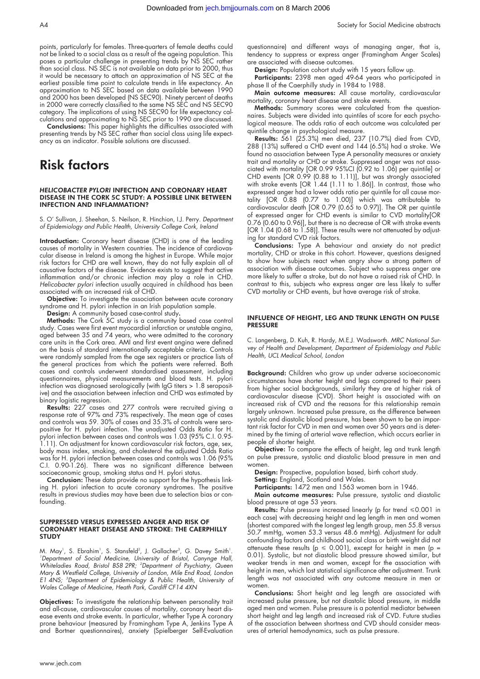points, particularly for females. Three-quarters of female deaths could not be linked to a social class as a result of the ageing population. This poses a particular challenge in presenting trends by NS SEC rather than social class. NS SEC is not available on data prior to 2000, thus it would be necessary to attach an approximation of NS SEC at the earliest possible time point to calculate trends in life expectancy. An approximation to NS SEC based on data available between 1990 and 2000 has been developed (NS SEC90). Ninety percent of deaths in 2000 were correctly classified to the same NS SEC and NS SEC90 category. The implications of using NS SEC90 for life expectancy calculations and approximating to NS SEC prior to 1990 are discussed.

Conclusions: This paper highlights the difficulties associated with presenting trends by NS SEC rather than social class using life expectancy as an indicator. Possible solutions are discussed.

# Risk factors

### *HELICOBACTER PYLORI* INFECTION AND CORONARY HEART DISEASE IN THE CORK 5C STUDY: A POSSIBLE LINK BETWEEN INFECTION AND INFLAMMATION?

S. O' Sullivan, J. Sheehan, S. Neilson, R. Hinchion, I.J. Perry. Department of Epidemiology and Public Health, University College Cork, Ireland

Introduction: Coronary heart disease (CHD) is one of the leading causes of mortality in Western countries. The incidence of cardiovascular disease in Ireland is among the highest in Europe. While major risk factors for CHD are well known, they do not fully explain all of causative factors of the disease. Evidence exists to suggest that active inflammation and/or chronic infection may play a role in CHD. Helicobacter pylori infection usually acquired in childhood has been associated with an increased risk of CHD.

**Objective:** To investigate the association between acute coronary syndrome and H. pylori infection in an Irish population sample.

**Design:** A community based case-control study**.** 

**Methods:** The Cork 5C study is a community based case control study. Cases were first event myocardial infarction or unstable angina, aged between 35 and 74 years, who were admitted to the coronary care units in the Cork area. AMI and first event angina were defined on the basis of standard internationally acceptable criteria. Controls were randomly sampled from the age sex registers or practice lists of the general practices from which the patients were referred. Both cases and controls underwent standardised assessment, including questionnaires, physical measurements and blood tests. H. pylori infection was diagnosed serologically (with IgG titers > 1.8 seropositive) and the association between infection and CHD was estimated by binary logistic regression.

**Results:** 227 cases and 277 controls were recruited giving a response rate of 97% and 73% respectively. The mean age of cases and controls was 59. 30% of cases and 35.3% of controls were seropositive for H. pylori infection. The unadjusted Odds Ratio for H. pylori infection between cases and controls was 1.03 (95% C.I. 0.95- 1.11). On adjustment for known cardiovascular risk factors, age, sex, body mass index, smoking, and cholesterol the adjusted Odds Ratio was for H. pylori infection between cases and controls was 1.06 (95% C.I. 0.90-1.26). There was no significant difference between socioeconomic group, smoking status and H. pylori status.

Conclusion: These data provide no support for the hypothesis linking H. pylori infection to acute coronary syndromes. The positive results in previous studies may have been due to selection bias or confounding.

### SUPPRESSED VERSUS EXPRESSED ANGER AND RISK OF CORONARY HEART DISEASE AND STROKE: THE CAERPHILLY **STUDY**

M. May<sup>1</sup>, S. Ebrahim<sup>1</sup>, S. Stansfeld<sup>2</sup>, J. Gallacher<sup>3</sup>, G. Davey Smith<sup>1</sup>. 1 Department of Social Medicine, University of Bristol, Canynge Hall, Whiteladies Road, Bristol BS8 2PR; <sup>2</sup>Department of Psychiatry, Queen Mary & Westfield College, University of London, Mile End Road, London E1 4NS; <sup>3</sup> Department of Epidemiology & Public Health, University of Wales College of Medicine, Heath Park, Cardiff CF14 4XN

Objectives: To investigate the relationship between personality trait and all-cause, cardiovascular causes of mortality, coronary heart disease events and stroke events. In particular, whether Type A coronary prone behaviour (measured by Framingham Type A, Jenkins Type A and Bortner questionnaires), anxiety (Spielberger Self-Evaluation

questionnaire) and different ways of managing anger, that is, tendency to suppress or express anger (Framingham Anger Scales) are associated with disease outcomes.

Design: Population cohort study with 15 years follow up.

Participants: 2398 men aged 49-64 years who participated in phase II of the Caerphilly study in 1984 to 1988.

Main outcome measures: All cause mortality, cardiovascular mortality, coronary heart disease and stroke events.

Methods: Summary scores were calculated from the questionnaires. Subjects were divided into quintiles of score for each psychological measure. The odds ratio of each outcome was calculated per quintile change in psychological measure.

Results: 561 (25.3%) men died, 237 (10.7%) died from CVD, 288 (13%) suffered a CHD event and 144 (6.5%) had a stroke. We found no association between Type A personality measures or anxiety trait and mortality or CHD or stroke. Suppressed anger was not associated with mortality [OR 0.99 95%CI (0.92 to 1.06) per quintile] or CHD events [OR 0.99 (0.88 to 1.11)], but was strongly associated with stroke events [OR 1.44 (1.11 to 1.86)]. In contrast, those who expressed anger had a lower odds ratio per quintile for all cause mortality [OR 0.88 (0.77 to 1.00)] which was attributable to cardiovascular death [OR 0.79 (0.65 to 0.97)]. The OR per quintile of expressed anger for CHD events is similar to CVD mortality[OR 0.76 (0.60 to 0.96)], but there is no decrease of OR with stroke events [OR 1.04 (0.68 to 1.58)]. These results were not attenuated by adjusting for standard CVD risk factors.

Conclusions: Type A behaviour and anxiety do not predict mortality, CHD or stroke in this cohort. However, questions designed to show how subjects react when angry show a strong pattern of association with disease outcomes. Subject who suppress anger are more likely to suffer a stroke, but do not have a raised risk of CHD. In contrast to this, subjects who express anger are less likely to suffer CVD mortality or CHD events, but have average risk of stroke.

### INFLUENCE OF HEIGHT, LEG AND TRUNK LENGTH ON PULSE PRESSURE

C. Langenberg, D. Kuh, R. Hardy, M.E.J. Wadsworth. MRC National Survey of Health and Development, Department of Epidemiology and Public Health, UCL Medical School, London

Background: Children who grow up under adverse socioeconomic circumstances have shorter height and legs compared to their peers from higher social backgrounds, similarly they are at higher risk of cardiovascular disease (CVD). Short height is associated with an increased risk of CVD and the reasons for this relationship remain largely unknown. Increased pulse pressure, as the difference between systolic and diastolic blood pressure, has been shown to be an important risk factor for CVD in men and women over 50 years and is determined by the timing of arterial wave reflection, which occurs earlier in people of shorter height.

Objective: To compare the effects of height, leg and trunk length on pulse pressure, systolic and diastolic blood pressure in men and women.

Design: Prospective, population based, birth cohort study.

Setting: England, Scotland and Wales.

Participants: 1472 men and 1563 women born in 1946.

Main outcome measures: Pulse pressure, systolic and diastolic blood pressure at age 53 years.

Results: Pulse pressure increased linearly (p for trend <0.001 in each case) with decreasing height and leg length in men and women (shortest compared with the longest leg length group, men 55.8 versus 50.7 mmHg, women 53.3 versus 48.6 mmHg). Adjustment for adult confounding factors and childhood social class or birth weight did not attenuate these results ( $p \le 0.001$ ), except for height in men ( $p =$ 0.01). Systolic, but not diastolic blood pressure showed similar, but weaker trends in men and women, except for the association with height in men, which lost statistical significance after adjustment. Trunk length was not associated with any outcome measure in men or women.

Conclusions: Short height and leg length are associated with increased pulse pressure, but not diastolic blood pressure, in middle aged men and women. Pulse pressure is a potential mediator between short height and leg length and increased risk of CVD. Future studies of the association between shortness and CVD should consider measures of arterial hemodynamics, such as pulse pressure.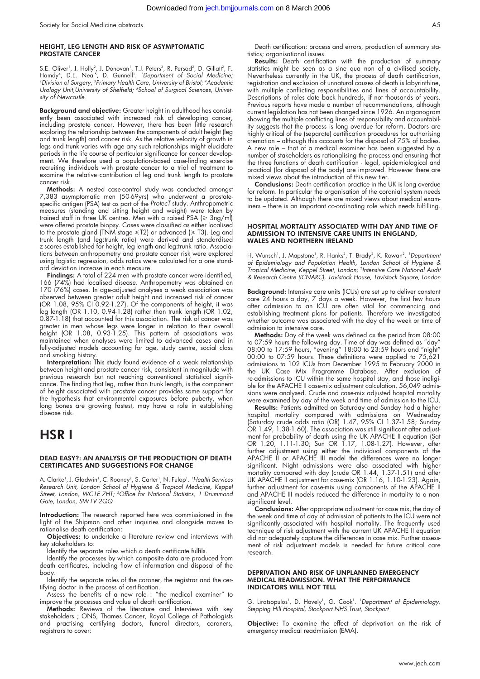### HEIGHT, LEG LENGTH AND RISK OF ASYMPTOMATIC PROSTATE CANCER

S.E. Oliver<sup>1</sup>, J. Holly<sup>2</sup>, J. Donovan<sup>1</sup>, T.J. Peters<sup>3</sup>, R. Persad<sup>2</sup>, D. Gillatt<sup>2</sup>, F. Hamdy<sup>4</sup>, D.E. Neal<sup>5</sup>, D. Gunnell<sup>1</sup>. 'Department of Social Medicine; <sup>2</sup>Division of Surgery; <sup>3</sup>Primary Health Care, University of Bristol; <sup>4</sup>Academic Urology Unit,University of Sheffield; <sup>s</sup>School of Surgical Sciences, University of Newcastle

Background and objective: Greater height in adulthood has consistently been associated with increased risk of developing cancer, including prostate cancer. However, there has been little research exploring the relationship between the components of adult height (leg and trunk length) and cancer risk. As the relative velocity of growth in legs and trunk varies with age any such relationships might elucidate periods in the life course of particular significance for cancer development. We therefore used a population-based case-finding exercise recruiting individuals with prostate cancer to a trial of treatment to examine the relative contribution of leg and trunk length to prostate cancer risk.

Methods: A nested case-control study was conducted amongst 7,383 asymptomatic men (50-69yrs) who underwent a prostatespecific antigen (PSA) test as part of the ProtecT study. Anthropometric measures (standing and sitting height and weight) were taken by trained staff in three UK centres. Men with a raised PSA (≥ 3ng/ml) were offered prostate biopsy. Cases were classified as either localised to the prostate gland (TNM stage  $\le$ T2) or advanced ( $\ge$  T3). Leg and trunk length (and leg:trunk ratio) were derived and standardised z-scores established for height, leg-length and leg:trunk ratio. Associations between anthropometry and prostate cancer risk were explored using logistic regression, odds ratios were calculated for a one standard deviation increase in each measure.

Findings: A total of 224 men with prostate cancer were identified, 166 (74%) had localised disease. Anthropometry was obtained on 170 (76%) cases. In age-adjusted analyses a weak association was observed between greater adult height and increased risk of cancer (OR 1.08, 95% CI 0.92-1.27). Of the components of height, it was leg length (OR 1.10, 0.94-1.28) rather than trunk length (OR 1.02, 0.87-1.18) that accounted for this association. The risk of cancer was greater in men whose legs were longer in relation to their overall height (OR 1.08, 0.93-1.25). This pattern of associations was maintained when analyses were limited to advanced cases and in fully-adjusted models accounting for age, study centre, social class and smoking history.

Interpretation: This study found evidence of a weak relationship between height and prostate cancer risk, consistent in magnitude with previous research but not reaching conventional statistical significance. The finding that leg, rather than trunk length, is the component of height associated with prostate cancer provides some support for the hypothesis that environmental exposures before puberty, when long bones are growing fastest, may have a role in establishing disease risk.

### HSR I

### DEAD EASY?: AN ANALYSIS OF THE PRODUCTION OF DEATH CERTIFICATES AND SUGGESTIONS FOR CHANGE

A. Clarke', J. Gladwin', C. Rooney<sup>2</sup>, S. Carter', N. Fulop'. *'Health Services* Research Unit, London School of Hygiene & Tropical Medicine, Keppel Street, London, WC1E 7HT; <sup>2</sup>Office for National Statistcs, 1 Drummond Gate, London, SW1V 2QQ

Introduction: The research reported here was commissioned in the light of the Shipman and other inquiries and alongside moves to rationalise death certification:

Objectives: to undertake a literature review and interviews with key stakeholders to:

Identify the separate roles which a death certificate fulfils.

Identify the processes by which composite data are produced from death certificates, including flow of information and disposal of the body.

Identify the separate roles of the coroner, the registrar and the certifying doctor in the process of certification.

Assess the benefits of a new role : "the medical examiner" to improve the processes and value of death certification.

Methods: Reviews of the literature and Interviews with key stakeholders ; ONS, Thames Cancer, Royal College of Pathologists and practising certifying doctors, funeral directors, coroners, registrars to cover:

Death certification; process and errors, production of summary statistics; organisational issues.

Results: Death certification with the production of summary statistics might be seen as a sine qua non of a civilised society. Nevertheless currently in the UK, the process of death certification, registration and exclusion of unnatural causes of death is labyrinthine, with multiple conflicting responsibilities and lines of accountability. Descriptions of roles date back hundreds, if not thousands of years. Previous reports have made a number of recommendations, although current legislation has not been changed since 1926. An organogram showing the multiple conflicting lines of responsibility and accountability suggests that the process is long overdue for reform. Doctors are highly critical of the (separate) certification procedures for authorising cremation – although this accounts for the disposal of 75% of bodies. A new role – that of a medical examiner has been suggested by a number of stakeholders as rationalising the process and ensuring that the three functions of death certification - legal, epidemiological and practical (for disposal of the body) are improved. However there are mixed views about the introduction of this new tier.

Conclusions: Death certification practice in the UK is long overdue for reform. In particular the organisation of the coronial system needs to be updated. Although there are mixed views about medical examiners – there is an important co-ordinating role which needs fulfilling.

### HOSPITAL MORTALITY ASSOCIATED WITH DAY AND TIME OF ADMISSION TO INTENSIVE CARE UNITS IN ENGLAND, WALES AND NORTHERN IRELAND

H. Wunsch<sup>1</sup>, J. Mapstone<sup>1</sup>, R. Hanks<sup>2</sup>, T. Brady<sup>2</sup>, K. Rowan<sup>2</sup>. *'Department* of Epidemiology and Population Health, London School of Hygiene & Tropical Medicine, Keppel Street, London; <sup>2</sup> Intensive Care National Audit & Research Centre (ICNARC), Tavistock House, Tavistock Square, London

Background: Intensive care units (ICUs) are set up to deliver constant care 24 hours a day, 7 days a week. However, the first few hours after admission to an ICU are often vital for commencing and establishing treatment plans for patients. Therefore we investigated whether outcome was associated with the day of the week or time of admission to intensive care.

Methods: Day of the week was defined as the period from 08:00 to 07:59 hours the following day. Time of day was defined as "day" 08:00 to 17:59 hours, "evening" 18:00 to 23:59 hours and "night" 00:00 to 07:59 hours. These definitions were applied to 75,621 admissions to 102 ICUs from December 1995 to February 2000 in the UK Case Mix Programme Database. After exclusion of re-admissions to ICU within the same hospital stay, and those ineligible for the APACHE II case-mix adjustment calculation, 56,049 admissions were analysed. Crude and case-mix adjusted hospital mortality were examined by day of the week and time of admission to the ICU.

Results: Patients admitted on Saturday and Sunday had a higher hospital mortality compared with admissions on Wednesday (Saturday crude odds ratio (OR) 1.47, 95% CI 1.37-1.58; Sunday OR 1.49, 1.38-1.60). The association was still significant after adjustment for probability of death using the UK APACHE II equation (Sat OR 1.20, 1.11-1.30; Sun OR 1.17, 1.08-1.27). However, after further adjustment using either the individual components of the APACHE II or APACHE III model the differences were no longer significant. Night admissions were also associated with higher mortality compared with day (crude OR 1.44, 1.37-1.51) and after UK APACHE II adjustment for case-mix (OR 1.16, 1.10-1.23). Again, further adjustment for case-mix using components of the APACHE II and APACHE III models reduced the difference in mortality to a nonsignificant level.

Conclusions: After appropriate adjustment for case mix, the day of the week and time of day of admission of patients to the ICU were not significantly associated with hospital mortality. The frequently used technique of risk adjustment with the current UK APACHE II equation did not adequately capture the differences in case mix. Further assessment of risk adjustment models is needed for future critical care research.

### DEPRIVATION AND RISK OF UNPLANNED EMERGENCY MEDICAL READMISSION. WHAT THE PERFORMANCE INDICATORS WILL NOT TELL

G. Liratsopulos<sup>1</sup>, D. Havely<sup>1</sup>, G. Cook<sup>1</sup>. *'Department of Epidemiology,* Stepping Hill Hospital, Stockport NHS Trust, Stockport

Objective: To examine the effect of deprivation on the risk of emergency medical readmission (EMA).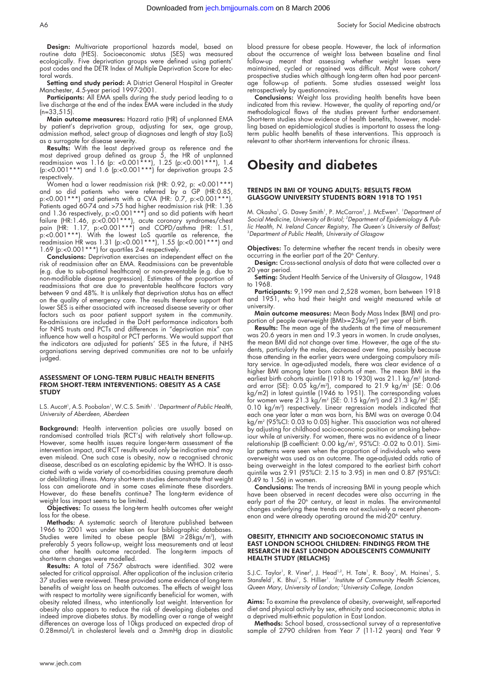Design: Multivariate proportional hazards model, based on routine data (HES). Socioeconomic status (SES) was measured ecologically. Five deprivation groups were defined using patients' post codes and the DETR Index of Multiple Deprivation Score for electoral wards.

Setting and study period: A District General Hospital in Greater Manchester, 4.5-year period 1997-2001.

**Participants:** All EMA spells during the study period leading to a live discharge at the end of the index EMA were included in the study  $(n=33,515)$ .

Main outcome measures: Hazard ratio (HR) of unplanned EMA by patient's deprivation group, adjusting for sex, age group, admission method, select group of diagnoses and length of stay (LoS) as a surrogate for disease severity.

Results: With the least deprived group as reference and the most deprived group defined as group 5, the HR of unplanned readmission was 1.16 (p: <0.001\*\*\*), 1.25 (p:<0.001\*\*\*), 1.4 (p:<0.001\*\*\*) and 1.6 (p:<0.001\*\*\*) for deprivation groups 2-5 respectively.

Women had a lower readmission risk (HR: 0.92, p: <0.001\*\*\*) and so did patients who were referred by a GP (HR:0.85, p:<0.001\*\*\*) and patients with a CVA (HR: 0.7, p:<0.001\*\*\*). Patients aged 60-74 and >75 had higher readmission risk (HR: 1.36 and 1.36 respectively, p:<0.001\*\*\*) and so did patients with heart failure (HR:1.46, p:<0.001\*\*\*), acute coronary syndromes/chest pain (HR: 1.17, p:<0.001\*\*\*) and COPD/asthma (HR: 1.51, p:<0.001\*\*\*). With the lowest LoS quartile as reference, the readmission HR was 1.31 (p:<0.001\*\*\*), 1.55 (p:<0.001\*\*\*) and 1.69 (p:<0.001\*\*\*) for quartiles 2-4 respectively.

Conclusions: Deprivation exercises an independent effect on the risk of readmission after an EMA. Readmissions can be preventable (e.g. due to sub-optimal healthcare) or non-preventable (e.g. due to non-modifiable disease progression). Estimates of the proportion of readmissions that are due to preventable healthcare factors vary between 9 and 48%. It is unlikely that deprivation status has an effect on the quality of emergency care. The results therefore support that lower SES is either associated with increased disease severity or other factors such as poor patient support system in the community. Re-admissions are included in the DoH performance indicators both for NHS trusts and PCTs and differences in "deprivation mix" can influence how well a hospital or PCT performs. We would support that the indicators are adjusted for patients' SES in the future, if NHS organisations serving deprived communities are not to be unfairly judged.

### ASSESSMENT OF LONG-TERM PUBLIC HEALTH BENEFITS FROM SHORT-TERM INTERVENTIONS: OBESITY AS A CASE **STUDY**

L.S. Aucott<sup>1</sup>, A.S. Poobalan<sup>1</sup>, W.C.S. Smith<sup>1</sup> . *'Department of Public Health,* University of Aberdeen, Aberdeen

Background: Health intervention policies are usually based on randomised controlled trials (RCT's) with relatively short follow-up. However, some health issues require longer-term assessment of the intervention impact, and RCT results would only be indicative and may even mislead. One such case is obesity, now a recognised chronic disease, described as an escalating epidemic by the WHO. It is associated with a wide variety of co-morbidities causing premature death or debilitating illness. Many short-term studies demonstrate that weight loss can ameliorate and in some cases eliminate these disorders. However, do these benefits continue? The long-term evidence of weight loss impact seems to be limited.

Objectives: To assess the long-term health outcomes after weight loss for the obese.

Methods: A systematic search of literature published between 1966 to 2001 was under taken on four bibliographic databases. Studies were limited to obese people (BMI ≥28kgs/m²), with preferably 5 years follow-up, weight loss measurements and at least one other health outcome recorded. The long-term impacts of short-term changes were modelled.

**Results:** A total of 7567 abstracts were identified. 302 were selected for critical appraisal. After application of the inclusion criteria 37 studies were reviewed. These provided some evidence of long-term benefits of weight loss on health outcomes. The effects of weight loss with respect to mortality were significantly beneficial for women, with obesity related illness, who intentionally lost weight. Intervention for obesity also appears to reduce the risk of developing diabetes and indeed improve diabetes status. By modelling over a range of weight differences an average loss of 10kgs produced an expected drop of 0.28mmol/L in cholesterol levels and a 3mmHg drop in diastolic

blood pressure for obese people. However, the lack of information about the occurrence of weight loss between baseline and final follow-up meant that assessing whether weight losses were maintained, cycled or regained was difficult. Most were cohort/ prospective studies which although long-term often had poor percentage follow-up of patients. Some studies assessed weight loss retrospectively by questionnaires.

Conclusions: Weight loss providing health benefits have been indicated from this review. However, the quality of reporting and/or methodological flaws of the studies prevent further endorsement. Short-term studies show evidence of health benefits, however, modelling based on epidemiological studies is important to assess the longterm public health benefits of these interventions. This approach is relevant to other short-term interventions for chronic illness.

### Obesity and diabetes

### TRENDS IN BMI OF YOUNG ADULTS: RESULTS FROM GLASGOW UNIVERSITY STUDENTS BORN 1918 TO 1951

M. Okasha<sup>1</sup>, G. Davey Smith<sup>1</sup>, P. McCarron<sup>2</sup>, J. McEwen<sup>3</sup>. *'Department of* Social Medicine, University of Bristol; <sup>2</sup>Department of Epidemiology & Public Health, N. Ireland Cancer Registry, The Queen's University of Belfast; <sup>3</sup>Department of Public Health, University of Glasgow

Objectives: To determine whether the recent trends in obesity were occurring in the earlier part of the 20<sup>th</sup> Century.

Design: Cross-sectional analysis of data that were collected over a 20 year period.

Setting: Student Health Service of the University of Glasgow, 1948 to 1968.

Participants: 9,199 men and 2,528 women, born between 1918 and 1951, who had their height and weight measured while at university.

Main outcome measures: Mean Body Mass Index (BMI) and proportion of people overweight (BMI>=25kg/m2 ) per year of birth.

Results: The mean age of the students at the time of measurement was 20.6 years in men and 19.3 years in women. In crude analyses, the mean BMI did not change over time. However, the age of the students, particularly the males, decreased over time, possibly because those attending in the earlier years were undergoing compulsory military service. In age-adjusted models, there was clear evidence of a higher BMI among later born cohorts of men. The mean BMI in the earliest birth cohorts quintile (1918 to 1930) was 21.1 kg/m<sup>2</sup> (standard error (SE): 0.05 kg/m<sup>2</sup>), compared to 21.9 kg/m<sup>2</sup> (SE: 0.06 kg/m2) in latest quintile (1946 to 1951). The corresponding values for women were 21.3 kg/m2 (SE: 0.15 kg/m2 ) and 21.3 kg/m2 (SE: 0.10 kg/m2 ) respectively. Linear regression models indicated that each one year later a man was born, his BMI was on average 0.04 kg/m2 (95%CI: 0.03 to 0.05) higher. This association was not altered by adjusting for childhood socio-economic position or smoking behaviour while at university. For women, there was no evidence of a linear relationship (β coefficient: 0.00 kg/m2 , 95%CI: -0.02 to 0.01). Similar patterns were seen when the proportion of individuals who were overweight was used as an outcome. The age-adjusted odds ratio of being overweight in the latest compared to the earliest birth cohort quintile was 2.91 (95%CI: 2.15 to 3.95) in men and 0.87 (95%CI: 0.49 to 1.56) in women.

Conclusions: The trends of increasing BMI in young people which have been observed in recent decades were also occurring in the early part of the 20<sup>th</sup> century, at least in males. The environmental changes underlying these trends are not exclusively a recent phenomenon and were already operating around the mid-20<sup>th</sup> century.

### OBESITY, ETHNICITY AND SOCIOECONOMIC STATUS IN EAST LONDON SCHOOL CHILDREN: FINDINGS FROM THE RESEARCH IN EAST LONDON ADOLESCENTS COMMUNITY HEALTH STUDY (RELACHS)

S.J.C. Taylor<sup>1</sup>, R. Viner<sup>2</sup>, J. Head<sup>1,2</sup>, H. Tate<sup>1</sup>, R. Booy<sup>1</sup>, M. Haines<sup>1</sup>, S. Stansfeld<sup>1</sup>, K. Bhui<sup>1</sup>, S. Hillier<sup>1</sup>. *'Institute of Community Health Sciences*, Queen Mary, University of London; <sup>2</sup> University College, London

Aims: To examine the prevalence of obesity, overweight, self-reported diet and physical activity by sex, ethnicity and socioeconomic status in a deprived multi-ethnic population in East London.

Methods: School based, cross-sectional survey of a representative sample of 2790 children from Year 7 (11-12 years) and Year 9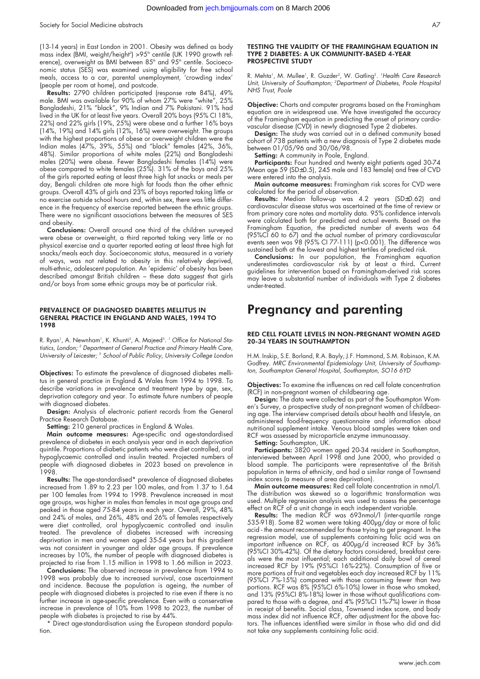(13-14 years) in East London in 2001. Obesity was defined as body mass index (BMI, weight/height<sup>2</sup>) >95<sup>th</sup> centile (UK 1990 growth reference), overweight as BMI between 85<sup>th</sup> and 95<sup>th</sup> centile. Socioeconomic status (SES) was examined using eligibility for free school meals, access to a car, parental unemployment, 'crowding index' (people per room at home), and postcode.

Results: 2790 children participated (response rate 84%), 49% male. BMI was available for 90% of whom 27% were "white", 25% Bangladeshi, 21% "black", 9% Indian and 7% Pakistani. 91% had lived in the UK for at least five years. Overall 20% boys (95% CI 18%, 22%) and 22% girls (19%, 25%) were obese and a further 16% boys (14%, 19%) and 14% girls (12%, 16%) were overweight. The groups with the highest proportions of obese or overweight children were the Indian males (47%, 39%, 55%) and "black" females (42%, 36%, 48%). Similar proportions of white males (22%) and Bangladeshi males (20%) were obese. Fewer Bangladeshi females (14%) were obese compared to white females (25%). 31% of the boys and 25% of the girls reported eating at least three high fat snacks or meals per day, Bengali children ate more high fat foods than the other ethnic groups. Overall 43% of girls and 23% of boys reported taking little or no exercise outside school hours and, within sex, there was little difference in the frequency of exercise reported between the ethnic groups. There were no significant associations between the measures of SES and obesity.

Conclusions: Overall around one third of the children surveyed were obese or overweight, a third reported taking very little or no physical exercise and a quarter reported eating at least three high fat snacks/meals each day. Socioeconomic status, measured in a variety of ways, was not related to obesity in this relatively deprived, multi-ethnic, adolescent population. An 'epidemic' of obesity has been described amongst British children – these data suggest that girls and/or boys from some ethnic groups may be at particular risk.

### PREVALENCE OF DIAGNOSED DIABETES MELLITUS IN GENERAL PRACTICE IN ENGLAND AND WALES, 1994 TO 1998

R. Ryan<sup>1</sup>, A. Newnham<sup>1</sup>, K. Khunti<sup>2</sup>, A. Majeed<sup>3</sup>. *<sup>1</sup> Office for National Sta*tistics, London; <sup>2</sup> Department of General Practice and Primary Health Care, University of Leicester; <sup>3</sup> School of Public Policy, University College London

Objectives: To estimate the prevalence of diagnosed diabetes mellitus in general practice in England & Wales from 1994 to 1998. To describe variations in prevalence and treatment type by age, sex, deprivation category and year. To estimate future numbers of people with diagnosed diabetes.

Design: Analysis of electronic patient records from the General Practice Research Database.

Setting: 210 general practices in England & Wales.

Main outcome measures: Age-specific and age-standardised prevalence of diabetes in each analysis year and in each deprivation quintile. Proportions of diabetic patients who were diet controlled, oral hypoglycaemic controlled and insulin treated. Projected numbers of people with diagnosed diabetes in 2023 based on prevalence in 1998.

Results: The age-standardised\* prevalence of diagnosed diabetes increased from 1.89 to 2.23 per 100 males, and from 1.37 to 1.64 per 100 females from 1994 to 1998. Prevalence increased in most age groups, was higher in males than females in most age groups and peaked in those aged 75-84 years in each year. Overall, 29%, 48% and 24% of males, and 26%, 48% and 26% of females respectively were diet controlled, oral hypoglycaemic controlled and insulin treated. The prevalence of diabetes increased with increasing deprivation in men and women aged 35-54 years but this gradient was not consistent in younger and older age groups. If prevalence increases by 10%, the number of people with diagnosed diabetes is projected to rise from 1.15 million in 1998 to 1.66 million in 2023.

Conclusions: The observed increase in prevalence from 1994 to 1998 was probably due to increased survival, case ascertainment and incidence. Because the population is ageing, the number of people with diagnosed diabetes is projected to rise even if there is no further increase in age-specific prevalence. Even with a conservative increase in prevalence of 10% from 1998 to 2023, the number of people with diabetes is projected to rise by 44%.

\* Direct age-standardisation using the European standard population.

### TESTING THE VALIDITY OF THE FRAMINGHAM EQUATION IN TYPE 2 DIABETES: A UK COMMUNITY-BASED 4-YEAR PROSPECTIVE STUDY

R. Mehta<sup>1</sup>, M. Mullee<sup>1</sup>, R. Guzder<sup>2</sup>, W. Gatling<sup>2</sup>. *'Health Care Research* Unit, University of Southampton; <sup>2</sup>Department of Diabetes, Poole Hospital NHS Trust, Poole

**Objective:** Charts and computer programs based on the Framingham equation are in widespread use. We have investigated the accuracy of the Framingham equation in predicting the onset of primary cardiovascular disease (CVD) in newly diagnosed Type 2 diabetes.

Design: The study was carried out in a defined community based cohort of 738 patients with a new diagnosis of Type 2 diabetes made between 01/05/96 and 30/06/98.

Setting: A community in Poole, England.

**Participants:** Four hundred and twenty eight patients aged 30-74 (Mean age 59 (SD±0.5), 245 male and 183 female) and free of CVD were entered into the analysis.

Main outcome measures: Framingham risk scores for CVD were calculated for the period of observation.

Results: Median follow-up was 4.2 years (SD±0.62) and cardiovascular disease status was ascertained at the time of review or from primary care notes and mortality data. 95% confidence intervals were calculated both for predicted and actual events. Based on the Framingham Equation, the predicted number of events was 64 (95%CI 60 to 67) and the actual number of primary cardiovascular events seen was 98 (95% CI 77-111) (p<0.001). The difference was sustained both at the lowest and highest tertiles of predicted risk.

Conclusions: In our population, the Framingham equation underestimates cardiovascular risk by at least a third. Current guidelines for intervention based on Framingham-derived risk scores may leave a substantial number of individuals with Type 2 diabetes under-treated.

### Pregnancy and parenting

### RED CELL FOLATE LEVELS IN NON-PREGNANT WOMEN AGED 20-34 YEARS IN SOUTHAMPTON

H.M. Inskip, S.E. Borland, R.A. Bayly, J.F. Hammond, S.M. Robinson, K.M. Godfrey. MRC Environmental Epidemiology Unit, University of Southampton, Southampton General Hospital, Southampton, SO16 6YD

Objectives: To examine the influences on red cell folate concentration (RCF) in non-pregnant women of childbearing age.

Design: The data were collected as part of the Southampton Women's Survey, a prospective study of non-pregnant women of childbearing age. The interview comprised details about health and lifestyle, an administered food-frequency questionnaire and information about nutritional supplement intake. Venous blood samples were taken and RCF was assessed by microparticle enzyme immunoassay.

Setting: Southampton, UK.

Participants: 3820 women aged 20-34 resident in Southampton, interviewed between April 1998 and June 2000, who provided a blood sample. The participants were representative of the British population in terms of ethnicity, and had a similar range of Townsend index scores (a measure of area deprivation).

Main outcome measures: Red cell folate concentration in nmol/l. The distribution was skewed so a logarithmic transformation was used. Multiple regression analysis was used to assess the percentage effect on RCF of a unit change in each independent variable.

Results: The median RCF was 693nmol/l (inter-quartile range 535-918). Some 82 women were taking 400µg/day or more of folic acid - the amount recommended for those trying to get pregnant. In the regression model, use of supplements containing folic acid was an important influence on RCF, as 400pg/d increased RCF by 36% (95%CI 30%-42%). Of the dietary factors considered, breakfast cereals were the most influential; each additional daily bowl of cereal increased RCF by 19% (95%CI 16%-22%). Consumption of five or more portions of fruit and vegetables each day increased RCF by 11% (95%CI 7%-15%) compared with those consuming fewer than two portions. RCF was 8% (95%CI 6%-10%) lower in those who smoked, and 13% (95%CI 8%-18%) lower in those without qualifications compared to those with a degree, and 4% (95%CI 1%-7%) lower in those in receipt of benefits. Social class, Townsend index score, and body mass index did not influence RCF, after adjustment for the above factors. The influences identified were similar in those who did and did not take any supplements containing folic acid.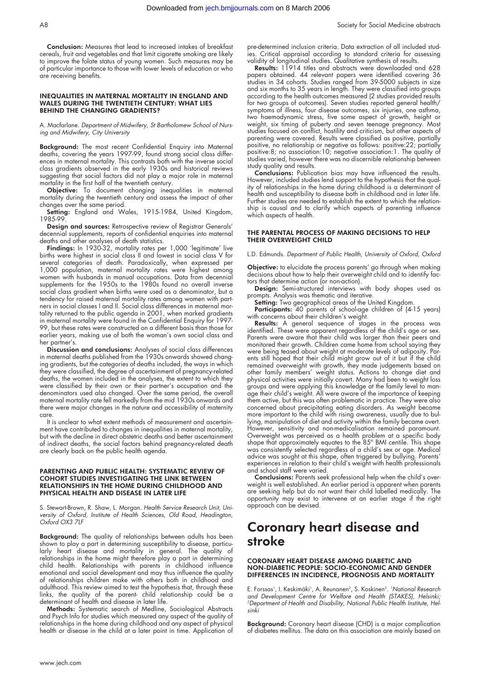Conclusion: Measures that lead to increased intakes of breakfast cereals, fruit and vegetables and that limit cigarette smoking are likely to improve the folate status of young women. Such measures may be of particular importance to those with lower levels of education or who are receiving benefits.

#### INEQUALITIES IN MATERNAL MORTALITY IN ENGLAND AND WALES DURING THE TWENTIETH CENTURY: WHAT LIES BEHIND THE CHANGING GRADIENTS?

A. Macfarlane. Department of Midwifery, St Bartholomew School of Nursing and Midwifery, City University

Background: The most recent Confidential Enquiry into Maternal deaths, covering the years 1997-99, found strong social class differences in maternal mortality. This contrasts both with the inverse social class gradients observed in the early 1930s and historical reviews suggesting that social factors did not play a major role in maternal mortality in the first half of the twentieth century.

**Objective:** To document changing inequalities in maternal mortality during the twentieth century and assess the impact of other changes over the same period.

Setting: England and Wales, 1915-1984, United Kingdom, 1985-99.

Design and sources: Retrospective review of Registrar Generals' decennial supplements, reports of confidential enquiries into maternal deaths and other analyses of death statistics.

Findings: In 1930-32, mortality rates per 1,000 'legitimate' live births were highest in social class II and lowest in social class V for several categories of death. Paradoxically, when expressed per 1,000 population, maternal mortality rates were highest among women with husbands in manual occupations. Data from decennial supplements for the 1950s to the 1980s found no overall inverse social class gradient when births were used as a denominator, but a tendency for raised maternal mortality rates among women with partners in social classes I and II. Social class differences in maternal mortality returned to the public agenda in 2001, when marked gradients in maternal mortality were found in the Confidential Enquiry for 1997- 99, but these rates were constructed on a different basis than those for earlier years, making use of both the woman's own social class and her partner's.

Discussion and conclusions: Analyses of social class differences in maternal deaths published from the 1930s onwards showed changing gradients, but the categories of deaths included, the ways in which they were classified, the degree of ascertainment of pregnancy-related deaths, the women included in the analyses, the extent to which they were classified by their own or their partner's occupation and the denominators used also changed. Over the same period, the overall maternal mortality rate fell markedly from the mid 1930s onwards and there were major changes in the nature and accessibility of maternity care.

It is unclear to what extent methods of measurement and ascertainment have contributed to changes in inequalities in maternal mortality, but with the decline in direct obstetric deaths and better ascertainment of indirect deaths, the social factors behind pregnancy-related death are clearly back on the public health agenda.

### PARENTING AND PUBLIC HEALTH: SYSTEMATIC REVIEW OF COHORT STUDIES INVESTIGATING THE LINK BETWEEN RELATIONSHIPS IN THE HOME DURING CHILDHOOD AND PHYSICAL HEALTH AND DISEASE IN LATER LIFE

S. Stewart-Brown, R. Shaw, L. Morgan. Health Service Research Unit, University of Oxford, Institute of Health Sciences, Old Road, Headington, Oxford OX3 7LF

Background: The quality of relationships between adults has been shown to play a part in determining susceptibility to disease, particularly heart disease and mortality in general. The quality of relationships in the home might therefore play a part in determining child health. Relationships with parents in childhood influence emotional and social development and may thus influence the quality of relationships children make with others both in childhood and adulthood. This review aimed to test the hypothesis that, through these links, the quality of the parent- child relationship could be a determinant of health and disease in later life.

Methods: Systematic search of Medline, Sociological Abstracts and Psych Info for studies which measured any aspect of the quality of relationships in the home during childhood and any aspect of physical health or disease in the child at a later point in time. Application of pre-determined inclusion criteria. Data extraction of all included studies. Critical appraisal according to standard criteria for assessing validity of longitudinal studies. Qualitative synthesis of results.

Results: 11914 titles and abstracts were downloaded and 628 papers obtained. 44 relevant papers were identified covering 36 studies in 34 cohorts. Studies ranged from 39-5000 subjects in size and six months to 35 years in length. They were classified into groups according to the health outcomes measured (2 studies provided results for two groups of outcomes). Seven studies reported general health/ symptoms of illness, four disease outcomes, six injuries, one asthma, two haemodynamic stress, five some aspect of growth, height or weight, six timing of puberty and seven teenage pregnancy. Most studies focused on conflict, hostility and criticism, but other aspects of parenting were covered. Results were classified as positive, partially positive, no relationship or negative as follows: positive:22; partially positive:8; no association:10; negative association:1. The quality of studies varied, however there was no discernible relationship between study quality and results.

Conclusions: Publication bias may have influenced the results. However, included studies lend support to the hypothesis that the quality of relationships in the home during childhood is a determinant of health and susceptibility to disease both in childhood and in later life. Further studies are needed to establish the extent to which the relationship is causal and to clarify which aspects of parenting influence which aspects of health.

### THE PARENTAL PROCESS OF MAKING DECISIONS TO HELP THEIR OVERWEIGHT CHILD

L.D. Edmunds. Department of Public Health, University of Oxford, Oxford

**Objective:** to elucidate the process parents' go through when making decisions about how to help their overweight child and to identify factors that determine action (or non-action).

Design: Semi-structured interviews with body shapes used as prompts. Analysis was thematic and iterative.

Setting: Two geographical areas of the United Kingdom.

Participants: 40 parents of school-age children of (4-15 years) with concerns about their children's weight.

**Results:** A general sequence of stages in the process was identified. These were apparent regardless of the child's age or sex. Parents were aware that their child was larger than their peers and monitored their growth. Children came home from school saying they were being teased about weight at moderate levels of adiposity. Parents still hoped that their child might grow out of it but if the child remained overweight with growth, they made judgements based on other family members' weight status. Actions to change diet and physical activities were initially covert. Many had been to weight loss groups and were applying this knowledge at the family level to manage their child's weight. All were aware of the importance of keeping them active, but this was often problematic in practice. They were also concerned about precipitating eating disorders. As weight became more important to the child with rising awareness, usually due to bullying, manipulation of diet and activity within the family became overt. However, sensitivity and non-medicalisation remained paramount. Overweight was perceived as a health problem at a specific body shape that approximately equates to the 85<sup>th</sup> BMI centile. This shape was consistently selected regardless of a child's sex or age. Medical advice was sought at this shape, often triggered by bullying. Parents' experiences in relation to their child's weight with health professionals and school staff were varied.

Conclusions: Parents seek professional help when the child's overweight is well established. An earlier period is apparent when parents are seeking help but do not want their child labelled medically. The opportunity may exist to intervene at an earlier stage if the right approach can be devised.

# Coronary heart disease and stroke

### CORONARY HEART DISEASE AMONG DIABETIC AND NON-DIABETIC PEOPLE: SOCIO-ECONOMIC AND GENDER DIFFERENCES IN INCIDENCE, PROGNOSIS AND MORTALITY

E. Forssas1, I. Keskimäki1, A. Reunanen<sup>2</sup>, S. Koskinen<sup>2</sup>. *'National Research* and Development Centre for Welfare and Health (STAKES), Helsinki; 2 Department of Health and Disability, National Public Health Institute, Helsinki

Background: Coronary heart disease (CHD) is a major complication of diabetes mellitus. The data on this association are mainly based on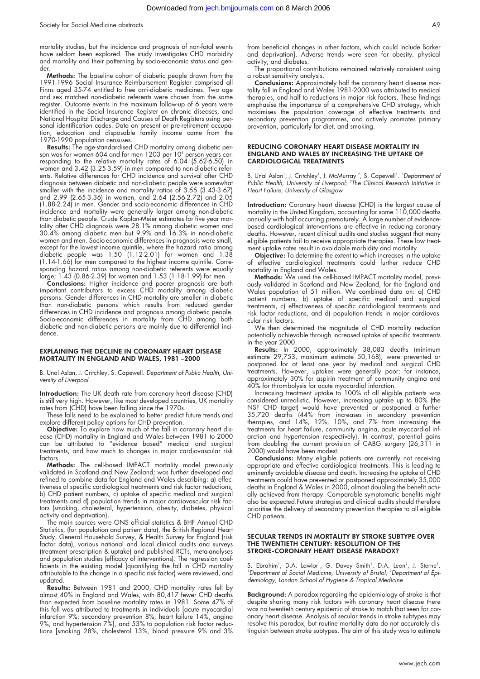mortality studies, but the incidence and prognosis of non-fatal events have seldom been explored. The study investigates CHD morbidity and mortality and their patterning by socio-economic status and gender.

Methods: The baseline cohort of diabetic people drawn from the 1991-1996 Social Insurance Reimbursement Register comprised all Finns aged 35-74 entitled to free anti-diabetic medicines. Two age and sex matched non-diabetic referents were chosen from the same register. Outcome events in the maximum follow-up of 6 years were identified in the Social Insurance Register on chronic diseases, and National Hospital Discharge and Causes of Death Registers using personal identification codes. Data on present or pre-retirement occupation, education and disposable family income came from the 1970-1990 population censuses.

Results: The age-standardised CHD mortality among diabetic person was for women 604 and for men 1203 per 10 $^{\circ}$  person years corresponding to the relative mortality rates of 6.04 (5.62-6.50) in women and 3.42 (3.25-3.59) in men compared to non-diabetic referents. Relative differences for CHD incidence and survival after CHD diagnosis between diabetic and non-diabetic people were somewhat smaller with the incidence and mortality ratios of 3.55 (3.43-3.67) and 2.99 (2.65-3.36) in women, and 2.64 (2.56-2.72) and 2.05 (1.88-2.24) in men. Gender and socio-economic differences in CHD incidence and mortality were generally larger among non-diabetic than diabetic people. Crude Kaplan-Meier estimates for five year mortality after CHD diagnosis were 28.1% among diabetic women and 30.4% among diabetic men but 9.9% and 16.3% in non-diabetic women and men. Socio-economic differences in prognosis were small, except for the lowest income quintile, where the hazard ratio among diabetic people was 1.50 (1.12-2.01) for women and 1.38 (1.14-1.66) for men compared to the highest income quintile. Corresponding hazard ratios among non-diabetic referents were equally large; 1.43 (0.86-2.39) for women and 1.53 (1.18-1.99) for men.

Conclusions: Higher incidence and poorer prognosis are both important contributors to excess CHD mortality among diabetic persons. Gender differences in CHD mortality are smaller in diabetic than non-diabetic persons which results from reduced gender differences in CHD incidence and prognosis among diabetic people. Socio-economic differences in mortality from CHD among both diabetic and non-diabetic persons are mainly due to differential incidence.

### EXPLAINING THE DECLINE IN CORONARY HEART DISEASE MORTALITY IN ENGLAND AND WALES, 1981 –2000

B. Unal Aslan, J. Critchley, S. Capewell. Department of Public Health, University of Liverpool

Introduction: The UK death rate from coronary heart disease (CHD) is still very high. However, like most developed countries, UK mortality rates from (CHD) have been falling since the 1970s.

These falls need to be explained to better predict future trends and explore different policy options for CHD prevention.

Objective: To explore how much of the fall in coronary heart disease (CHD) mortality in England and Wales between 1981 to 2000 can be attributed to "evidence based" medical and surgical treatments, and how much to changes in major cardiovascular risk factors.

Methods: The cell-based IMPACT mortality model previously validated in Scotland and New Zealand; was further developed and refined to combine data for England and Wales describing: a) effectiveness of specific cardiological treatments and risk factor reductions, b) CHD patient numbers, c) uptake of specific medical and surgical treatments and d) population trends in major cardiovascular risk factors (smoking, cholesterol, hypertension, obesity, diabetes, physical activity and deprivation).

The main sources were ONS official statistics & BHF Annual CHD Statistics, (for population and patient data), the British Regional Heart Study, General Household Survey, & Health Survey for England (risk factor data), various national and local clinical audits and surveys (treatment prescription & uptake) and published RCTs, meta-analyses and population studies (efficacy of interventions). The regression coefficients in the existing model (quantifying the fall in CHD mortality attributable to the change in a specific risk factor) were reviewed, and updated.

Results: Between 1981 and 2000, CHD mortality rates fell by almost 40% in England and Wales, with 80,417 fewer CHD deaths than expected from baseline mortality rates in 1981. Some 47% of this fall was attributed to treatments in individuals [acute myocardial infarction 9%; secondary prevention 8%, heart failure 14%, angina 9%, and hypertension 7%], and 53% to population risk factor reductions [smoking 28%, cholesterol 13%, blood pressure 9% and 3%

The proportional contributions remained relatively consistent using a robust sensitivity analysis.

Conclusions: Approximately half the coronary heart disease mortality fall in England and Wales 1981-2000 was attributed to medical therapies, and half to reductions in major risk factors. These findings emphasise the importance of a comprehensive CHD strategy, which maximises the population coverage of effective treatments and secondary prevention programmes, and actively promotes primary prevention, particularly for diet, and smoking.

### REDUCING CORONARY HEART DISEASE MORTALITY IN ENGLAND AND WALES BY INCREASING THE UPTAKE OF CARDIOLOGICAL TREATMENTS

B. Unal Aslan<sup>1</sup>, J. Critchley<sup>1</sup>, J. McMurray<sup>2</sup>, S. Capewell<sup>1</sup>. *'Department of* Public Health, University of Liverpool; <sup>2</sup> The Clinical Research Initiative in Heart Failure, University of Glasgow

Introduction: Coronary heart disease (CHD) is the largest cause of mortality in the United Kingdom, accounting for some 110,000 deaths annually with half occurring prematurely. A large number of evidencebased cardiological interventions are effective in reducing coronary deaths. However, recent clinical audits and studies suggest that many eligible patients fail to receive appropriate therapies. These low treatment uptake rates result in avoidable morbidity and mortality.

Objective: To determine the extent to which increases in the uptake of effective cardiological treatments could further reduce CHD mortality in England and Wales.

**Methods:** We used the cell-based IMPACT mortality model, previously validated in Scotland and New Zealand, for the England and Wales population of 51 million. We combined data on: a) CHD patient numbers, b) uptake of specific medical and surgical treatments, c) effectiveness of specific cardiological treatments and risk factor reductions, and d) population trends in major cardiovascular risk factors.

We then determined the magnitude of CHD mortality reduction potentially achievable through increased uptake of specific treatments in the year 2000.

Results: In 2000, approximately 38,083 deaths (minimum estimate 29,753, maximum estimate 50,168), were prevented or postponed for at least one year by medical and surgical CHD treatments. However, uptakes were generally poor; for instance, approximately 30% for aspirin treatment of community angina and 40% for thrombolysis for acute myocardial infarction.

Increasing treatment uptake to 100% of all eligible patients was considered unrealistic. However, increasing uptake up to 80% (the NSF CHD target) would have prevented or postponed a further 35,720 deaths (44% from increases in secondary prevention therapies, and 14%, 12%, 10%, and 7% from increasing the treatments for heart failure, community angina, acute myocardial infarction and hypertension respectively). In contrast, potential gains from doubling the current provision of CABG surgery (26,311 in 2000) would have been modest.

Conclusions: Many eligible patients are currently not receiving appropriate and effective cardiological treatments. This is leading to eminently avoidable disease and death. Increasing the uptake of CHD treatments could have prevented or postponed approximately 35,000 deaths in England & Wales in 2000, almost doubling the benefit actually achieved from therapy. Comparable symptomatic benefits might also be expected.Future strategies and clinical audits should therefore prioritise the delivery of secondary prevention therapies to all eligible CHD patients.

### SECULAR TRENDS IN MORTALITY BY STROKE SUBTYPE OVER THE TWENTIETH CENTURY: RESOLUTION OF THE STROKE-CORONARY HEART DISEASE PARADOX?

S. Ebrahim<sup>1</sup>, D.A. Lawlor<sup>1</sup>, G. Davey Smith<sup>1</sup>, D.A. Leon<sup>2</sup>, J. Sterne<sup>1</sup>.<br><sup>1</sup>Department of Social Medicine, University of Bristol; <sup>2</sup>Department of Epidemiology, London School of Hygiene & Tropical Medicine

Background: A paradox regarding the epidemiology of stroke is that despite sharing many risk factors with coronary heart disease there was no twentieth century epidemic of stroke to match that seen for coronary heart disease. Analysis of secular trends in stroke subtypes may resolve this paradox, but routine mortality data do not accurately distinguish between stroke subtypes. The aim of this study was to estimate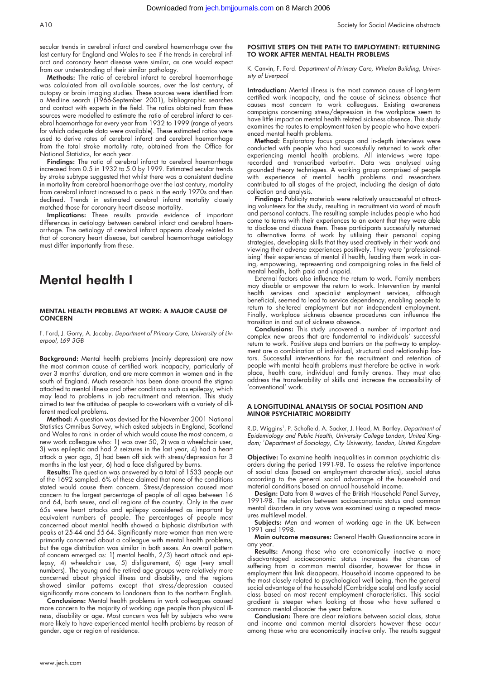secular trends in cerebral infarct and cerebral haemorrhage over the last century for England and Wales to see if the trends in cerebral infarct and coronary heart disease were similar, as one would expect from our understanding of their similar pathology.

Methods: The ratio of cerebral infarct to cerebral haemorrhage was calculated from all available sources, over the last century, of autopsy or brain imaging studies. These sources were identified from a Medline search (1966-September 2001), bibliographic searches and contact with experts in the field. The ratios obtained from these sources were modelled to estimate the ratio of cerebral infarct to cerebral haemorrhage for every year from 1932 to 1999 (range of years for which adequate data were available). These estimated ratios were used to derive rates of cerebral infarct and cerebral haemorrhage from the total stroke mortality rate, obtained from the Office for National Statistics, for each year.

Findings: The ratio of cerebral infarct to cerebral haemorrhage increased from 0.5 in 1932 to 5.0 by 1999. Estimated secular trends by stroke subtype suggested that whilst there was a consistent decline in mortality from cerebral haemorrhage over the last century, mortality from cerebral infarct increased to a peak in the early 1970s and then declined. Trends in estimated cerebral infarct mortality closely matched those for coronary heart disease mortality.

Implications: These results provide evidence of important differences in aetiology between cerebral infarct and cerebral haemorrhage. The aetiology of cerebral infarct appears closely related to that of coronary heart disease, but cerebral haemorrhage aetiology must differ importantly from these.

### Mental health I

### MENTAL HEALTH PROBLEMS AT WORK: A MAJOR CAUSE OF **CONCERN**

F. Ford, J. Gorry, A. Jacoby. Department of Primary Care, University of Liverpool, L69 3GB

Background: Mental health problems (mainly depression) are now the most common cause of certified work incapacity, particularly of over 3 months' duration, and are more common in women and in the south of England. Much research has been done around the stigma attached to mental illness and other conditions such as epilepsy, which may lead to problems in job recruitment and retention. This study aimed to test the attitudes of people to co-workers with a variety of different medical problems.

Method: A question was devised for the November 2001 National Statistics Omnibus Survey, which asked subjects in England, Scotland and Wales to rank in order of which would cause the most concern, a new work colleague who: 1) was over 50, 2) was a wheelchair user, 3) was epileptic and had 2 seizures in the last year, 4) had a heart attack a year ago, 5) had been off sick with stress/depression for 3 months in the last year, 6) had a face disfigured by burns.

Results: The question was answered by a total of 1533 people out of the 1692 sampled. 6% of these claimed that none of the conditions stated would cause them concern. Stress/depression caused most concern to the largest percentage of people of all ages between 16 and 64, both sexes, and all regions of the country. Only in the over 65s were heart attacks and epilepsy considered as important by equivalent numbers of people. The percentages of people most concerned about mental health showed a biphasic distribution with peaks at 25-44 and 55-64. Significantly more women than men were primarily concerned about a colleague with mental health problems, but the age distribution was similar in both sexes. An overall pattern of concern emerged as: 1) mental health, 2/3) heart attack and epilepsy, 4) wheelchair use, 5) disfigurement, 6) age (very small numbers). The young and the retired age groups were relatively more concerned about physical illness and disability, and the regions showed similar patterns except that stress/depression caused significantly more concern to Londoners than to the northern English.

Conclusions: Mental health problems in work colleagues caused more concern to the majority of working age people than physical illness, disability or age. Most concern was felt by subjects who were more likely to have experienced mental health problems by reason of gender, age or region of residence.

### POSITIVE STEPS ON THE PATH TO EMPLOYMENT: RETURNING TO WORK AFTER MENTAL HEALTH PROBLEMS

K. Canvin, F. Ford. Department of Primary Care, Whelan Building, University of Liverpool

Introduction: Mental illness is the most common cause of long-term certified work incapacity, and the cause of sickness absence that causes most concern to work colleagues. Existing awareness campaigns concerning stress/depression in the workplace seem to have little impact on mental health related sickness absence. This study examines the routes to employment taken by people who have experienced mental health problems.

Method: Exploratory focus groups and in-depth interviews were conducted with people who had successfully returned to work after experiencing mental health problems. All interviews were taperecorded and transcribed verbatim. Data was analysed using grounded theory techniques. A working group comprised of people with experience of mental health problems and researchers contributed to all stages of the project, including the design of data collection and analysis.

Findings: Publicity materials were relatively unsuccessful at attracting volunteers for the study, resulting in recruitment via word of mouth and personal contacts. The resulting sample includes people who had come to terms with their experiences to an extent that they were able to disclose and discuss them. These participants successfully returned to alternative forms of work by utilising their personal coping strategies, developing skills that they used creatively in their work and viewing their adverse experiences positively. They were 'professionalising' their experiences of mental ill health, leading them work in caring, empowering, representing and campaigning roles in the field of mental health, both paid and unpaid.

External factors also influence the return to work. Family members may disable or empower the return to work. Intervention by mental health services and specialist employment services, although beneficial, seemed to lead to service dependency, enabling people to return to sheltered employment but not independent employment. Finally, workplace sickness absence procedures can influence the transition in and out of sickness absence.

Conclusions: This study uncovered a number of important and complex new areas that are fundamental to individuals' successful return to work. Positive steps and barriers on the pathway to employment are a combination of individual, structural and relationship factors. Successful interventions for the recruitment and retention of people with mental health problems must therefore be active in workplace, health care, individual and family arenas. They must also address the transferability of skills and increase the accessibility of 'conventional' work.

### A LONGITUDINAL ANALYSIS OF SOCIAL POSITION AND MINOR PSYCHIATRIC MORBIDITY

R.D. Wiggins<sup>1</sup>, P. Schofield, A. Sacker, J. Head, M. Bartley. *Department of* Epidemiology and Public Health, University College London, United Kingdom; <sup>1</sup> Department of Sociology, City University, London, United Kingdom

Objective: To examine health inequalities in common psychiatric disorders during the period 1991-98. To assess the relative importance of social class (based on employment characteristics), social status according to the general social advantage of the household and material conditions based on annual household income.

Design: Data from 8 waves of the British Household Panel Survey, 1991-98. The relation between socioeconomic status and common mental disorders in any wave was examined using a repeated measures multilevel model.

Subjects: Men and women of working age in the UK between 1991 and 1998.

Main outcome measures: General Health Questionnaire score in any year.

Results: Among those who are economically inactive a more disadvantaged socioeconomic status increases the chances of suffering from a common mental disorder, however for those in employment this link disappears. Household income appeared to be the most closely related to psychological well being, then the general social advantage of the household (Cambridge scale) and lastly social class based on most recent employment characteristics. This social gradient is steeper when looking at those who have suffered a common mental disorder the year before.

Conclusion: There are clear relations between social class, status and income and common mental disorders however these occur among those who are economically inactive only. The results suggest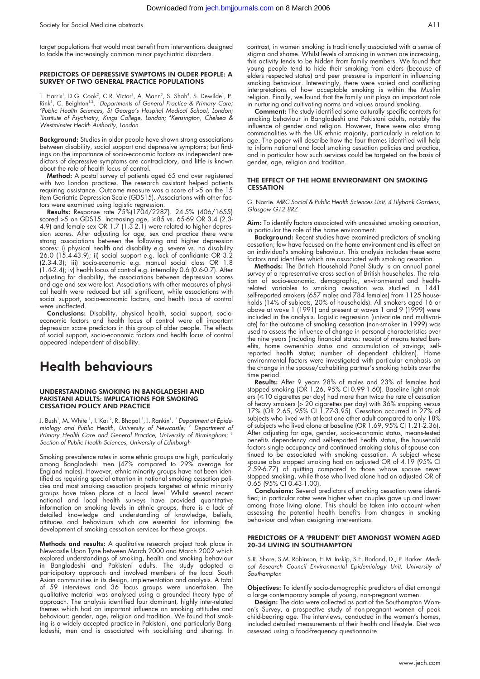target populations that would most benefit from interventions designed to tackle the increasingly common minor psychiatric disorders.

### PREDICTORS OF DEPRESSIVE SYMPTOMS IN OLDER PEOPLE: A SURVEY OF TWO GENERAL PRACTICE POPULATIONS

T. Harris<sup>1</sup>, D.G. Cook<sup>2</sup>, C.R. Victor<sup>2</sup>, A. Mann<sup>3</sup>, S. Shah<sup>4</sup>, S. Dewilde<sup>1</sup>, P. Rink<sup>1</sup>, C. Beighton<sup>1,2</sup>. *'Departments of General Practice & Primary Care;* 2 Public Health Sciences, St George's Hospital Medical School, London; <sup>3</sup>Institute of Psychiatry, Kings College, London; <sup>4</sup>Kensington, Chelsea & Westminster Health Authority, London

Background: Studies in older people have shown strong associations between disability, social support and depressive symptoms; but findings on the importance of socio-economic factors as independent predictors of depressive symptoms are contradictory, and little is known about the role of health locus of control.

Method: A postal survey of patients aged 65 and over registered with two London practices. The research assistant helped patients requiring assistance. Outcome measure was a score of >5 on the 15 item Geriatric Depression Scale (GDS15). Associations with other factors were examined using logistic regression.

**Results:** Response rate 75%(1704/2287). 24.5% (406/1655) scored >5 on GDS15. Increasing age, >85 vs. 65-69 OR 3.4 (2.3- 4.9) and female sex OR 1.7 (1.3-2.1) were related to higher depression scores. After adjusting for age, sex and practice there were strong associations between the following and higher depression scores: i) physical health and disability e.g. severe vs. no disability 26.0 (15.4-43.9); ii) social support e.g. lack of confidante OR 3.2 (2.3-4.3); iii) socio-economic e.g. manual social class OR 1.8 (1.4-2.4); iv) health locus of control e.g. internality 0.6 (0.6-0.7). After adjusting for disability, the associations between depression scores and age and sex were lost. Associations with other measures of physical health were reduced but still significant, while associations with social support, socio-economic factors, and health locus of control were unaffected.

Conclusions: Disability, physical health, social support, socioeconomic factors and health locus of control were all important depression score predictors in this group of older people. The effects of social support, socio-economic factors and health locus of control appeared independent of disability.

### Health behaviours

### UNDERSTANDING SMOKING IN BANGLADESHI AND PAKISTANI ADULTS: IMPLICATIONS FOR SMOKING CESSATION POLICY AND PRACTICE

J. Bush<sup>1</sup>, M. White <sup>1</sup>, J. Kai <sup>2</sup>, R. Bhopal <sup>3</sup>, J. Rankin'. *' Department of Epide*miology and Public Health, University of Newcastle; <sup>2</sup> Department of Primary Health Care and General Practice, University of Birmingham; Section of Public Health Sciences, University of Edinburgh

Smoking prevalence rates in some ethnic groups are high, particularly among Bangladeshi men (47% compared to 29% average for England males). However, ethnic minority groups have not been identified as requiring special attention in national smoking cessation policies and most smoking cessation projects targeted at ethnic minority groups have taken place at a local level. Whilst several recent national and local health surveys have provided quantitative information on smoking levels in ethnic groups, there is a lack of detailed knowledge and understanding of knowledge, beliefs, attitudes and behaviours which are essential for informing the development of smoking cessation services for these groups.

**Methods and results:** A qualitative research project took place in Newcastle Upon Tyne between March 2000 and March 2002 which explored understandings of smoking, health and smoking behaviour in Bangladeshi and Pakistani adults. The study adopted a participatory approach and involved members of the local South Asian communities in its design, implementation and analysis. A total of 59 interviews and 36 focus groups were undertaken. The qualitative material was analysed using a grounded theory type of approach. The analysis identified four dominant, highly inter-related themes which had an important influence on smoking attitudes and behaviour: gender, age, religion and tradition. We found that smoking is a widely accepted practice in Pakistani, and particularly Bangladeshi, men and is associated with socialising and sharing. In

contrast, in women smoking is traditionally associated with a sense of stigma and shame. Whilst levels of smoking in women are increasing, this activity tends to be hidden from family members. We found that young people tend to hide their smoking from elders (because of elders respected status) and peer pressure is important in influencing smoking behaviour. Interestingly, there were varied and conflicting interpretations of how acceptable smoking is within the Muslim religion. Finally, we found that the family unit plays an important role in nurturing and cultivating norms and values around smoking.

Comment: The study identified some culturally specific contexts for smoking behaviour in Bangladeshi and Pakistani adults, notably the influence of gender and religion. However, there were also strong commonalities with the UK ethnic majority, particularly in relation to age. The paper will describe how the four themes identified will help to inform national and local smoking cessation policies and practice, and in particular how such services could be targeted on the basis of gender, age, religion and tradition.

### THE EFFECT OF THE HOME ENVIRONMENT ON SMOKING **CESSATION**

### G. Norrie. MRC Social & Public Health Sciences Unit, 4 Lilybank Gardens, Glasgow G12 8RZ

Aim: To identify factors associated with unassisted smoking cessation, in particular the role of the home environment.

Background: Recent studies have examined predictors of smoking cessation; few have focused on the home environment and its effect on an individual's smoking behaviour. This analysis includes these extra factors and identifies which are associated with smoking cessation.

Methods: The British Household Panel Study is an annual panel survey of a representative cross section of British households. The relation of socio-economic, demographic, environmental and healthrelated variables to smoking cessation was studied in 1441 self-reported smokers (657 males and 784 females) from 1125 households (14% of subjects, 20% of households). All smokers aged 16 or above at wave 1 (1991) and present at waves 1 and 9 (1999) were included in the analysis. Logistic regression (univariate and multivariate) for the outcome of smoking cessation (non-smoker in 1999) was used to assess the influence of change in personal characteristics over the nine years (including financial status: receipt of means tested benefits, home ownership status and accumulation of savings; selfreported health status; number of dependent children). Home environmental factors were investigated with particular emphasis on the change in the spouse/cohabiting partner's smoking habits over the time period.

Results: After 9 years 28% of males and 23% of females had stopped smoking (OR 1.26, 95% CI 0.99-1.60). Baseline light smokers (<10 cigarettes per day) had more than twice the rate of cessation of heavy smokers (> 20 cigarettes per day) with 36% stopping versus 17% (OR 2.65, 95% CI 1.77-3.95). Cessation occurred in 27% of subjects who lived with at least one other adult compared to only 18% of subjects who lived alone at baseline (OR 1.69, 95% CI 1.21-2.36). After adjusting for age, gender, socio-economic status, means-tested benefits dependency and self-reported health status, the household factors single occupancy and continued smoking status of spouse continued to be associated with smoking cessation. A subject whose spouse also stopped smoking had an adjusted OR of 4.19 (95% CI 2.59-6.77) of quitting compared to those whose spouse never stopped smoking, while those who lived alone had an adjusted OR of 0.65 (95% CI 0.43-1.00).

Conclusions: Several predictors of smoking cessation were identified; in particular rates were higher when couples gave up and lower among those living alone. This should be taken into account when assessing the potential health benefits from changes in smoking behaviour and when designing interventions.

### PREDICTORS OF A 'PRUDENT' DIET AMONGST WOMEN AGED 20-34 LIVING IN SOUTHAMPTON

S.R. Shore, S.M. Robinson, H.M. Inskip, S.E. Borland, D.J.P. Barker. Medical Research Council Environmental Epidemiology Unit, University of Southampton

Objectives: To identify socio-demographic predictors of diet amongst a large contemporary sample of young, non-pregnant women.

Design: The data were collected as part of the Southampton Women's Survey, a prospective study of non-pregnant women of peak child-bearing age. The interviews, conducted in the women's homes, included detailed measurements of their health and lifestyle. Diet was assessed using a food-frequency questionnaire.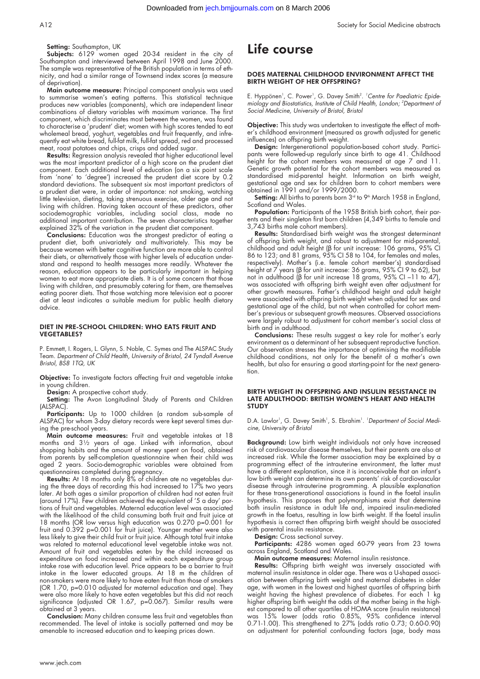Setting: Southampton, UK

Subjects: 6129 women aged 20-34 resident in the city of Southampton and interviewed between April 1998 and June 2000. The sample was representative of the British population in terms of ethnicity, and had a similar range of Townsend index scores (a measure of deprivation).

Main outcome measure: Principal component analysis was used to summarise women's eating patterns. This statistical technique produces new variables (components), which are independent linear combinations of dietary variables with maximum variance. The first component, which discriminates most between the women, was found to characterise a 'prudent' diet; women with high scores tended to eat wholemeal bread, yoghurt, vegetables and fruit frequently, and infrequently eat white bread, full-fat milk, full-fat spread, red and processed meat, roast potatoes and chips, crisps and added sugar.

Results: Regression analysis revealed that higher educational level was the most important predictor of a high score on the prudent diet component. Each additional level of education (on a six point scale from 'none' to 'degree') increased the prudent diet score by 0.2 standard deviations. The subsequent six most important predictors of a prudent diet were, in order of importance: not smoking, watching little television, dieting, taking strenuous exercise, older age and not living with children. Having taken account of these predictors, other sociodemographic variables, including social class, made no additional important contribution. The seven characteristics together explained 32% of the variation in the prudent diet component.

Conclusions: Education was the strongest predictor of eating a prudent diet, both univariately and multivariately. This may be because women with better cognitive function are more able to control their diets, or alternatively those with higher levels of education understand and respond to health messages more readily. Whatever the reason, education appears to be particularly important in helping women to eat more appropriate diets. It is of some concern that those living with children, and presumably catering for them, are themselves eating poorer diets. That those watching more television eat a poorer diet at least indicates a suitable medium for public health dietary advice.

### DIET IN PRE-SCHOOL CHILDREN: WHO EATS FRUIT AND VEGETABLES?

P. Emmett, I. Rogers, L. Glynn, S. Noble, C. Symes and The ALSPAC Study Team. Department of Child Health, University of Bristol, 24 Tyndall Avenue Bristol, BS8 1TQ, UK

Objective: To investigate factors affecting fruit and vegetable intake in young children.

Design: A prospective cohort study.

Setting: The Avon Longitudinal Study of Parents and Children (ALSPAC).

Participants: Up to 1000 children (a random sub-sample of ALSPAC) for whom 3-day dietary records were kept several times during the pre-school years.

Main outcome measures: Fruit and vegetable intakes at 18 months and  $3\frac{1}{2}$  years of age. Linked with information, about shopping habits and the amount of money spent on food, obtained from parents by self-completion questionnaire when their child was aged 2 years. Socio-demographic variables were obtained from questionnaires completed during pregnancy.

**Results:** At 18 months only 8% of children ate no vegetables during the three days of recording this had increased to 17% two years later. At both ages a similar proportion of children had not eaten fruit (around 17%). Few children achieved the equivalent of '5 a day' portions of fruit and vegetables. Maternal education level was associated with the likelihood of the child consuming both fruit and fruit juice at 18 months (OR low versus high education was 0.270 p=0.001 for fruit and 0.392 p=0.001 for fruit juice). Younger mother were also less likely to give their child fruit or fruit juice. Although total fruit intake was related to maternal educational level vegetable intake was not. Amount of fruit and vegetables eaten by the child increased as expenditure on food increased and within each expenditure group intake rose with education level. Price appears to be a barrier to fruit intake in the lower educated groups. At 18 m the children of non-smokers were more likely to have eaten fruit than those of smokers (OR 1.70, p=0.010 adjusted for maternal education and age). They were also more likely to have eaten vegetables but this did not reach significance (adjusted OR 1.67, p=0.067). Similar results were obtained at 3 years.

Conclusion: Many children consume less fruit and vegetables than recommended. The level of intake is socially patterned and may be amenable to increased education and to keeping prices down.

# Life course

### DOES MATERNAL CHILDHOOD ENVIRONMENT AFFECT THE BIRTH WEIGHT OF HER OFFSPRING?

E. Hyppönen<sup>1</sup>, C. Power<sup>1</sup>, G. Davey Smith<sup>2</sup>. 'Centre for Paediatric Epidemiology and Biostatistics, Institute of Child Health, London; <sup>2</sup> Department of Social Medicine, University of Bristol, Bristol

Objective: This study was undertaken to investigate the effect of mother's childhood environment (measured as growth adjusted for genetic influences) on offspring birth weight.

Design: Intergenerational population-based cohort study. Participants were followed-up regularly since birth to age 41. Childhood height for the cohort members was measured at age 7 and 11. Genetic growth potential for the cohort members was measured as standardised mid-parental height. Information on birth weight, gestational age and sex for children born to cohort members were obtained in 1991 and/or 1999/2000.

Setting: All births to parents born  $3<sup>rd</sup>$  to 9<sup>th</sup> March 1958 in England, Scotland and Wales.

Population: Participants of the 1958 British birth cohort, their parents and their singleton first born children (4,349 births to female and 3,743 births male cohort members).

Results: Standardised birth weight was the strongest determinant of offspring birth weight, and robust to adjustment for mid-parental, childhood and adult height (β for unit increase: 106 grams, 95% CI 86 to 123; and 81 grams, 95% CI 58 to 104, for females and males, respectively). Mother's (i.e. female cohort member's) standardised height at 7 years (β for unit increase: 36 grams, 95% CI 9 to 62), but not in adulthood (β for unit increase 18 grams, 95% CI –11 to 47), was associated with offspring birth weight even after adjustment for other growth measures. Father's childhood height and adult height were associated with offspring birth weight when adjusted for sex and gestational age of the child, but not when controlled for cohort member's previous or subsequent growth measures. Observed associations were largely robust to adjustment for cohort member's social class at birth and in adulthood.

Conclusions: These results suggest a key role for mother's early environment as a determinant of her subsequent reproductive function. Our observation stresses the importance of optimising the modifiable childhood conditions, not only for the benefit of a mother's own health, but also for ensuring a good starting-point for the next generation.

### BIRTH WEIGHT IN OFFSPRING AND INSULIN RESISTANCE IN LATE ADULTHOOD: BRITISH WOMEN'S HEART AND HEALTH **STUDY**

D.A. Lawlor<sup>1</sup>, G. Davey Smith<sup>1</sup>, S. Ebrahim<sup>1</sup>. *1Department of Social Medi*cine, University of Bristol

Background: Low birth weight individuals not only have increased risk of cardiovascular disease themselves, but their parents are also at increased risk. While the former association may be explained by a programming effect of the intrauterine environment, the latter must have a different explanation, since it is inconceivable that an infant's low birth weight can determine its own parents' risk of cardiovascular disease through intrauterine programming. A plausible explanation for these trans-generational associations is found in the foetal insulin hypothesis. This proposes that polymorphisms exist that determine both insulin resistance in adult life and, impaired insulin-mediated growth in the foetus, resulting in low birth weight. If the foetal insulin hypothesis is correct then offspring birth weight should be associated with parental insulin resistance.

Design: Cross sectional survey.

**Participants:** 4286 women aged 60-79 years from 23 towns across England, Scotland and Wales.

Main outcome measures: Maternal insulin resistance.

Results: Offspring birth weight was inversely associated with maternal insulin resistance in older age. There was a U-shaped association between offspring birth weight and maternal diabetes in older age, with women in the lowest and highest quartiles of offspring birth weight having the highest prevalence of diabetes. For each 1 kg higher offspring birth weight the odds of the mother being in the highest compared to all other quartiles of HOMA score (insulin resistance) was 15% lower (odds ratio 0.85%, 95% confidence interval 0.71-1.00). This strengthened to 27% (odds ratio 0.73; 0.60-0.90) on adjustment for potential confounding factors (age, body mass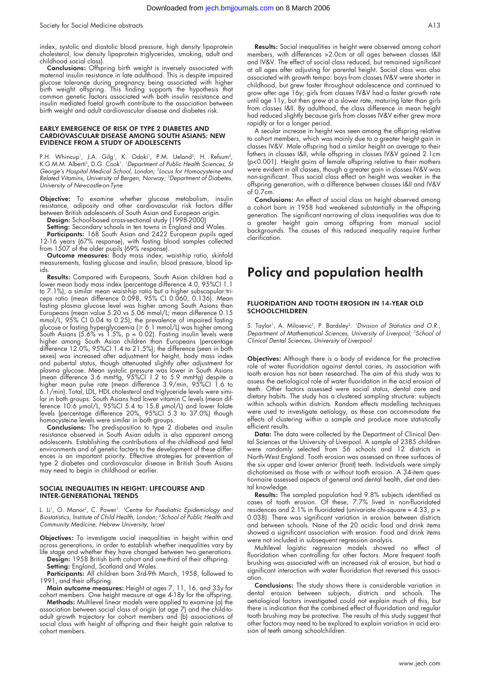### Society for Social Medicine abstracts A13

Conclusions: Offspring birth weight is inversely associated with maternal insulin resistance in late adulthood. This is despite impaired glucose tolerance during pregnancy being associated with higher birth weight offspring. This finding supports the hypothesis that common genetic factors associated with both insulin resistance and insulin mediated foetal growth contribute to the association between birth weight and adult cardiovascular disease and diabetes risk.

#### EARLY EMERGENCE OF RISK OF TYPE 2 DIABETES AND CARDIOVASCULAR DISEASE AMONG SOUTH ASIANS: NEW EVIDENCE FROM A STUDY OF ADOLESCENTS

P.H. Whincup<sup>1</sup>, J.A. Gilg<sup>1</sup>, K. Odoki<sup>1</sup>, P.M. Ueland<sup>2</sup>, H. Refsum<sup>2</sup>, K.G.M.M. Alberti<sup>3</sup>, D.G. Cook<sup>1</sup>. 'Department of Public Health Sciences, St George's Hospital Medical School, London; <sup>2</sup> Locus for Homocysteine and Related Vitamins, University of Bergen, Norway; <sup>3</sup>Department of Diabetes, University of Newcastle-on-Tyne

**Objective:** To examine whether glucose metabolism, insulin resistance, adiposity and other cardiovascular risk factors differ between British adolescents of South Asian and European origin.

Design: School-based cross-sectional study (1998-2000)

**Setting:** Secondary schools in ten towns in England and Wales.

**Participants:** 168 South Asian and 2422 European pupils aged 12-16 years (67% response), with fasting blood samples collected from 1507 of the older pupils (69% response).

Outcome measures: Body mass index, waist-hip ratio, skinfold measurements, fasting glucose and insulin, blood pressure, blood lipids.

Results: Compared with Europeans, South Asian children had a lower mean body mass index (percentage difference 4.0, 95%CI 1.1 to 7.1%), a similar mean waist-hip ratio but a higher subscapular:triceps ratio (mean difference 0.098, 95% CI 0.060, 0.136). Mean fasting plasma glucose level was higher among South Asians than Europeans (mean value 5.20 vs 5.06 mmol/L; mean difference 0.15 mmol/L, 95% CI 0.04 to 0.25); the prevalence of impaired fasting glucose or fasting hyperglycaemia (> 6.1 mmol/L) was higher among South Asians (5.6% vs 1.5%, p = 0.02). Fasting insulin levels were higher among South Asian children than Europeans (percentage difference 12.0%, 95%CI 1.4 to 21.5%); the difference (seen in both sexes) was increased after adjustment for height, body mass index and pubertal status, though attenuated slightly after adjustment for plasma glucose. Mean systolic pressure was lower in South Asians (mean difference 3.6 mmHg, 95%CI 1.2 to 5.9 mmHg) despite a higher mean pulse rate (mean difference 3.9/min, 95%CI 1.6 to 6.1/min). Total, LDL, HDL cholesterol and triglyceride levels were similar in both groups. South Asians had lower vitamin C levels (mean difference 10.6 µmol/L, 95%CI 5.4 to 15.8 µmol/L) and lower folate levels (percentage difference 20%, 95%CI 5.3 to 37.0%) though homocysteine levels were similar in both groups.

Conclusions: The predisposition to type 2 diabetes and insulin resistance observed in South Asian adults is also apparent among adolescents. Establishing the contributions of the childhood and fetal environments and of genetic factors to the development of these differences is an important priority. Effective strategies for prevention of type 2 diabetes and cardiovascular disease in British South Asians may need to begin in childhood or earlier.

### SOCIAL INEQUALITIES IN HEIGHT: LIFECOURSE AND INTER-GENERATIONAL TRENDS

L. Li<sup>1</sup>, O. Manor<sup>2</sup>, C. Power<sup>1</sup>. 'Centre for Paediatric Epidemiology and Biostatistics, Institute of Child Health, London; <sup>2</sup> School of Public Health and Community Medicine, Hebrew University, Israel

Objectives: To investigate social inequalities in height within and across generations, in order to establish whether inequalities vary by life stage and whether they have changed between two generations.

Design: 1958 British birth cohort and one-third of their offspring.

Setting: England, Scotland and Wales.

Participants: All children born 3rd-9th March, 1958, followed to 1991, and their offspring.

Main outcome measures: Height at ages 7, 11, 16, and 33y for cohort members. One height measure at age 4-18y for the offspring.

Methods: Multilevel linear models were applied to examine (a) the association between social class of origin (at age 7) and the child-toadult growth trajectory for cohort members and (b) associations of social class with height of offspring and their height gain relative to cohort members.

Results: Social inequalities in height were observed among cohort members, with differences >2.0cm at all ages between classes I&II and IV&V. The effect of social class reduced, but remained significant at all ages after adjusting for parental height. Social class was also associated with growth tempo: boys from classes IV&V were shorter in childhood, but grew faster throughout adolescence and continued to grow after age 16y; girls from classes IV&V had a faster growth rate until age 11y, but then grew at a slower rate, maturing later than girls from classes I&II. By adulthood, the class difference in mean height had reduced slightly because girls from classes IV&V either grew more rapidly or for a longer period.

A secular increase in height was seen among the offspring relative to cohort members, which was mainly due to a greater height gain in classes IV&V. Male offspring had a similar height on average to their fathers in classes I&II, while offspring in classes IV&V gained 2.1cm (p<0.001). Height gains of female offspring relative to their mothers were evident in all classes, though a greater gain in classes IV&V was non-significant. Thus social class effect on height was weaker in the offspring generation, with a difference between classes I&II and IV&V of 0.7cm.

Conclusions: An effect of social class on height observed among a cohort born in 1958 had weakened substantially in the offspring generation. The significant narrowing of class inequalities was due to a greater height gain among offspring from manual social backgrounds. The causes of this reduced inequality require further clarification.

# Policy and population health

### FLUORIDATION AND TOOTH EROSION IN 14-YEAR OLD SCHOOLCHILDREN

S. Taylor<sup>1</sup>, A. Milosevic<sup>2</sup>, P. Bardsley<sup>2</sup>. *Division of Statistics and O.R.*, Department of Mathematical Sciences, University of Liverpool; <sup>2</sup>School of Clinical Dental Sciences, University of Liverpool

Objectives: Although there is a body of evidence for the protective role of water fluoridation against dental caries, its association with tooth erosion has not been researched. The aim of this study was to assess the aetiological role of water fluoridation in the acid erosion of teeth. Other factors assessed were social status, dental care and dietary habits. The study has a clustered sampling structure: subjects within schools within districts. Random effects modelling techniques were used to investigate aetiology, as these can accommodate the effects of clustering within a sample and produce more statistically efficient results.

Data: The data were collected by the Department of Clinical Dental Sciences at the University of Liverpool. A sample of 2385 children were randomly selected from 56 schools and 12 districts in North-West England. Tooth erosion was assessed on three surfaces of the six upper and lower anterior (front) teeth. Individuals were simply dichotomised as those with or without tooth erosion. A 34-item questionnaire assessed aspects of general and dental health, diet and dental knowledge.

Results: The sampled population had 9.8% subjects identified as cases of tooth erosion. Of these, 7.7% lived in non-fluoridated residences and 2.1% in fluoridated (univariate chi-square = 4.33, p = 0.038). There was significant variation in erosion between districts and between schools. None of the 20 acidic food and drink items showed a significant association with erosion. Food and drink items were not included in subsequent regression analysis.

Multilevel logistic regression models showed no effect of fluoridation when controlling for other factors. More frequent tooth brushing was associated with an increased risk of erosion, but had a significant interaction with water fluoridation that reversed this association.

Conclusions: The study shows there is considerable variation in dental erosion between subjects, districts and schools. The aetiological factors investigated could not explain much of this, but there is indication that the combined effect of fluoridation and regular tooth brushing may be protective. The results of this study suggest that other factors may need to be explored to explain variation in acid erosion of teeth among schoolchildren.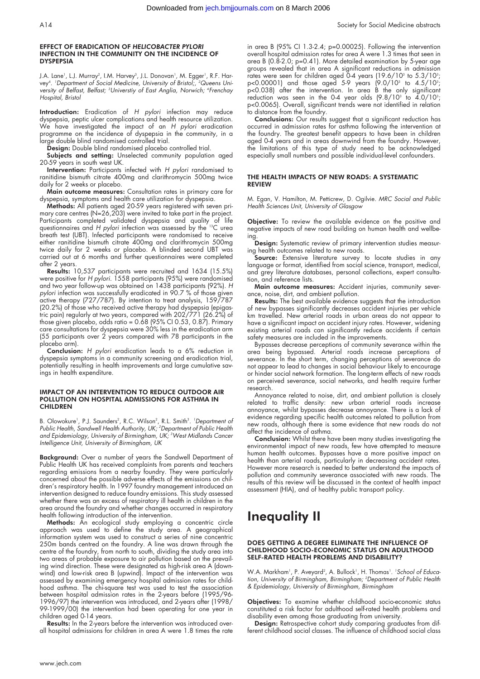### EFFECT OF ERADICATION OF *HELICOBACTER PYLORI* INFECTION IN THE COMMUNITY ON THE INCIDENCE OF **DYSPEPSIA**

J.A. Lane<sup>1</sup>, L.J. Murray<sup>2</sup>, I.M. Harvey<sup>3</sup>, J.L. Donovan<sup>1</sup>, M. Egger<sup>1</sup>, R.F. Harvey<sup>4</sup>. 'Department of Social Medicine, University of Bristol;, <sup>2</sup>Queens University of Belfast, Belfast; <sup>3</sup> Universtiy of East Anglia, Norwich; <sup>4</sup> Frenchay Hospital, Bristol

Introduction: Eradication of H pylori infection may reduce dyspepsia, peptic ulcer complications and health resource utilization. We have investigated the impact of an <sup>H</sup> pylori eradication programme on the incidence of dyspepsia in the community, in a large double blind randomised controlled trial.

Design: Double blind randomised placebo controlled trial.

Subjects and setting: Unselected community population aged 20-59 years in south west UK.

Intervention: Participants infected with H pylori randomised to ranitidine bismuth citrate 400mg and clarithromycin 500mg twice daily for 2 weeks or placebo.

Main outcome measures: Consultation rates in primary care for dyspepsia, symptoms and health care utilization for dyspepsia.

Methods: All patients aged 20-59 years registered with seven primary care centres (N=26,203) were invited to take part in the project. Participants completed validated dyspepsia and quality of life questionnaires and H *pylori* infection was assessed by the  $^{13}$ C urea breath test (UBT). Infected participants were randomised to receive either ranitidine bismuth citrate 400mg and clarithromycin 500mg twice daily for 2 weeks or placebo. A blinded second UBT was carried out at 6 months and further questionnaires were completed after 2 years.

Results: 10,537 participants were recruited and 1634 (15.5%) were positive for <sup>H</sup> pylori. 1558 participants (95%) were randomised and two year follow-up was obtained on 1438 participants (92%). H pylori infection was successfully eradicated in 90.7 % of those given active therapy (727/787). By intention to treat analysis, 159/787 (20.2%) of those who received active therapy had dyspepsia (epigastric pain) regularly at two years, compared with 202/771 (26.2%) of those given placebo, odds ratio = 0.68 (95% CI 0.53, 0.87). Primary care consultations for dyspepsia were 30% less in the eradication arm (55 participants over 2 years compared with 78 participants in the placebo arm).

Conclusion: <sup>H</sup> pylori eradication leads to a 6% reduction in dyspepsia symptoms in a community screening and eradication trial, potentially resulting in health improvements and large cumulative savings in health expenditure.

### IMPACT OF AN INTERVENTION TO REDUCE OUTDOOR AIR POLLUTION ON HOSPITAL ADMISSIONS FOR ASTHMA IN CHILDREN

B. Olowokure<sup>1</sup>, P.J. Saunders<sup>2</sup>, R.C. Wilson<sup>2</sup>, R.L. Smith<sup>3</sup>. *'Department of* Public Health, Sandwell Health Authority, UK; <sup>2</sup> Department of Public Health and Epidemiology, University of Birmingham, UK; <sup>3</sup>West Midlands Cancer Intelligence Unit, University of Birmingham, UK

Background: Over a number of years the Sandwell Department of Public Health UK has received complaints from parents and teachers regarding emissions from a nearby foundry. They were particularly concerned about the possible adverse effects of the emissions on children's respiratory health. In 1997 foundry management introduced an intervention designed to reduce foundry emissions. This study assessed whether there was an excess of respiratory ill health in children in the area around the foundry and whether changes occurred in respiratory health following introduction of the intervention.

Methods: An ecological study employing a concentric circle approach was used to define the study area. A geographical information system was used to construct a series of nine concentric 250m bands centred on the foundry. A line was drawn through the centre of the foundry, from north to south, dividing the study area into two areas of probable exposure to air pollution based on the prevailing wind direction. These were designated as high-risk area A (downwind) and low-risk area B (upwind). Impact of the intervention was assessed by examining emergency hospital admission rates for childhood asthma. The chi-square test was used to test the association between hospital admission rates in the 2-years before (1995/96- 1996/97) the intervention was introduced, and 2-years after (1998/ 99-1999/00) the intervention had been operating for one year in children aged 0-14 years.

Results: In the 2-years before the intervention was introduced overall hospital admissions for children in area A were 1.8 times the rate in area B (95% CI 1.3-2.4; p=0.00025). Following the intervention overall hospital admission rates for area A were 1.3 times that seen in area B (0.8-2.0; p=0.41). More detailed examination by 5-year age groups revealed that in area A significant reductions in admission rates were seen for children aged 0-4 years (19.6/10 $^{\circ}$  to 5.3/10 $^{\circ}$ ; p<0.00001) and those aged 5-9 years (9.0/10 $^{\circ}$  to 4.5/10 $^{\circ}$ ; p<0.038) after the intervention. In area B the only significant reduction was seen in the 0-4 year olds (9.8/10 $^{\rm 3}$  to 4.0/10 $^{\rm 3}$ ; p<0.0065). Overall, significant trends were not identified in relation to distance from the foundry.

Conclusions: Our results suggest that a significant reduction has occurred in admission rates for asthma following the intervention at the foundry. The greatest benefit appears to have been in children aged 0-4 years and in areas downwind from the foundry. However, the limitations of this type of study need to be acknowledged especially small numbers and possible individual-level confounders.

### THE HEALTH IMPACTS OF NEW ROADS: A SYSTEMATIC REVIEW

M. Egan, V. Hamilton, M. Petticrew, D. Ogilvie. MRC Social and Public Health Sciences Unit, University of Glasgow

Objective: To review the available evidence on the positive and negative impacts of new road building on human health and wellbeing.

Design: Systematic review of primary intervention studies measuring health outcomes related to new roads.

**Source:** Extensive literature survey to locate studies in any language or format, identified from social science, transport, medical, and grey literature databases, personal collections, expert consultation, and reference lists.

Main outcome measures: Accident injuries, community severance, noise, dirt, and ambient pollution.

Results: The best available evidence suggests that the introduction of new bypasses significantly decreases accident injuries per vehicle km travelled. New arterial roads in urban areas do not appear to have a significant impact on accident injury rates. However, widening existing arterial roads can significantly reduce accidents if certain safety measures are included in the improvements.

Bypasses decrease perceptions of community severance within the area being bypassed. Arterial roads increase perceptions of severance. In the short term, changing perceptions of severance do not appear to lead to changes in social behaviour likely to encourage or hinder social network formation. The long-term effects of new roads on perceived severance, social networks, and health require further research.

Annoyance related to noise, dirt, and ambient pollution is closely related to traffic density: new urban arterial roads increase annoyance, whilst bypasses decrease annoyance. There is a lack of evidence regarding specific health outcomes related to pollution from new roads, although there is some evidence that new roads do not affect the incidence of asthma.

Conclusion: Whilst there have been many studies investigating the environmental impact of new roads, few have attempted to measure human health outcomes. Bypasses have a more positive impact on health than arterial roads, particularly in decreasing accident rates. However more research is needed to better understand the impacts of pollution and community severance associated with new roads. The results of this review will be discussed in the context of health impact assessment (HIA), and of healthy public transport policy.

# Inequality II

### DOES GETTING A DEGREE ELIMINATE THE INFLUENCE OF CHILDHOOD SOCIO-ECONOMIC STATUS ON ADULTHOOD SELF-RATED HEALTH PROBLEMS AND DISABILITY?

W.A. Markham', P. Aveyard<sup>2</sup>, A. Bullock', H. Thomas'. *'School of Educa*tion, University of Birmingham, Birmingham; <sup>2</sup> Department of Public Health & Epidemiology, University of Birmingham, Birmingham

Objectives: To examine whether childhood socio-economic status constituted a risk factor for adulthood self-rated health problems and disability even among those graduating from university.

Design: Retrospective cohort study comparing graduates from different childhood social classes. The influence of childhood social class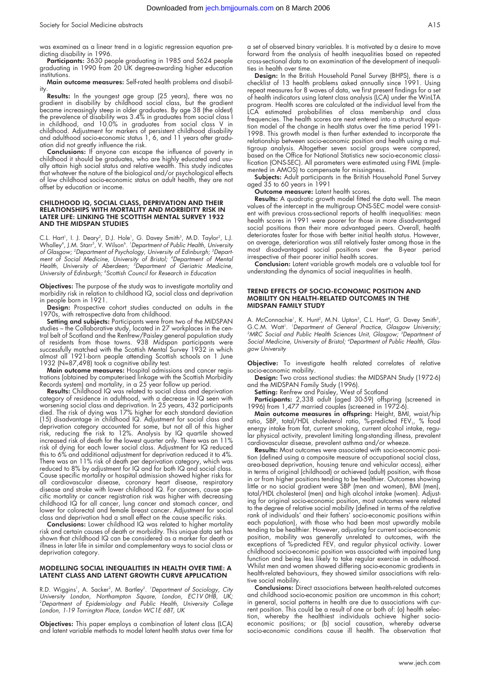was examined as a linear trend in a logistic regression equation predicting disability in 1996.

**Participants:** 3630 people graduating in 1985 and 5624 people graduating in 1990 from 20 UK degree-awarding higher education institutions.

Main outcome measures: Self-rated health problems and disability.

**Results:** In the youngest age group (25 years), there was no gradient in disability by childhood social class, but the gradient became increasingly steep in older graduates. By age 38 (the oldest) the prevalence of disability was 3.4% in graduates from social class I in childhood, and 10.0% in graduates from social class V in childhood. Adjustment for markers of persistent childhood disability and adulthood socio-economic status 1, 6, and 11 years after graduation did not greatly influence the risk.

Conclusions: If anyone can escape the influence of poverty in childhood it should be graduates, who are highly educated and usually attain high social status and relative wealth. This study indicates that whatever the nature of the biological and/or psychological effects of low childhood socio-economic status on adult health, they are not offset by education or income.

#### CHILDHOOD IQ, SOCIAL CLASS, DEPRIVATION AND THEIR RELATIONSHIPS WITH MORTALITY AND MORBIDITY RISK IN LATER LIFE: LINKING THE SCOTTISH MENTAL SURVEY 1932 AND THE MIDSPAN STUDIES

C.L. Hart', I. J. Deary<sup>2</sup>, D.J. Hole', G. Davey Smith<sup>3</sup>, M.D. Taylor<sup>2</sup>, L.J. Whalley<sup>4</sup>, J.M. Starr<sup>5</sup>, V. Wilson<sup>6</sup>. 'Department of Public Health, University of Glasgow; <sup>2</sup>Department of Psychology, University of Edinburgh; <sup>3</sup>Department of Social Medicine, University of Bristol; <sup>4</sup> Department of Mental Health, University of Aberdeen; <sup>s</sup>Department of Geriatric Medicine, University of Edinburgh; <sup>6</sup>Scottish Council for Research in Education

Objectives: The purpose of the study was to investigate mortality and morbidity risk in relation to childhood IQ, social class and deprivation in people born in 1921.

Design: Prospective cohort studies conducted on adults in the 1970s, with retrospective data from childhood.

Setting and subjects: Participants were from two of the MIDSPAN studies – the Collaborative study, located in 27 workplaces in the central belt of Scotland and the Renfrew/Paisley general population study of residents from those towns. 938 Midspan participants were successfully matched with the Scottish Mental Survey 1932 in which almost all 1921-born people attending Scottish schools on 1 June 1932 (N=87,498) took a cognitive ability test.

Main outcome measures: Hospital admissions and cancer registrations (obtained by computerised linkage with the Scottish Morbidity Records system) and mortality, in a 25 year follow up period.

**Results:** Childhood IQ was related to social class and deprivation category of residence in adulthood, with a decrease in IQ seen with worsening social class and deprivation. In 25 years, 432 participants died. The risk of dying was 17% higher for each standard deviation (15) disadvantage in childhood IQ. Adjustment for social class and deprivation category accounted for some, but not all of this higher risk, reducing the risk to 12%. Analysis by IQ quartile showed increased risk of death for the lowest quarter only. There was an 11% risk of dying for each lower social class. Adjustment for IQ reduced this to 6% and additional adjustment for deprivation reduced it to 4%. There was an 11% risk of death per deprivation category, which was reduced to 8% by adjustment for IQ and for both IQ and social class. Cause specific mortality or hospital admission showed higher risks for all cardiovascular disease, coronary heart disease, respiratory disease and stroke with lower childhood IQ. For cancers, cause specific mortality or cancer registration risk was higher with decreasing childhood IQ for all cancer, lung cancer and stomach cancer, and lower for colorectal and female breast cancer. Adjustment for social class and deprivation had a small effect on the cause specific risks.

Conclusions: Lower childhood IQ was related to higher mortality risk and certain causes of death or morbidity. This unique data set has shown that childhood IQ can be considered as a marker for death or illness in later life in similar and complementary ways to social class or deprivation category.

### MODELLING SOCIAL INEQUALITIES IN HEALTH OVER TIME: A LATENT CLASS AND LATENT GROWTH CURVE APPLICATION

R.D. Wiggins<sup>1</sup>, A. Sacker<sup>2</sup>, M. Bartley<sup>2</sup>. 'Department of Sociology, City University London, Northampton Square, London, EC1V 0HB, UK; 2 Department of Epidemiology and Public Health, University College London, 1-19 Torrington Place, London WC1E 6BT, UK

Objectives: This paper employs a combination of latent class (LCA) and latent variable methods to model latent health status over time for a set of observed binary variables. It is motivated by a desire to move forward from the analysis of health inequalities based on repeated cross-sectional data to an examination of the development of inequalities in health over time.

Design: In the British Household Panel Survey (BHPS), there is a checklist of 13 health problems asked annually since 1991. Using repeat measures for 8 waves of data, we first present findings for a set of health indicators using latent class analysis (LCA) under the WinLTA program. Health scores are calculated at the individual level from the LCA estimated probabilities of class membership and class frequencies. The health scores are next entered into a structural equation model of the change in health status over the time period 1991- 1998. This growth model is then further extended to incorporate the relationship between socio-economic position and health using a multigroup analysis. Altogether seven social groups were compared, based on the Office for National Statistics new socio-economic classification (ONS-SEC). All parameters were estimated using FIML (implemented in AMOS) to compensate for missingness.

Subjects: Adult participants in the British Household Panel Survey aged 35 to 60 years in 1991

Outcome measure: Latent health scores.

Results: A quadratic growth model fitted the data well. The mean values of the intercept in the multigroup ONS-SEC model were consistent with previous cross-sectional reports of health inequalities: mean health scores in 1991 were poorer for those in more disadvantaged social positions than their more advantaged peers. Overall, health deteriorates faster for those with better initial health status. However, on average, deterioration was still relatively faster among those in the most disadvantaged social positions over the 8-year period irrespective of their poorer initial health scores.

Conclusion: Latent variable growth models are a valuable tool for understanding the dynamics of social inequalities in health.

### TREND EFFECTS OF SOCIO-ECONOMIC POSITION AND MOBILITY ON HEALTH-RELATED OUTCOMES IN THE MIDSPAN FAMILY STUDY

A. McConnachie<sup>1</sup>, K. Hunt<sup>2</sup>, M.N. Upton<sup>3</sup>, C.L. Hart<sup>4</sup>, G. Davey Smith<sup>3</sup>, G.C.M. Watt<sup>1</sup>. *'Department of General Practice, Glasgow University;* <sup>2</sup>MRC Social and Public Health Sciences Unit, Glasgow; <sup>3</sup>Department of Social Medicine, University of Bristol; <sup>4</sup> Department of Public Health, Glasgow University

Objective: To investigate health related correlates of relative socio-economic mobility.

Design: Two cross sectional studies: the MIDSPAN Study (1972-6) and the MIDSPAN Family Study (1996).

Setting: Renfrew and Paisley, West of Scotland

Participants: 2,338 adult (aged 30-59) offspring (screened in 1996) from 1,477 married couples (screened in 1972-6).

Main outcome measures in offspring: Height, BMI, waist/hip ratio, SBP, total/HDL cholesterol ratio, %-predicted FEV<sub>1</sub>, % food energy intake from fat, current smoking, current alcohol intake, regular physical activity, prevalent limiting long-standing illness, prevalent cardiovascular disease, prevalent asthma and/or wheeze.

Results: Most outcomes were associated with socio-economic position (defined using a composite measure of occupational social class, area-based deprivation, housing tenure and vehicular access), either in terms of original (childhood) or achieved (adult) position, with those in or from higher positions tending to be healthier. Outcomes showing little or no social gradient were SBP (men and women), BMI (men), total/HDL cholesterol (men) and high alcohol intake (women). Adjusting for original socio-economic position, most outcomes were related to the degree of relative social mobility (defined in terms of the relative rank of individuals' and their fathers' socio-economic positions within each population), with those who had been most upwardly mobile tending to be healthier. However, adjusting for current socio-economic position, mobility was generally unrelated to outcomes, with the exceptions of %-predicted FEV<sub>1</sub> and regular physical activity. Lower childhood socio-economic position was associated with impaired lung function and being less likely to take regular exercise in adulthood. Whilst men and women showed differing socio-economic gradients in health-related behaviours, they showed similar associations with relative social mobility.

Conclusions: Direct associations between health-related outcomes and childhood socio-economic position are uncommon in this cohort; in general, social patterns in health are due to associations with current position. This could be a result of one or both of: (a) health selection, whereby the healthiest individuals achieve higher socioeconomic positions; or (b) social causation, whereby adverse socio-economic conditions cause ill health. The observation that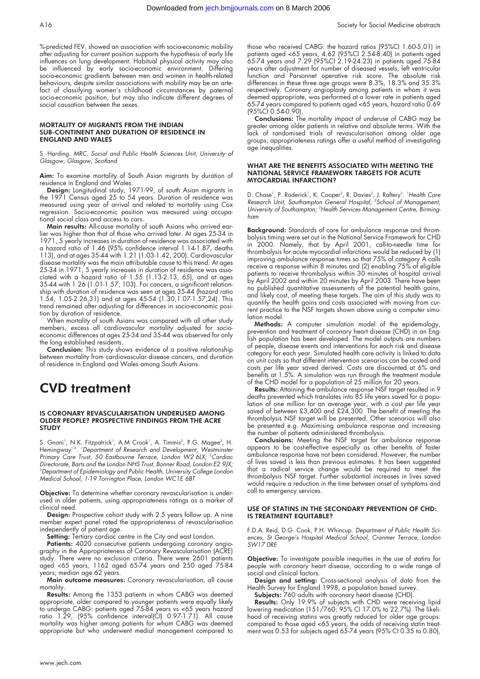%-predicted FEV<sub>1</sub> showed an association with socio-economic mobility after adjusting for current position supports the hypothesis of early life influences on lung development. Habitual physical activity may also be influenced by early socio-economic environment. Differing socio-economic gradients between men and women in health-related behaviours, despite similar associations with mobility may be an artefact of classifying women's childhood circumstances by paternal socio-economic position, but may also indicate different degrees of social causation between the sexes.

### MORTALITY OF MIGRANTS FROM THE INDIAN SUB-CONTINENT AND DURATION OF RESIDENCE IN ENGLAND AND WALES

S. Harding. MRC, Social and Public Health Sciences Unit, University of Glasgow, Glasgow, Scotland

Aim: To examine mortality of South Asian migrants by duration of residence in England and Wales.

**Design:** Longitudinal study, 1971-99, of south Asian migrants in the 1971 Census aged 25 to 54 years. Duration of residence was measured using year of arrival and related to mortality using Cox regression. Socio-economic position was measured using occupational social class and access to cars.

Main results: All-cause mortality of south Asians who arrived earlier was higher than that of those who arrived later. At ages 25-34 in 1971, 5 yearly increases in duration of residence was associated with a hazard ratio of 1.46 (95% confidence interval 1.14-1.87, deaths 113), and at ages 35-44 with 1.21 (1.03-1.42, 200). Cardiovascular disease mortality was the main attributable cause to this trend. At ages 25-34 in 1971, 5 yearly increases in duration of residence was associated with a hazard ratio of 1.55 (1.13-2.13, 65), and at ages 35-44 with 1.26 (1.01-1.57, 103). For cancers, a significant relationship with duration of residence was seen at ages 35-44 (hazard ratio 1.54, 1.05-2.26,31) and at ages 45-54 (1.30,1.07-1.57,24). This trend remained after adjusting for differences in socio-economic position by duration of residence.

When mortality of south Asians was compared with all other study members, excess all cardiovascular mortality adjusted for socioeconomic differences at ages 25-34 and 35-44 was observed for only the long established residents.

Conclusion: This study shows evidence of a positive relationship between mortality from cardiovascular disease cancers, and duration of residence in England and Wales among South Asians.

# CVD treatment

### IS CORONARY REVASCULARISATION UNDERUSED AMONG OLDER PEOPLE? PROSPECTIVE FINDINGS FROM THE ACRE **STUDY**

S. Gnani', N.K. Fitzpatrick', A.M Crook', A. Timmis<sup>2</sup>, P.G. Magee<sup>2</sup>, H. Hemingway<sup>1,3</sup>. *'Department of Research and Development, Westminster* Primary Care Trust, 50 Eastbourne Terrace, London W2 6LX; <sup>2</sup>Cardiac Directorate, Barts and the London NHS Trust, Bonner Road, London E2 9JX; 3 Department of Epidemiology and Public Health, University College London Medical School, 1-19 Torrington Place, London WC1E 6BT

Objective: To determine whether coronary revascularisation is underused in older patients, using appropriateness ratings as a marker of clinical need.

Design: Prospective cohort study with 2.5 years follow up. A nine member expert panel rated the appropriateness of revascularisation independently of patient age.

Setting: Tertiary cardiac centre in the City and east London.

Patients: 4020 consecutive patients undergoing coronary angiography in the Appropriateness of Coronary Revascularisation (ACRE) study. There were no exclusion criteria. There were 2601 patients aged <65 years, 1162 aged 65-74 years and 250 aged 75-84 years; median age 62 years.

Main outcome measures: Coronary revascularisation, all cause **mortality** 

Results: Among the 1353 patients in whom CABG was deemed appropriate, older compared to younger patients were equally likely to undergo CABG: patients aged 75-84 years vs <65 years hazard ratio 1.29, (95% confidence interval(CI) 0.97-1.71). All cause mortality was higher among patients for whom CABG was deemed appropriate but who underwent medial management compared to

those who received CABG: the hazard ratios (95%CI 1.60-5.01) in patients aged <65 years, 4.62 (95%CI 2.54-8.40) in patients aged 65-74 years and 7.29 (95%CI 2.19-24.23) in patients aged 75-84 years after adjustment for number of diseased vessels, left ventricular function and Parsonnet operative risk score. The absolute risk differences in these three age groups were 8.3%, 18.3% and 35.3% respectively. Coronary angioplasty among patients in whom it was deemed appropriate, was performed at a lower rate in patients aged 65-74 years compared to patients aged <65 years, hazard ratio 0.69 (95%CI 0.54-0.90).

Conclusions: The mortality impact of underuse of CABG may be greater among older patients in relative and absolute terms. With the lack of randomised trials of revascularisation among older age groups, appropriateness ratings offer a useful method of investigating age inequalities.

### WHAT ARE THE BENEFITS ASSOCIATED WITH MEETING THE NATIONAL SERVICE FRAMEWORK TARGETS FOR ACUTE MYOCARDIAL INFARCTION?

D. Chase<sup>1</sup>, P. Roderick<sup>1</sup>, K. Cooper<sup>2</sup>, R. Davies<sup>2</sup>, J. Raftery<sup>3</sup>. *'Health Care* Research Unit, Southampton General Hospital; <sup>2</sup>School of Management, University of Southampton; <sup>3</sup>Health Services Management Centre, Birmingham

Background: Standards of care for ambulance response and thrombolysis timing were set out in the National Service Framework for CHD in 2000. Namely, that by April 2001, call-to-needle time for thrombolysis for acute myocardial infarctions would be reduced by (1) improving ambulance response times so that 75% of category A calls receive a response within 8 minutes and (2) enabling 75% of eligible patients to receive thrombolysis within 30 minutes of hospital arrival by April 2002 and within 20 minutes by April 2003. There have been no published quantitative assessments of the potential health gains, and likely cost, of meeting these targets. The aim of this study was to quantify the health gains and costs associated with moving from current practice to the NSF targets shown above using a computer simulation model.

Methods: A computer simulation model of the epidemology, prevention and treatment of coronary heart disease (CHD) in an English population has been developed. The model outputs are numbers of people, disease events and interventions for each risk and disease category for each year. Simulated health care activity is linked to data on unit costs so that different intervention scenarios can be costed and costs per life year saved derived. Costs are discounted at 6% and benefits at 1.5%. A simulation was run through the treatment module of the CHD model for a population of 25 million for 20 years.

Results: Attaining the ambulance response NSF target resulted in 9 deaths prevented which translates into 85 life years saved for a population of one million for an average year, with a cost per life year saved of between £3,400 and £24,300. The benefit of meeting the thrombolysis NSF target will be presented. Other scenarios will also be presented e.g. Maximising ambulance response and increasing the number of patients administered thrombolysis.

Conclusions: Meeting the NSF target for ambulance response appears to be cost-effective especially as other benefits of faster ambulance response have not been considered. However, the number of lives saved is less than previous estimates. It has been suggested that a radical service change would be required to meet the thrombolysis NSF target. Further substantial increases in lives saved would require a reduction in the time between onset of symptoms and call to emergency services.

### USE OF STATINS IN THE SECONDARY PREVENTION OF CHD: IS TREATMENT EQUITABLE?

F.D.A. Reid, D.G. Cook, P.H. Whincup. Department of Public Health Sciences, St George's Hospital Medical School, Cranmer Terrace, London SW17 0RE

Objective: To investigate possible inequities in the use of statins for people with coronary heart disease, according to a wide range of social and clinical factors.

Design and setting: Cross-sectional analysis of data from the Health Survey for England 1998, a population based survey.

Subjects: 760 adults with coronary heart disease (CHD).

**Results:** Only 19.9% of subjects with CHD were receiving lipid lowering medication (151/760; 95% CI 17.0% to 22.7%). The likelihood of receiving statins was greatly reduced for older age groups: compared to those aged <65 years, the odds of receiving statin treatment was 0.53 for subjects aged 65-74 years (95% CI 0.35 to 0.80),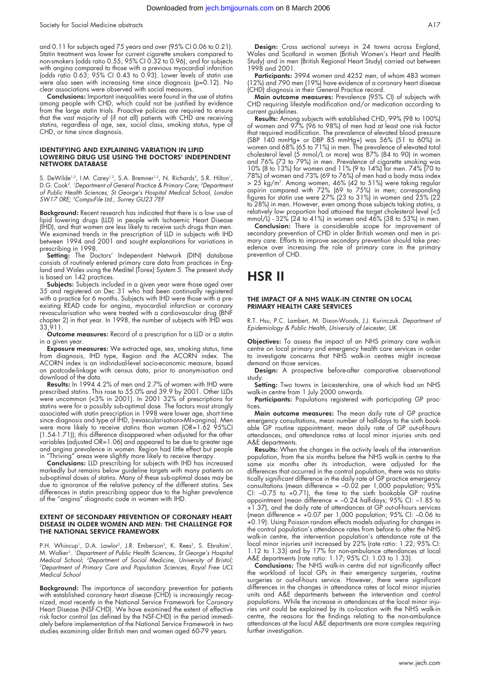### Society for Social Medicine abstracts A17

and 0.11 for subjects aged 75 years and over (95% CI 0.06 to 0.21). Statin treatment was lower for current cigarette smokers compared to non-smokers (odds ratio 0.55; 95% CI 0.32 to 0.96), and for subjects with angina compared to those with a previous myocardial infarction (odds ratio 0.63; 95% CI 0.43 to 0.93). Lower levels of statin use were also seen with increasing time since diagnosis (p=0.12). No clear associations were observed with social measures.

Conclusions: Important inequalities were found in the use of statins among people with CHD, which could not be justified by evidence from the large statin trials. Proactive policies are required to ensure that the vast majority of (if not all) patients with CHD are receiving statins, regardless of age, sex, social class, smoking status, type of CHD, or time since diagnosis.

### IDENTIFYING AND EXPLAINING VARIATION IN LIPID LOWERING DRUG USE USING THE DOCTORS' INDEPENDENT NETWORK DATABASE

S. DeWilde<sup>1,2</sup>, I.M. Carey<sup>1,2</sup>, S.A. Bremner<sup>1,2</sup>, N. Richards<sup>3</sup>, S.R. Hilton<sup>1</sup>, D.G. Cook<sup>2</sup>. 'Department of General Practice & Primary Care; <sup>2</sup>Department of Public Health Sciences, St George's Hospital Medical School, London SW17 0RE; <sup>3</sup> CompuFile Ltd., Surrey GU23 7EF

Background: Recent research has indicated that there is a low use of lipid lowering drugs (LLD) in people with Ischaemic Heart Disease (IHD), and that women are less likely to receive such drugs than men. We examined trends in the prescription of LLD in subjects with IHD between 1994 and 2001 and sought explanations for variations in prescribing in 1998.

**Setting:** The Doctors' Independent Network (DIN) database consists of routinely entered primary care data from practices in England and Wales using the Meditel (Torex) System 5. The present study is based on 142 practices.

Subjects: Subjects included in a given year were those aged over 35 and registered on Dec 31 who had been continually registered with a practice for 6 months. Subjects with IHD were those with a preexisting READ code for angina, myocardial infarction or coronary revascularisation who were treated with a cardiovascular drug (BNF chapter 2) in that year. In 1998, the number of subjects with IHD was 33,911.

Outcome measures: Record of a prescription for a LLD or a statin in a given year.

**Exposure measures:** We extracted age, sex, smoking status, time from diagnosis, IHD type, Region and the ACORN index. The ACORN index is an individual-level socio-economic measure, based on postcode-linkage with census data, prior to anonymisation and download of the data.

Results: In 1994 4.2% of men and 2.7% of women with IHD were prescribed statins. This rose to 55.0% and 39.9 by 2001. Other LLDs were uncommon (<3% in 2001). In 2001 32% of prescriptions for statins were for a possibly sub-optimal dose. The factors most strongly associated with statin prescription in 1998 were lower age, short time since diagnosis and type of IHD, (revascularisation>MI>angina). Men were more likely to receive statins than women (OR=1.62 95%CI (1.54-1.71)); this difference disappeared when adjusted for the other variables (adjusted OR=1.06) and appeared to be due to greater age and angina prevalence in women. Region had little effect but people in "Thriving" areas were slightly more likely to receive therapy.

Conclusions: LLD prescribing for subjects with IHD has increased markedly but remains below guideline targets with many patients on sub-optimal doses of statins. Many of these sub-optimal doses may be due to ignorance of the relative potency of the different statins. Sex differences in statin prescribing appear due to the higher prevalence of the "angina" diagnostic code in women with IHD.

### EXTENT OF SECONDARY PREVENTION OF CORONARY HEART DISEASE IN OLDER WOMEN AND MEN: THE CHALLENGE FOR THE NATIONAL SERVICE FRAMEWORK

P.H. Whincup<sup>1</sup>, D.A. Lawlor<sup>2</sup>, J.R. Emberson<sup>3</sup>, K. Rees<sup>2</sup>, S. Ebrahim<sup>1</sup>, M. Walker3 . 1 Department of Public Health Sciences, St George's Hospital Medical School; <sup>2</sup> Department of Social Medicine, University of Bristol; 3 Department of Primary Care and Population Sciences, Royal Free UCL Medical School

Background: The importance of secondary prevention for patients with established coronary heart disease (CHD) is increasingly recognized, most recently in the National Service Framework for Coronary Heart Disease (NSF-CHD). We have examined the extent of effective risk factor control (as defined by the NSF-CHD) in the period immediately before implementation of the National Service Framework in two studies examining older British men and women aged 60-79 years.

Design: Cross sectional surveys in 24 towns across England, Wales and Scotland in women (British Women's Heart and Health Study) and in men (British Regional Heart Study) carried out between 1998 and 2001.

Participants: 3994 women and 4252 men, of whom 483 women (12%) and 790 men (19%) have evidence of a coronary heart disease (CHD) diagnosis in their General Practice record.

Main outcome measures: Prevalence (95% CI) of subjects with CHD requiring lifestyle modification and/or medication according to current guidelines.

**Results:** Among subjects with established CHD, 99% (98 to 100%) of women and 97% (96 to 98%) of men had at least one risk factor that required modification. The prevalence of elevated blood pressure (SBP 140 mmHg+ or DBP 85 mmHg+) was 56% (51 to 60%) in women and 68% (65 to 71%) in men. The prevalence of elevated total cholesterol level (5 mmol/L or more) was 87% (84 to 90) in women and 76% (73 to 79%) in men. Prevalence of cigarette smoking was 10% (8 to 13%) for women and 11% (9 to 14%) for men. 74% (70 to 78%) of women and 73% (69 to 76%) of men had a body mass index > 25 kg/m2 . Among women, 46% (42 to 51%) were taking regular aspirin compared with 72% (69 to 75%) in men; corresponding figures for statin use were 27% (23 to 31%) in women and 25% (22 to 28%) in men. However, even among those subjects taking statins, a relatively low proportion had attained the target cholesterol level (<5 mmol/L) - 32% (24 to 41%) in women and 46% (38 to 53%) in men.

Conclusion: There is considerable scope for improvement of secondary prevention of CHD in older British women and men in primary care. Efforts to improve secondary prevention should take precedence over increasing the role of primary care in the primary prevention of CHD.

# HSR II

### THE IMPACT OF A NHS WALK-IN CENTRE ON LOCAL PRIMARY HEALTH CARE SERVICES

R.T. Hsu, P.C. Lambert, M. Dixon-Woods, J.J. Kurinczuk. Department of Epidemiology & Public Health, University of Leicester, UK

Objectives: To assess the impact of an NHS primary care walk-in centre on local primary and emergency health care services in order to investigate concerns that NHS walk-in centres might increase demand on those services.

Design: A prospective before-after comparative observational study.

Setting: Two towns in Leicestershire, one of which had an NHS walk-in centre from 1 July 2000 onwards.

Participants: Populations registered with participating GP practices.

Main outcome measures: The mean daily rate of GP practice emergency consultations, mean number of half-days to the sixth bookable GP routine appointment, mean daily rate of GP out-of-hours attendances, and attendance rates at local minor injuries units and A&E departments.

Results: When the changes in the activity levels of the intervention population, from the six months before the NHS walk-in centre to the same six months after its introduction, were adjusted for the differences that occurred in the control population, there was no statistically significant difference in the daily rate of GP practice emergency consultations (mean difference =  $-0.02$  per 1,000 population;  $95\%$ CI: –0.75 to +0.71), the time to the sixth bookable GP routine appointment (mean difference = –0.24 half-days; 95% CI: –1.85 to +1.37), and the daily rate of attendances at GP out-of-hours services (mean difference = +0.07 per 1,000 population; 95% CI: –0.06 to +0.19). Using Poisson random effects models adjusting for changes in the control population's attendance rates from before to after the NHS walk-in centre, the intervention population's attendance rate at the local minor injuries unit increased by 22% (rate ratio: 1.22; 95% CI: 1.12 to 1.33) and by 17% for non-ambulance attendances at local A&E departments (rate ratio: 1.17; 95% CI: 1.03 to 1.33).

Conclusions: The NHS walk-in centre did not significantly affect the workload of local GPs in their emergency surgeries, routine surgeries or out-of-hours service. However, there were significant differences in the changes in attendance rates at local minor injuries units and A&E departments between the intervention and control populations. While the increase in attendances at the local minor injuries unit could be explained by its co-location with the NHS walk-in centre, the reasons for the findings relating to the non-ambulance attendances at the local A&E departments are more complex requiring further investigation.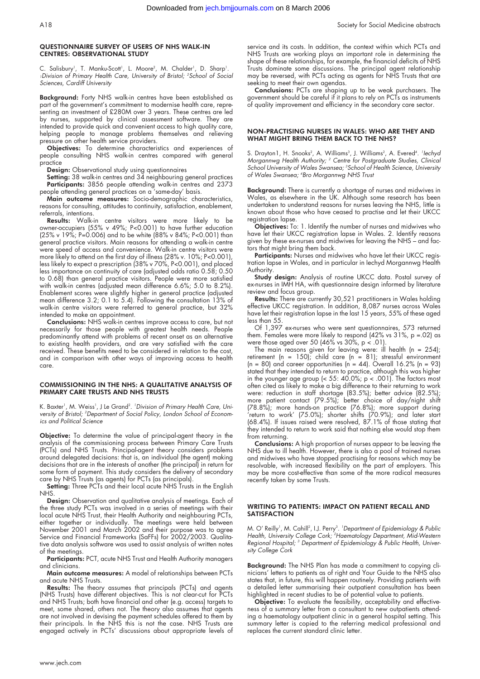### QUESTIONNAIRE SURVEY OF USERS OF NHS WALK-IN CENTRES: OBSERVATIONAL STUDY

C. Salisbury<sup>1</sup>, T. Manku-Scott<sup>1</sup>, L. Moore<sup>2</sup>, M. Chalder<sup>1</sup>, D. Sharp<sup>1</sup>. <sup>1</sup>Division of Primary Health Care, University of Bristol; <sup>2</sup> School of Social Sciences, Cardiff University

Background: Forty NHS walk-in centres have been established as part of the government's commitment to modernise health care, representing an investment of £280M over 3 years. These centres are led by nurses, supported by clinical assessment software. They are intended to provide quick and convenient access to high quality care, helping people to manage problems themselves and relieving pressure on other health service providers.

**Objectives:** To determine characteristics and experiences of people consulting NHS walk-in centres compared with general practice

**Design:** Observational study using questionnaires

**Setting:** 38 walk-in centres and 34 neighbouring general practices Participants: 3856 people attending walk-in centres and 2373 people attending general practices on a 'same-day' basis.

Main outcome measures: Socio-demographic characteristics, reasons for consulting, attitudes to continuity, satisfaction, enablement, referrals, intentions.

**Results:** Walk-in centre visitors were more likely to be owner-occupiers (55% v 49%; P<0.001) to have further education (25% v 19%; P=0.006) and to be white (88% v 84%; P<0.001) than general practice visitors. Main reasons for attending a walk-in centre were speed of access and convenience. Walk-in centre visitors were more likely to attend on the first day of illness (28% v. 10%; P<0.001), less likely to expect a prescription (38% v 70%, P<0.001), and placed less importance on continuity of care (adjusted odds ratio 0.58; 0.50 to 0.68) than general practice visitors. People were more satisfied with walk-in centres (adjusted mean difference 6.6%; 5.0 to 8.2%). Enablement scores were slightly higher in general practice (adjusted mean difference 3.2; 0.1 to 5.4). Following the consultation 13% of walk-in centre visitors were referred to general practice, but 32% intended to make an appointment.

**Conclusions:** NHS walk-in centres improve access to care, but not necessarily for those people with greatest health needs. People predominantly attend with problems of recent onset as an alternative to existing health providers, and are very satisfied with the care received. These benefits need to be considered in relation to the cost, and in comparison with other ways of improving access to health care.

### COMMISSIONING IN THE NHS: A QUALITATIVE ANALYSIS OF PRIMARY CARE TRUSTS AND NHS TRUSTS

K. Baxter<sup>1</sup>, M. Weiss<sup>1</sup>, J Le Grand<sup>2</sup>. 'Division of Primary Health Care, University of Bristol; <sup>2</sup> Department of Social Policy, London School of Economics and Political Science

Objective: To determine the value of principal-agent theory in the analysis of the commissioning process between Primary Care Trusts (PCTs) and NHS Trusts. Principal-agent theory considers problems around delegated decisions: that is, an individual (the agent) making decisions that are in the interests of another (the principal) in return for some form of payment. This study considers the delivery of secondary care by NHS Trusts (as agents) for PCTs (as principals).

Setting: Three PCTs and their local acute NHS Trusts in the English NHS.

Design: Observation and qualitative analysis of meetings. Each of the three study PCTs was involved in a series of meetings with their local acute NHS Trust, their Health Authority and neighbouring PCTs, either together or individually. The meetings were held between November 2001 and March 2002 and their purpose was to agree Service and Financial Frameworks (SaFFs) for 2002/2003. Qualitative data analysis software was used to assist analysis of written notes of the meetings.

Participants: PCT, acute NHS Trust and Health Authority managers and clinicians.

Main outcome measures: A model of relationships between PCTs and acute NHS Trusts.

**Results:** The theory assumes that principals (PCTs) and agents (NHS Trusts) have different objectives. This is not clear-cut for PCTs and NHS Trusts; both have financial and other (e.g. access) targets to meet, some shared, others not. The theory also assumes that agents are not involved in devising the payment schedules offered to them by their principals. In the NHS this is not the case. NHS Trusts are engaged actively in PCTs' discussions about appropriate levels of

service and its costs. In addition, the context within which PCTs and NHS Trusts are working plays an important role in determining the shape of these relationships, for example, the financial deficits of NHS Trusts dominate some discussions. The principal agent relationship may be reversed, with PCTs acting as agents for NHS Trusts that are seeking to meet their own agendas.

Conclusions: PCTs are shaping up to be weak purchasers. The government should be careful if it plans to rely on PCTs as instruments of quality improvement and efficiency in the secondary care sector.

### NON-PRACTISING NURSES IN WALES: WHO ARE THEY AND WHAT MIGHT BRING THEM BACK TO THE NHS?

S. Drayton 1, H. Snooks<sup>2</sup>, A. Williams<sup>3</sup>, J. Williams<sup>2</sup>, A. Evered<sup>4</sup>. *'Iechyd* Morgannwg Health Authority; <sup>2</sup> Centre for Postgraduate Studies, Clinical School University of Wales Swansea; <sup>3</sup>School of Health Science, University of Wales Swansea; <sup>4</sup> Bro Morgannwg NHS Trust

**Background:** There is currently a shortage of nurses and midwives in Wales, as elsewhere in the UK. Although some research has been undertaken to understand reasons for nurses leaving the NHS, little is known about those who have ceased to practise and let their UKCC registration lapse.

Objectives: To: 1. Identify the number of nurses and midwives who have let their UKCC registration lapse in Wales. 2. Identify reasons given by these ex-nurses and midwives for leaving the NHS – and factors that might bring them back.

Participants: Nurses and midwives who have let their UKCC registration lapse in Wales, and in particular in Iechyd Morgannwg Health Authority.

Study design: Analysis of routine UKCC data. Postal survey of ex-nurses in IMH HA, with questionnaire design informed by literature review and focus group.

Results: There are currently 30,521 practitioners in Wales holding effective UKCC registration. In addition, 8,087 nurses across Wales have let their registration lapse in the last 15 years, 55% of these aged less than 55.

Of 1,397 ex-nurses who were sent questionnaires, 573 returned them. Females were more likely to respond (42% vs 31%, p =.02) as were those aged over 50 (46% vs 30%, p < .01).

The main reasons given for leaving were: ill health (n = 254); retirement (n = 150); child care (n = 81); stressful environment  $(n = 80)$  and career opportunities  $(n = 44)$ . Overall 16.2%  $(n = 93)$ stated that they intended to return to practice, although this was higher in the younger age group (< 55: 40.0%; p < .001). The factors most often cited as likely to make a big difference to their returning to work were: reduction in staff shortage (83.5%); better advice (82.5%); more patient contact (79.5%); better choice of day/night shift (78.8%); more hands-on practice (76.8%); more support during 'return to work' (75.0%); shorter shifts (70.9%); and later start (68.4%). If issues raised were resolved, 87.1% of those stating that they intended to return to work said that nothing else would stop them from returning.

Conclusions: A high proportion of nurses appear to be leaving the NHS due to ill health. However, there is also a pool of trained nurses and midwives who have stopped practising for reasons which may be resolvable, with increased flexibility on the part of employers. This may be more cost-effective than some of the more radical measures recently taken by some Trusts.

### WRITING TO PATIENTS: IMPACT ON PATIENT RECALL AND **SATISFACTION**

M. O' Reilly<sup>1</sup>, M. Cahill<sup>2</sup>, I.J. Perry<sup>3</sup>. *'Department of Epidemiology & Public* Health, University College Cork; <sup>2</sup>Haematology Department, Mid-Western Regional Hospital; <sup>3</sup> Department of Epidemiology & Public Health, University College Cork

Background: The NHS Plan has made a commitment to copying clinicians' letters to patients as of right and Your Guide to the NHS also states that, in future, this will happen routinely. Providing patients with a detailed letter summarising their outpatient consultation has been highlighted in recent studies to be of potential value to patients.

Objective: To evaluate the feasibility, acceptability and effectiveness of a summary letter from a consultant to new outpatients attending a haematology outpatient clinic in a general hospital setting. This summary letter is copied to the referring medical professional and replaces the current standard clinic letter.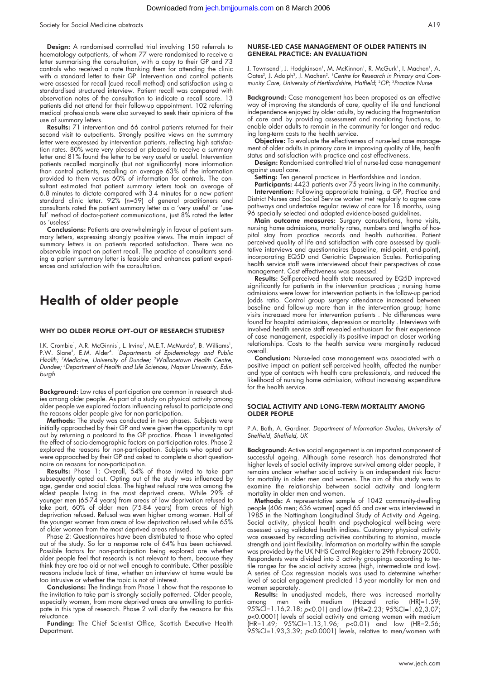Design: A randomised controlled trial involving 150 referrals to haematology outpatients, of whom 77 were randomised to receive a letter summarising the consultation, with a copy to their GP and 73 controls who received a note thanking them for attending the clinic with a standard letter to their GP. Intervention and control patients were assessed for recall (cued recall method) and satisfaction using a standardised structured interview. Patient recall was compared with observation notes of the consultation to indicate a recall score. 13 patients did not attend for their follow-up appointment. 102 referring medical professionals were also surveyed to seek their opinions of the use of summary letters.

Results: 71 intervention and 66 control patients returned for their second visit to outpatients. Strongly positive views on the summary letter were expressed by intervention patients, reflecting high satisfaction rates. 80% were very pleased or pleased to receive a summary letter and 81% found the letter to be very useful or useful. Intervention patients recalled marginally (but not significantly) more information than control patients, recalling on average 63% of the information provided to them versus 60% of information for controls. The consultant estimated that patient summary letters took an average of 6.8 minutes to dictate compared with 3-4 minutes for a new patient standard clinic letter. 92% (n=59) of general practitioners and consultants rated the patient summary letter as a 'very useful' or 'useful' method of doctor-patient communications, just 8% rated the letter as 'useless'

Conclusions: Patients are overwhelmingly in favour of patient summary letters, expressing strongly positive views. The main impact of summary letters is on patients reported satisfaction. There was no observable impact on patient recall. The practice of consultants sending a patient summary letter is feasible and enhances patient experiences and satisfaction with the consultation.

# Health of older people

### WHY DO OLDER PEOPLE OPT-OUT OF RESEARCH STUDIES?

I.K. Crombie<sup>1</sup>, A.R. McGinnis<sup>1</sup>, L. Irvine<sup>1</sup>, M.E.T. McMurdo<sup>2</sup>, B. Williams<sup>1</sup>, P.W. Slane<sup>3</sup>, E.M. Alder<sup>4</sup>. 'Departments of Epidemiology and Public Health; <sup>2</sup>Medicine, University of Dundee; <sup>3</sup>Wallacetown Health Centre, Dundee; <sup>4</sup> Department of Health and Life Sciences, Napier University, Edinburgh

Background: Low rates of participation are common in research studies among older people. As part of a study on physical activity among older people we explored factors influencing refusal to participate and the reasons older people give for non-participation.

Methods: The study was conducted in two phases. Subjects were initially approached by their GP and were given the opportunity to opt out by returning a postcard to the GP practice. Phase 1 investigated the effect of socio-demographic factors on participation rates. Phase 2 explored the reasons for non-participation. Subjects who opted out were approached by their GP and asked to complete a short questionnaire on reasons for non-participation.

Results: Phase 1: Overall, 54% of those invited to take part subsequently opted out. Opting out of the study was influenced by age, gender and social class. The highest refusal rate was among the eldest people living in the most deprived areas. While 29% of younger men (65-74 years) from areas of low deprivation refused to take part, 60% of older men (75-84 years) from areas of high deprivation refused. Refusal was even higher among women. Half of the younger women from areas of low deprivation refused while 65% of older women from the most deprived areas refused.

Phase 2: Questionnaires have been distributed to those who opted out of the study. So far a response rate of 64% has been achieved. Possible factors for non-participation being explored are whether older people feel that research is not relevant to them, because they think they are too old or not well enough to contribute. Other possible reasons include lack of time, whether an interview at home would be too intrusive or whether the topic is not of interest.

Conclusions: The findings from Phase 1 show that the response to the invitation to take part is strongly socially patterned. Older people, especially women, from more deprived areas are unwilling to participate in this type of research. Phase 2 will clarify the reasons for this reluctance.

Funding: The Chief Scientist Office, Scottish Executive Health Department.

### NURSE-LED CASE MANAGEMENT OF OLDER PATIENTS IN GENERAL PRACTICE: AN EVALUATION

J. Townsend', J. Hodgkinson', M. McKinnon', R. McGurk', I. Machen', A. Oates<sup>2</sup>, J. Adolph<sup>3</sup>, J. Machen<sup>2</sup>. 'Centre for Research in Primary and Community Care, University of Hertfordshire, Hatfield; <sup>2</sup>GP; <sup>3</sup>Practice Nurse

Background: Case management has been proposed as an effective way of improving the standards of care, quality of life and functional independence enjoyed by older adults, by reducing the fragmentation of care and by providing assessment and monitoring functions, to enable older adults to remain in the community for longer and reducing long-term costs to the health service.

Objective: To evaluate the effectiveness of nurse-led case management of older adults in primary care in improving quality of life, health status and satisfaction with practice and cost effectiveness.

Design: Randomised controlled trial of nurse-led case management against usual care.

Setting: Ten general practices in Hertfordshire and London.

Participants: 4423 patients over 75 years living in the community. Intervention: Following appropriate training, a GP, Practice and District Nurses and Social Service worker met regularly to agree care pathways and undertake regular review of care for 18 months, using 96 specially selected and adapted evidence-based guidelines.

Main outcome measures: Surgery consultations, home visits, nursing home admissions, mortality rates, numbers and lengths of hospital stay from practice records and health authorities. Patient perceived quality of life and satisfaction with care assessed by qualitative interviews and questionnaires (baseline, mid-point, end-point), incorporating EQ5D and Geriatric Depression Scales. Participating health service staff were interviewed about their perspectives of case management. Cost effectiveness was assessed.

Results: Self-perceived health state measured by EQ5D improved significantly for patients in the intervention practices ; nursing home admissions were lower for intervention patients in the follow-up period (odds ratio. Control group surgery attendance increased between baseline and follow-up more than in the intervention group; home visits increased more for intervention patients . No differences were found for hospital admissions, depression or mortality . Interviews with involved health service staff revealed enthusiasm for their experience of case management, especially its positive impact on closer working relationships. Costs to the health service were marginally reduced overall.

Conclusion: Nurse-led case management was associated with a positive impact on patient self-perceived health, affected the number and type of contacts with health care professionals, and reduced the likelihood of nursing home admission, without increasing expenditure for the health service.

### SOCIAL ACTIVITY AND LONG-TERM MORTALITY AMONG OLDER PEOPLE

P.A. Bath, A. Gardiner. Department of Information Studies, University of Sheffield, Sheffield, UK

Background: Active social engagement is an important component of successful ageing. Although some research has demonstrated that higher levels of social activity improve survival among older people, it remains unclear whether social activity is an independent risk factor for mortality in older men and women. The aim of this study was to examine the relationship between social activity and long-term mortality in older men and women.

Methods: A representative sample of 1042 community-dwelling people (406 men; 636 women) aged 65 and over was interviewed in 1985 in the Nottingham Longitudinal Study of Activity and Ageing. Social activity, physical health and psychological well-being were assessed using validated health indices. Customary physical activity was assessed by recording activities contributing to stamina, muscle strength and joint flexibility. Information on mortality within the sample was provided by the UK NHS Central Register to 29th February 2000. Respondents were divided into 3 activity groupings according to tertile ranges for the social activity scores (high, intermediate and low). A series of Cox regression models was used to determine whether level of social engagement predicted 15-year mortality for men and women separately.

**Results:** In unadjusted models, there was increased mortality among men with medium (Hazard ratio  $(HR)=1.59$ ; among men with medium (Hazard ratio (HR)=1.59; 95%CI=1.16,2.18; p<0.01) and low (HR=2.23; 95%CI=1.62,3.07; p<0.0001) levels of social activity and among women with medium (HR=1.49; 95%CI=1.13,1.96; p<0.01) and low (HR=2.56; 95%CI=1.93,3.39; p<0.0001) levels, relative to men/women with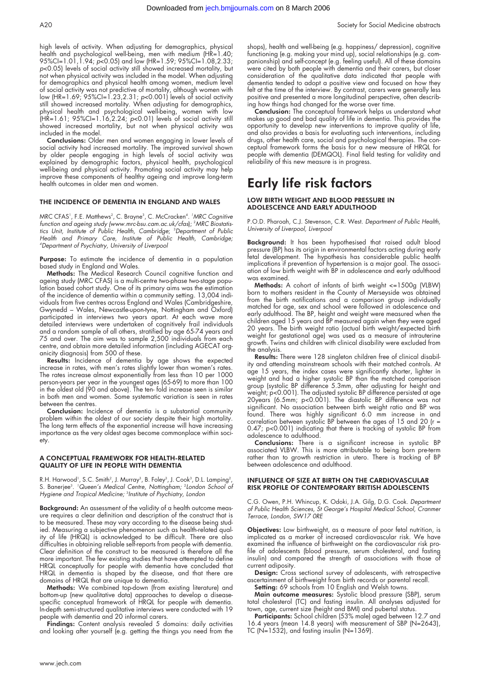high levels of activity. When adjusting for demographics, physical health and psychological well-being, men with medium (HR=1.40; 95%CI=1.01,1.94; p<0.05) and low (HR=1.59; 95%CI=1.08,2.33; p<0.05) levels of social activity still showed increased mortality, but not when physical activity was included in the model. When adjusting for demographics and physical health among women, medium level of social activity was not predictive of mortality, although women with low (HR=1.69; 95%CI=1.23,2.31; p<0.001) levels of social activity still showed increased mortality. When adjusting for demographics, physical health and psychological well-being, women with low (HR=1.61; 95%CI=1.16,2.24; p<0.01) levels of social activity still showed increased mortality, but not when physical activity was included in the model.

Conclusions: Older men and women engaging in lower levels of social activity had increased mortality. The improved survival shown by older people engaging in high levels of social activity was explained by demographic factors, physical health, psychological well-being and physical activity. Promoting social activity may help improve these components of healthy ageing and improve long-term health outcomes in older men and women.

### THE INCIDENCE OF DEMENTIA IN ENGLAND AND WALES

MRC CFAS<sup>1</sup>, F.E. Matthews<sup>2</sup>, C. Brayne<sup>3</sup>, C. McCracken<sup>4</sup>. *'MRC Cognitive* function and ageing study (www.mrc-bsu.cam.ac.uk/cfas); <sup>2</sup> MRC Biostatistics Unit, Institute of Public Health, Cambridge; <sup>3</sup> Department of Public Health and Primary Care, Institute of Public Health, Cambridge; 4 Department of Psychiatry, University of Liverpool

Purpose: To estimate the incidence of dementia in a population based study in England and Wales.

Methods: The Medical Research Council cognitive function and ageing study (MRC CFAS) is a multi-centre two-phase two-stage population based cohort study. One of its primary aims was the estimation of the incidence of dementia within a community setting. 13,004 individuals from five centres across England and Wales (Cambridgeshire, Gwynedd – Wales, Newcastle-upon-tyne, Nottingham and Oxford) participated in interviews two years apart. At each wave more detailed interviews were undertaken of cognitively frail individuals and a random sample of all others, stratified by age 65-74 years and 75 and over. The aim was to sample 2,500 individuals from each centre, and obtain more detailed information (including AGECAT organicity diagnosis) from 500 of these.

Results: Incidence of dementia by age shows the expected increase in rates, with men's rates slightly lower than women's rates. The rates increase almost exponentially from less than 10 per 1000 person-years per year in the youngest ages (65-69) to more than 100 in the oldest old (90 and above). The ten-fold increase seen is similar in both men and women. Some systematic variation is seen in rates between the centres.

Conclusion: Incidence of dementia is a substantial community problem within the oldest of our society despite their high mortality. The long term effects of the exponential increase will have increasing importance as the very oldest ages become commonplace within society.

### A CONCEPTUAL FRAMEWORK FOR HEALTH-RELATED QUALITY OF LIFE IN PEOPLE WITH DEMENTIA

R.H. Harwood', S.C. Smith<sup>2</sup>, J. Murray<sup>3</sup>, B. Foley<sup>3</sup>, J. Cook<sup>3</sup>, D.L. Lamping<sup>2</sup>, S. Banerjee<sup>3</sup>. 'Queen's Medical Centre, Nottingham; <sup>2</sup>London School of Hygiene and Tropical Medicine; 3Institute of Psychiatry, London

Background: An assessment of the validity of a health outcome measure requires a clear definition and description of the construct that is to be measured. These may vary according to the disease being studied. Measuring a subjective phenomenon such as health-related quality of life (HRQL) is acknowledged to be difficult. There are also difficulties in obtaining reliable self-reports from people with dementia. Clear definition of the construct to be measured is therefore all the more important. The few existing studies that have attempted to define HRQL conceptually for people with dementia have concluded that HRQL in dementia is shaped by the disease, and that there are domains of HRQL that are unique to dementia.

Methods: We combined top-down (from existing literature) and bottom-up (new qualitative data) approaches to develop a diseasespecific conceptual framework of HRQL for people with dementia. In-depth semi-structured qualitative interviews were conducted with 19 people with dementia and 20 informal carers.

Findings: Content analysis revealed 5 domains: daily activities and looking after yourself (e.g. getting the things you need from the

shops), health and well-being (e.g. happiness/ depression), cognitive functioning (e.g. making your mind up), social relationships (e.g. companionship) and self-concept (e.g. feeling useful). All of these domains were cited by both people with dementia and their carers, but closer consideration of the qualitative data indicated that people with dementia tended to adopt a positive view and focused on how they felt at the time of the interview. By contrast, carers were generally less positive and presented a more longitudinal perspective, often describing how things had changed for the worse over time.

**Conclusion:** The conceptual framework helps us understand what makes up good and bad quality of life in dementia. This provides the opportunity to develop new interventions to improve quality of life, and also provides a basis for evaluating such interventions, including drugs, other health care, social and psychological therapies. The conceptual framework forms the basis for a new measure of HRQL for people with dementia (DEMQOL). Final field testing for validity and reliability of this new measure is in progress.

# Early life risk factors

### LOW BIRTH WEIGHT AND BLOOD PRESSURE IN ADOLESCENCE AND EARLY ADULTHOOD

P.O.D. Pharoah, C.J. Stevenson, C.R. West. Department of Public Health, University of Liverpool, Liverpool

Background: It has been hypothesised that raised adult blood pressure (BP) has its origin in environmental factors acting during early fetal development. The hypothesis has considerable public health implications if prevention of hypertension is a major goal. The association of low birth weight with BP in adolescence and early adulthood was examined.

**Methods:** A cohort of infants of birth weight <=1500g (VLBW) born to mothers resident in the County of Merseyside was obtained from the birth notifications and a comparison group individually matched for age, sex and school were followed in adolescence and early adulthood. The BP, height and weight were measured when the children aged 15 years and BP measured again when they were aged 20 years. The birth weight ratio (actual birth weight/expected birth weight for gestational age) was used as a measure of intrauterine growth. Twins and children with clinical disability were excluded from the analysis.

Results: There were 128 singleton children free of clinical disability and attending mainstream schools with their matched controls. At age 15 years, the index cases were significantly shorter, lighter in weight and had a higher systolic BP than the matched comparison group (systolic BP difference 5.3mm, after adjusting for height and weight; p<0.001). The adjusted systolic BP difference persisted at age 20years (6.5mm; p<0.001). The diastolic BP difference was not significant. No association between birth weight ratio and BP was found. There was highly significant 6.0 mm increase in and correlation between systolic BP between the ages of 15 and 20 (r = 0.47; p<0.001) indicating that there is tracking of systolic BP from adolescence to adulthood.

Conclusions: There is a significant increase in systolic BP associated VLBW. This is more attributable to being born pre-term rather than to growth restriction in utero. There is tracking of BP between adolescence and adulthood.

### INFLUENCE OF SIZE AT BIRTH ON THE CARDIOVASCULAR RISK PROFILE OF CONTEMPORARY BRITISH ADOLESCENTS

C.G. Owen, P.H. Whincup, K. Odoki, J.A. Gilg, D.G. Cook. Department of Public Health Sciences, St George's Hospital Medical School, Cranmer Terrace, London, SW17 0RE

**Objectives:** Low birthweight, as a measure of poor fetal nutrition, is implicated as a marker of increased cardiovascular risk. We have examined the influence of birthweight on the cardiovascular risk profile of adolescents (blood pressure, serum cholesterol, and fasting insulin) and compared the strength of associations with those of current adiposity.

Design: Cross sectional survey of adolescents, with retrospective ascertainment of birthweight from birth records or parental recall.

Setting: 69 schools from 10 English and Welsh towns.

Main outcome measures: Systolic blood pressure (SBP), serum total cholesterol (TC) and fasting insulin. All analyses adjusted for town, age, current size (height and BMI) and pubertal status.

Participants: School children (53% male) aged between 12.7 and 16.4 years (mean 14.8 years) with measurement of SBP (N=2643), TC ( $N=1532$ ), and fasting insulin ( $N=1369$ ).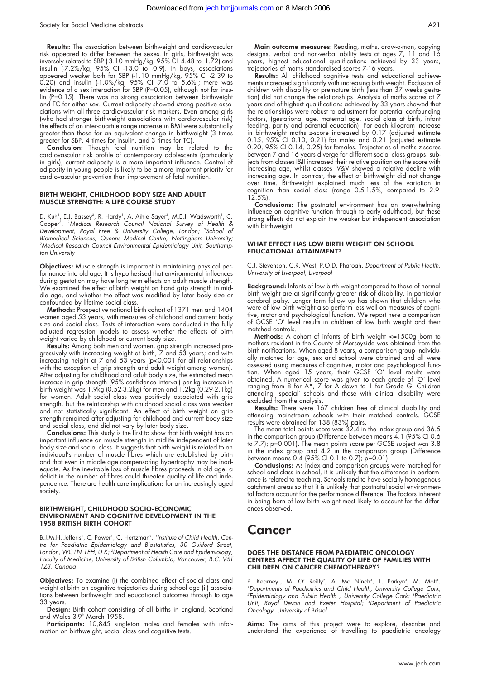Results: The association between birthweight and cardiovascular risk appeared to differ between the sexes. In girls, birthweight was inversely related to SBP (-3.10 mmHg/kg, 95% CI -4.48 to -1.72) and insulin (-7.2%/kg, 95% CI -13.0 to -0.9). In boys, associations appeared weaker both for SBP (-1.10 mmHg/kg, 95% CI -2.39 to 0.20) and insulin (-1.0%/kg, 95% CI -7.0 to 5.6%); there was evidence of a sex interaction for SBP (P=0.05), although not for insulin (P=0.15). There was no strong association between birthweight and TC for either sex. Current adiposity showed strong positive associations with all three cardiovascular risk markers. Even among girls (who had stronger birthweight associations with cardiovascular risk) the effects of an inter-quartile range increase in BMI were substantially greater than those for an equivalent change in birthweight (3 times greater for SBP, 4 times for insulin, and 3 times for TC).

Conclusion: Though fetal nutrition may be related to the cardiovascular risk profile of contemporary adolescents (particularly in girls), current adiposity is a more important influence. Control of adiposity in young people is likely to be a more important priority for cardiovascular prevention than improvement of fetal nutrition.

### BIRTH WEIGHT, CHILDHOOD BODY SIZE AND ADULT MUSCLE STRENGTH: A LIFE COURSE STUDY

D. Kuh<sup>1</sup>, E.J. Bassey<sup>2</sup>, R. Hardy<sup>1</sup>, A. Aihie Sayer<sup>3</sup>, M.E.J. Wadsworth<sup>1</sup>, C. Cooper3 . <sup>1</sup> Medical Research Council National Survey of Health & Development, Royal Free & University College, London; <sup>2</sup>School of Biomedical Sciences, Queens Medical Centre, Nottingham University; 3 Medical Research Council Environmental Epidemiology Unit, Southampton University

Objectives: Muscle strength is important in maintaining physical performance into old age. It is hypothesised that environmental influences during gestation may have long term effects on adult muscle strength. We examined the effect of birth weight on hand grip strength in middle age, and whether the effect was modified by later body size or confounded by lifetime social class.

Methods: Prospective national birth cohort of 1371 men and 1404 women aged 53 years, with measures of childhood and current body size and social class. Tests of interaction were conducted in the fully adjusted regression models to assess whether the effects of birth weight varied by childhood or current body size.

**Results:** Among both men and women, grip strength increased progressively with increasing weight at birth, 7 and 53 years; and with increasing height at 7 and 53 years (p<0.001 for all relationships with the exception of grip strength and adult weight among women). After adjusting for childhood and adult body size, the estimated mean increase in grip strength (95% confidence interval) per kg increase in birth weight was 1.9kg (0.52-3.2kg) for men and 1.2kg (0.29-2.1kg) for women. Adult social class was positively associated with grip strength, but the relationship with childhood social class was weaker and not statistically significant. An effect of birth weight on grip strength remained after adjusting for childhood and current body size and social class, and did not vary by later body size.

**Conclusions:** This study is the first to show that birth weight has an important influence on muscle strength in midlife independent of later body size and social class. It suggests that birth weight is related to an individual's number of muscle fibres which are established by birth and that even in middle age compensating hypertrophy may be inadequate. As the inevitable loss of muscle fibres proceeds in old age, a deficit in the number of fibres could threaten quality of life and independence. There are health care implications for an increasingly aged society.

### BIRTHWEIGHT, CHILDHOOD SOCIO-ECONOMIC ENVIRONMENT AND COGNITIVE DEVELOPMENT IN THE 1958 BRITISH BIRTH COHORT

B.J.M.H. Jefferis<sup>1</sup>, C. Power<sup>1</sup>, C. Hertzman<sup>2</sup>. *'Institute of Child Health, Cen*tre for Paediatric Epidemiology and Biostatistics, 30 Guilford Street, London, WC1N 1EH, U.K; <sup>2</sup>Department of Health Care and Epidemiology, Faculty of Medicine, University of British Columbia, Vancouver, B.C. V6T 1Z3, Canada

Objectives: To examine (i) the combined effect of social class and weight at birth on cognitive trajectories during school age (ii) associations between birthweight and educational outcomes through to age 33 years.

Design: Birth cohort consisting of all births in England, Scotland and Wales 3-9th March 1958.

Participants: 10,845 singleton males and females with information on birthweight, social class and cognitive tests.

**Main outcome measures:** Reading, maths, draw-a-man, copying designs, verbal and non-verbal ability tests at ages 7, 11 and 16 years, highest educational qualifications achieved by 33 years, trajectories of maths standardised scores 7-16 years.

Results: All childhood cognitive tests and educational achievements increased significantly with increasing birth weight. Exclusion of children with disability or premature birth (less than 37 weeks gestation) did not change the relationships. Analysis of maths scores at 7 years and of highest qualifications achieved by 33 years showed that the relationships were robust to adjustment for potential confounding factors, (gestational age, maternal age, social class at birth, infant feeding, parity and parental education). For each kilogram increase in birthweight maths z-score increased by 0.17 (adjusted estimate 0.15, 95% CI 0.10, 0.21) for males and 0.21 (adjusted estimate 0.20, 95% CI 0.14, 0.25) for females. Trajectories of maths z-scores between 7 and 16 years diverge for different social class groups: subjects from classes I&II increased their relative position on the score with increasing age, whilst classes IV&V showed a relative decline with increasing age. In contrast, the effect of birthweight did not change over time. Birthweight explained much less of the variation in cognition than social class (range 0.5-1.5%, compared to 2.9- 12.5%).

Conclusions: The postnatal environment has an overwhelming influence on cognitive function through to early adulthood, but these strong effects do not explain the weaker but independent association with birthweight.

### WHAT EFFECT HAS LOW BIRTH WEIGHT ON SCHOOL EDUCATIONAL ATTAINMENT?

C.J. Stevenson, C.R. West, P.O.D. Pharoah. Department of Public Health, University of Liverpool, Liverpool

Background: Infants of low birth weight compared to those of normal birth weight are at significantly greater risk of disability, in particular cerebral palsy. Longer term follow up has shown that children who were of low birth weight also perform less well on measures of cognitive, motor and psychological function. We report here a comparison of GCSE 'O' level results in children of low birth weight and their matched controls.

Methods: A cohort of infants of birth weight <=1500g born to mothers resident in the County of Merseyside was obtained from the birth notifications. When aged 8 years, a comparison group individually matched for age, sex and school were obtained and all were assessed using measures of cognitive, motor and psychological function. When aged 15 years, their GCSE 'O' level results were obtained. A numerical score was given to each grade of 'O' level ranging from 8 for A\*, 7 for A down to 1 for Grade G. Children attending 'special' schools and those with clinical disability were excluded from the analysis.

**Results:** There were 167 children free of clinical disability and attending mainstream schools with their matched controls. GCSE results were obtained for 138 (83%) pairs.

The mean total points score was 32.4 in the index group and 36.5 in the comparison group (Difference between means 4.1 (95% CI 0.6 to 7.7); p=0.001). The mean points score per GCSE subject was 3.8 in the index group and 4.2 in the comparison group (Difference between means 0.4 (95% CI 0.1 to 0.7); p=0.01).

Conclusions: As index and comparison groups were matched for school and class in school, it is unlikely that the difference in performance is related to teaching. Schools tend to have socially homogenous catchment areas so that it is unlikely that postnatal social environmental factors account for the performance difference. The factors inherent in being born of low birth weight most likely to account for the differences observed.

### Cancer

#### DOES THE DISTANCE FROM PAEDIATRIC ONCOLOGY CENTRES AFFECT THE QUALITY OF LIFE OF FAMILIES WITH CHILDREN ON CANCER CHEMOTHERAPY?

P. Kearney<sup>1</sup>, M. O' Reilly<sup>2</sup>, A. Mc Ninch<sup>3</sup>, T. Parkyn<sup>3</sup>, M. Mott<sup>4</sup>.<br>'Departments of Paediatrics and Child Health, University College Cork;<br><sup>2</sup>Epidemiology and Public Health , University College Cork; <sup>3</sup>Paediatric Unit, Royal Devon and Exeter Hospital; <sup>4</sup> Department of Paediatric Oncology, University of Bristol

Aims: The aims of this project were to explore, describe and understand the experience of travelling to paediatric oncology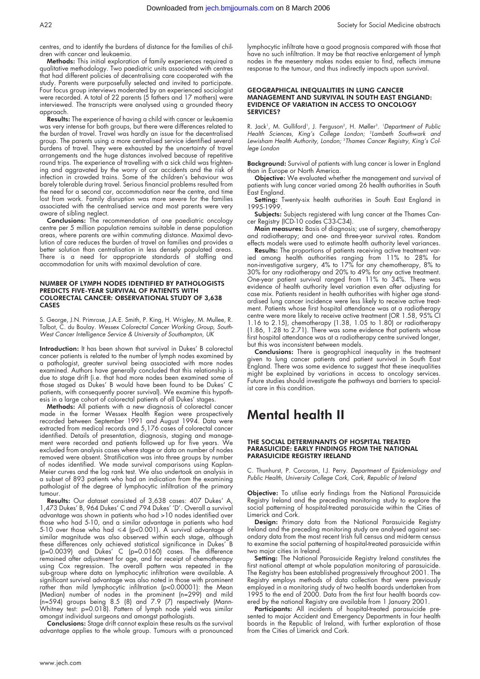centres, and to identify the burdens of distance for the families of children with cancer and leukaemia.

Methods: This initial exploration of family experiences required a qualitative methodology. Two paediatric units associated with centres that had different policies of decentralising care cooperated with the study. Parents were purposefully selected and invited to participate. Four focus group interviews moderated by an experienced sociologist were recorded. A total of 22 parents (5 fathers and 17 mothers) were interviewed. The transcripts were analysed using a grounded theory approach.

Results: The experience of having a child with cancer or leukaemia was very intense for both groups, but there were differences related to the burden of travel. Travel was hardly an issue for the decentralised group. The parents using a more centralised service identified several burdens of travel. They were exhausted by the uncertainty of travel arrangements and the huge distances involved because of repetitive round trips. The experience of travelling with a sick child was frightening and aggravated by the worry of car accidents and the risk of infection in crowded trains. Some of the children's behaviour was barely tolerable during travel. Serious financial problems resulted from the need for a second car, accommodation near the centre, and time lost from work. Family disruption was more severe for the families associated with the centralised service and most parents were very aware of sibling neglect.

**Conclusions:** The recommendation of one paediatric oncology centre per 5 million population remains suitable in dense population areas, where parents are within commuting distance. Maximal devolution of care reduces the burden of travel on families and provides a better solution than centralisation in less densely populated areas. There is a need for appropriate standards of staffing and accommodation for units with maximal devolution of care.

### NUMBER OF LYMPH NODES IDENTIFIED BY PATHOLOGISTS PREDICTS FIVE-YEAR SURVIVAL OF PATIENTS WITH COLORECTAL CANCER: OBSERVATIONAL STUDY OF 3,638 CASES

S. George, J.N. Primrose, J.A.E. Smith, P. King, H. Wrigley, M. Mullee, R. Talbot, C. du Boulay. Wessex Colorectal Cancer Working Group, South-West Cancer Intelligence Service & University of Southampton, UK

Introduction: It has been shown that survival in Dukes' B colorectal cancer patients is related to the number of lymph nodes examined by a pathologist, greater survival being associated with more nodes examined. Authors have generally concluded that this relationship is due to stage drift (i.e. that had more nodes been examined some of those staged as Dukes' B would have been found to be Dukes' C patients, with consequently poorer survival). We examine this hypothesis in a large cohort of colorectal patients of all Dukes' stages.

Methods: All patients with a new diagnosis of colorectal cancer made in the former Wessex Health Region were prospectively recorded between September 1991 and August 1994. Data were extracted from medical records and 5,176 cases of colorectal cancer identified. Details of presentation, diagnosis, staging and management were recorded and patients followed up for five years. We excluded from analysis cases where stage or data on number of nodes removed were absent. Stratification was into three groups by number of nodes identified. We made survival comparisons using Kaplan-Meier curves and the log rank test. We also undertook an analysis in a subset of 893 patients who had an indication from the examining pathologist of the degree of lymphocytic infiltration of the primary tumour.

Results: Our dataset consisted of 3,638 cases: 407 Dukes' A, 1,473 Dukes' B, 964 Dukes' C and 794 Dukes' 'D'. Overall a survival advantage was shown in patients who had >10 nodes identified over those who had 5-10, and a similar advantage in patients who had 5-10 over those who had  $\leq 4$  (p<0.001). A survival advantage of similar magnitude was also observed within each stage, although these differences only achieved statistical significance in Dukes' B (p=0.0039) and Dukes' C (p=0.0160) cases. The difference remained after adjustment for age, and for receipt of chemotherapy using Cox regression. The overall pattern was repeated in the sub-group where data on lymphocytic infiltration were available. A significant survival advantage was also noted in those with prominent rather than mild lymphocytic infiltration (p<0.00001): the Mean (Median) number of nodes in the prominent (n=299) and mild (n=594) groups being 8.5 (8) and 7.9 (7) respectively (Mann-Whitney test: p=0.018). Pattern of lymph node yield was similar amongst individual surgeons and amongst pathologists.

Conclusions: Stage drift cannot explain these results as the survival advantage applies to the whole group. Tumours with a pronounced

lymphocytic infiltrate have a good prognosis compared with those that have no such infiltration. It may be that reactive enlargement of lymph nodes in the mesentery makes nodes easier to find, reflects immune response to the tumour, and thus indirectly impacts upon survival.

#### GEOGRAPHICAL INEQUALITIES IN LUNG CANCER MANAGEMENT AND SURVIVAL IN SOUTH EAST ENGLAND: EVIDENCE OF VARIATION IN ACCESS TO ONCOLOGY SERVICES?

R. Jack<sup>1</sup>, M. Gulliford<sup>1</sup>, J. Ferguson<sup>2</sup>, H. Møller<sup>3</sup>. *'Department of Public* Health Sciences, King's College London; <sup>2</sup>Lambeth Southwark and Lewisham Health Authority, London; <sup>3</sup> Thames Cancer Registry, King's College London

Background: Survival of patients with lung cancer is lower in England than in Europe or North America.

Objective: We evaluated whether the management and survival of patients with lung cancer varied among 26 health authorities in South East England.

Setting: Twenty-six health authorities in South East England in 1995-1999.

Subjects: Subjects registered with lung cancer at the Thames Cancer Registry (ICD-10 codes C33-C34).

Main measures: Basis of diagnosis; use of surgery, chemotherapy and radiotherapy; and one- and three-year survival rates. Random effects models were used to estimate health authority level variances.

Results: The proportions of patients receiving active treatment varied among health authorities ranging from 11% to 28% for non-investigative surgery, 4% to 17% for any chemotherapy, 8% to 30% for any radiotherapy and 20% to 49% for any active treatment. One-year patient survival ranged from 11% to 34%. There was evidence of health authority level variation even after adjusting for case mix. Patients resident in health authorities with higher age standardised lung cancer incidence were less likely to receive active treatment. Patients whose first hospital attendance was at a radiotherapy centre were more likely to receive active treatment (OR 1.58, 95% CI 1.16 to 2.15), chemotherapy (1.38, 1.05 to 1.80) or radiotherapy  $(1.86, 1.28$  to 2.71). There was some evidence that patients whose first hospital attendance was at a radiotherapy centre survived longer, but this was inconsistent between models.

Conclusions: There is geographical inequality in the treatment given to lung cancer patients and patient survival in South East England. There was some evidence to suggest that these inequalities might be explained by variations in access to oncology services. Future studies should investigate the pathways and barriers to specialist care in this condition.

# Mental health II

### THE SOCIAL DETERMINANTS OF HOSPITAL TREATED PARASUICIDE: EARLY FINDINGS FROM THE NATIONAL PARASUICIDE REGISTRY IRELAND

C. Thunhurst, P. Corcoran, I.J. Perry. Department of Epidemiology and Public Health, University College Cork, Cork, Republic of Ireland

Objective: To utilise early findings from the National Parasuicide Registry Ireland and the preceding monitoring study to explore the social patterning of hospital-treated parasuicide within the Cities of Limerick and Cork.

Design: Primary data from the National Parasuicide Registry Ireland and the preceding monitoring study are analysed against secondary data from the most recent Irish full census and mid-term census to examine the social patterning of hospital-treated parasuicide within two major cities in Ireland.

Setting: The National Parasuicide Registry Ireland constitutes the first national attempt at whole population monitoring of parasuicide. The Registry has been established progressively throughout 2001. The Registry employs methods of data collection that were previously employed in a monitoring study of two health boards undertaken from 1995 to the end of 2000. Data from the first four health boards covered by the national Registry are available from 1 January 2001.

Participants: All incidents of hospital-treated parasuicide presented to major Accident and Emergency Departments in four health boards in the Republic of Ireland, with further exploration of those from the Cities of Limerick and Cork.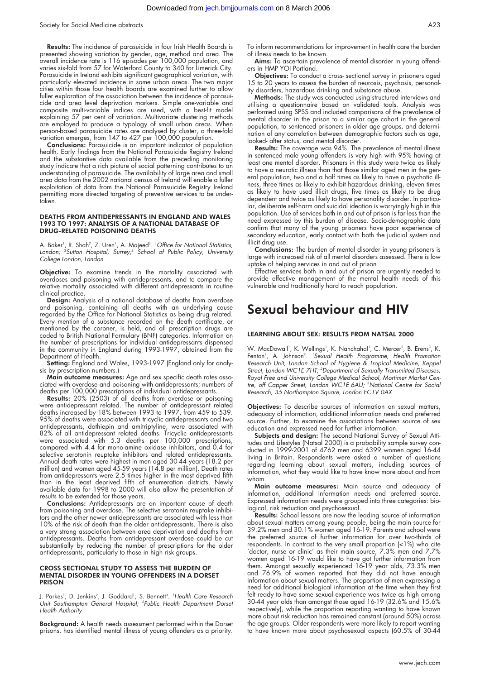Results: The incidence of parasuicide in four Irish Health Boards is presented showing variation by gender, age, method and area. The overall incidence rate is 116 episodes per 100,000 population, and varies six-fold from 57 for Waterford County to 340 for Limerick City. Parasuicide in Ireland exhibits significant geographical variation, with particularly elevated incidence in some urban areas. The two major cities within those four health boards are examined further to allow fuller exploration of the association between the incidence of parasuicide and area level deprivation markers. Simple one-variable and composite multi-variable indices are used, with a best-fit model explaining 57 per cent of variation. Multivariate clustering methods are employed to produce a typology of small urban areas. When person-based parasuicide rates are analysed by cluster, a three-fold variation emerges, from 147 to 427 per 100,000 population.

Conclusions: Parasuicide is an important indicator of population health. Early findings from the National Parasuicide Registry Ireland and the substantive data available from the preceding monitoring study indicate that a rich picture of social patterning contributes to an understanding of parasuicide. The availability of large area and small area data from the 2002 national census of Ireland will enable a fuller exploitation of data from the National Parasuicide Registry Ireland permitting more directed targeting of preventive services to be undertaken.

### DEATHS FROM ANTIDEPRESSANTS IN ENGLAND AND WALES 1993 TO 1997: ANALYSIS OF A NATIONAL DATABASE OF DRUG-RELATED POISONING DEATHS

A. Baker<sup>1</sup>, R. Shah<sup>2</sup>, Z. Uren<sup>1</sup>, A. Majeed<sup>3</sup>. *'Office for National Statistics,* London; <sup>2</sup> Sutton Hospital, Surrey;<sup>3</sup> School of Public Policy, University College London, London

Objective: To examine trends in the mortality associated with overdoses and poisoning with antidepressants, and to compare the relative mortality associated with different antidepressants in routine clinical practice.

Design: Analysis of a national database of deaths from overdose and poisoning, containing all deaths with an underlying cause regarded by the Office for National Statistics as being drug related. Every mention of a substance recorded on the death certificate, or mentioned by the coroner, is held, and all prescription drugs are coded to British National Formulary (BNF) categories. Information on the number of prescriptions for individual antidepressants dispensed in the community in England during 1993-1997, obtained from the Department of Health.

Setting: England and Wales, 1993-1997 (England only for analysis by prescription numbers.)

Main outcome measures: Age and sex specific death rates associated with overdose and poisoning with antidepressants; numbers of deaths per 100,000 prescriptions of individual antidepressants.

**Results:** 20% (2503) of all deaths from overdose or poisoning were antidepressant related. The number of antidepressant related deaths increased by 18% between 1993 to 1997, from 459 to 539. 95% of deaths were associated with tricyclic antidepressants and two antidepressants, dothiepin and amitriptyline, were associated with 82% of all antidepressant related deaths. Tricyclic antidepressants were associated with 5.3 deaths per 100,000 prescriptions, compared with 4.4 for mono-amine oxidase inhibitors, and 0.4 for selective serotonin reuptake inhibitors and related antidepressants. Annual death rates were highest in men aged 30-44 years (18.2 per million) and women aged 45-59 years (14.8 per million). Death rates from antidepressants were 2.5 times higher in the most deprived fifth than in the least deprived fifth of enumeration districts. Newly available data for 1998 to 2000 will also allow the presentation of results to be extended for those years.

Conclusions: Antidepressants are an important cause of death from poisoning and overdose. The selective serotonin reuptake inhibitors and the other newer antidepressants are associated with less than 10% of the risk of death than the older antidepressants. There is also a very strong association between area deprivation and deaths from antidepressants. Deaths from antidepressant overdose could be cut substantially by reducing the number of prescriptions for the older antidepressants, particularly to those in high risk groups.

### CROSS SECTIONAL STUDY TO ASSESS THE BURDEN OF MENTAL DISORDER IN YOUNG OFFENDERS IN A DORSET PRISON

J. Parkes<sup>1</sup>, D. Jenkins<sup>2</sup>, J. Goddard<sup>1</sup>, S. Bennett<sup>3</sup>. *'Health Care Research* Unit Southampton General Hospital; <sup>2</sup> Public Health Department Dorset Health Authority

Background: A health needs assessment performed within the Dorset prisons, has identified mental illness of young offenders as a priority.

To inform recommendations for improvement in health care the burden of illness needs to be known.

Aims: To ascertain prevalence of mental disorder in young offenders in HMP YOI Portland.

Objectives: To conduct a cross- sectional survey in prisoners aged 15 to 20 years to assess the burden of neurosis, psychosis, personality disorders, hazardous drinking and substance abuse.

Methods: The study was conducted using structured interviews and utilising a questionnaire based on validated tools. Analysis was performed using SPSS and included comparisons of the prevalence of mental disorder in the prison to a similar age cohort in the general population, to sentenced prisoners in older age groups, and determination of any correlation between demographic factors such as age, looked- after status, and mental disorder.

Results: The coverage was 94%. The prevalence of mental illness in sentenced male young offenders is very high with 95% having at least one mental disorder. Prisoners in this study were twice as likely to have a neurotic illness than that those similar aged men in the general population, two and a half times as likely to have a psychotic illness, three times as likely to exhibit hazardous drinking, eleven times as likely to have used illicit drugs, five times as likely to be drug dependent and twice as likely to have personality disorder. In particular, deliberate self-harm and suicidal ideation is worryingly high in this population. Use of services both in and out of prison is far less than the need expressed by this burden of disease. Socio-demographic data confirm that many of the young prisoners have poor experience of secondary education, early contact with both the judicial system and illicit drug use.

Conclusions: The burden of mental disorder in young prisoners is large with increased risk of all mental disorders assessed. There is low uptake of helping services in and out of prison

Effective services both in and out of prison are urgently needed to provide effective management of the mental health needs of this vulnerable and traditionally hard to reach population.

# Sexual behaviour and HIV

### LEARNING ABOUT SEX: RESULTS FROM NATSAL 2000

W. MacDowall', K. Wellings', K. Nanchahal', C. Mercer<sup>2</sup>, B. Erens<sup>3</sup>, K. Fenton<sup>2</sup>, A. Johnson<sup>2</sup>. 'Sexual Health Programme, Health Promotion Research Unit, London School of Hygiene & Tropical Medicine, Keppel Street, London WC1E 7HT; <sup>2</sup>Department of Sexually Transmitted Diseases, Royal Free and University College Medical School, Mortimer Market Centre, off Capper Street, London WC1E 6AU; <sup>3</sup>National Centre for Social Research, 35 Northampton Square, London EC1V 0AX

Objectives: To describe sources of information on sexual matters, adequacy of information, additional information needs and preferred source. Further, to examine the associations between source of sex education and expressed need for further information.

Subjects and design: The second National Survey of Sexual Attitudes and Lifestyles (Natsal 2000) is a probability sample survey conducted in 1999-2001 of 4762 men and 6399 women aged 16-44 living in Britain. Respondents were asked a number of questions regarding learning about sexual matters, including sources of information, what they would like to have know more about and from whom.

Main outcome measures: Main source and adequacy of information, additional information needs and preferred source. Expressed information needs were grouped into three categories: biological, risk reduction and psychosexual.

Results: School lessons are now the leading source of information about sexual matters among young people, being the main source for 39.2% men and 30.1% women aged 16-19. Parents and school were the preferred source of further information for over two-thirds of respondents. In contrast to the very small proportion (<1%) who cite 'doctor, nurse or clinic' as their main source, 7.3% men and 7.7% women aged 16-19 would like to have got further information from them. Amongst sexually experienced 16-19 year olds, 73.3% men and 76.9% of women reported that they did not have enough information about sexual matters. The proportion of men expressing a need for additional biological information at the time when they first felt ready to have some sexual experience was twice as high among 30-44 year olds than amongst those aged 16-19 (32.6% and 15.6% respectively), while the proportion reporting wanting to have known more about risk reduction has remained constant (around 50%) across the age groups. Older respondents were more likely to report wanting to have known more about psychosexual aspects (60.5% of 30-44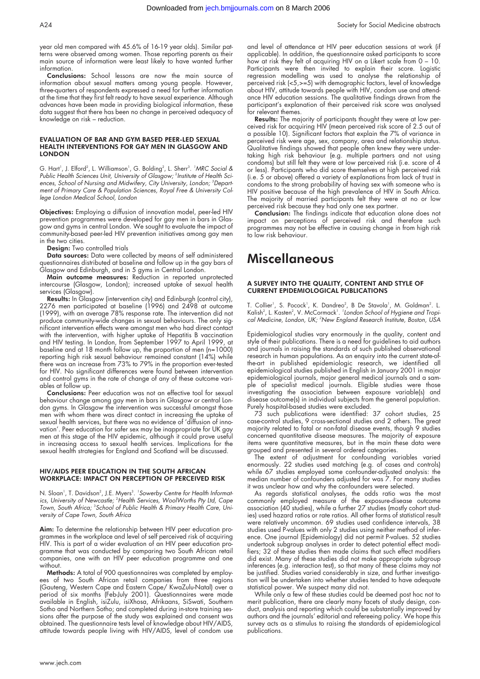year old men compared with 45.6% of 16-19 year olds). Similar patterns were observed among women. Those reporting parents as their main source of information were least likely to have wanted further information.

Conclusions: School lessons are now the main source of information about sexual matters among young people. However, three-quarters of respondents expressed a need for further information at the time that they first felt ready to have sexual experience. Although advances have been made in providing biological information, these data suggest that there has been no change in perceived adequacy of knowledge on risk – reduction.

#### EVALUATION OF BAR AND GYM BASED PEER-LED SEXUAL HEALTH INTERVENTIONS FOR GAY MEN IN GLASGOW AND LONDON

G. Hart', J. Elford<sup>2</sup>, L. Williamson', G. Bolding<sup>2</sup>, L. Sherr<sup>3</sup>. *'MRC Social &* Public Health Sciences Unit, University of Glasgow; <sup>2</sup> Institute of Health Sciences, School of Nursing and Midwifery, City University, London; <sup>3</sup>Department of Primary Care & Population Sciences, Royal Free & University College London Medical School, London

Objectives: Employing a diffusion of innovation model, peer-led HIV prevention programmes were developed for gay men in bars in Glasgow and gyms in central London. We sought to evaluate the impact of community-based peer-led HIV prevention initiatives among gay men in the two cities.

Design: Two controlled trials

**Data sources:** Data were collected by means of self administered questionnaires distributed at baseline and follow up in the gay bars of Glasgow and Edinburgh, and in 5 gyms in Central London.

**Main outcome measures:** Reduction in reported unprotected intercourse (Glasgow, London); increased uptake of sexual health services (Glasgow).

**Results:** In Glasgow (intervention city) and Edinburgh (control city), 2276 men participated at baseline (1996) and 2498 at outcome (1999), with an average 78% response rate. The intervention did not produce community-wide changes in sexual behaviours. The only significant intervention effects were amongst men who had direct contact with the intervention, with higher uptake of Hepatitis B vaccination and HIV testing. In London, from September 1997 to April 1999, at baseline and at 18 month follow up, the proportion of men (n=1000) reporting high risk sexual behaviour remained constant (14%) while there was an increase from 73% to 79% in the proportion ever-tested for HIV. No significant differences were found between intervention and control gyms in the rate of change of any of these outcome variables at follow up.

Conclusions: Peer education was not an effective tool for sexual behaviour change among gay men in bars in Glasgow or central London gyms. In Glasgow the intervention was successful amongst those men with whom there was direct contact in increasing the uptake of sexual health services, but there was no evidence of 'diffusion of innovation'. Peer education for safer sex may be inappropriate for UK gay men at this stage of the HIV epidemic, although it could prove useful in increasing access to sexual health services. Implications for the sexual health strategies for England and Scotland will be discussed.

### HIV/AIDS PEER EDUCATION IN THE SOUTH AFRICAN WORKPLACE: IMPACT ON PERCEPTION OF PERCEIVED RISK

N. Sloan<sup>1</sup>, T. Davidson<sup>2</sup>, J.E. Myers<sup>3</sup>. 'Sowerby Centre for Health Informatics, University of Newcastle; <sup>2</sup>Health Services, WoolWorths Pty Ltd, Cape Town, South Africa; <sup>3</sup>School of Public Health & Primary Health Care, University of Cape Town, South Africa

**Aim:** To determine the relationship between HIV peer education programmes in the workplace and level of self perceived risk of acquiring HIV. This is part of a wider evaluation of an HIV peer education programme that was conducted by comparing two South African retail companies, one with an HIV peer education programme and one without.

Methods: A total of 900 questionnaires was completed by employees of two South African retail companies from three regions (Gauteng, Western Cape and Eastern Cape/ KwaZulu-Natal) over a period of six months (Feb-July 2001). Questionnaires were made available in English, isiZulu, isiXhosa, Afrikaans, SiSwati, Southern Sotho and Northern Sotho; and completed during in-store training sessions after the purpose of the study was explained and consent was obtained. The questionnaire tests level of knowledge about HIV/AIDS, attitude towards people living with HIV/AIDS, level of condom use

and level of attendance at HIV peer education sessions at work (if applicable). In addition, the questionnaire asked participants to score how at risk they felt of acquiring HIV on a Likert scale from 0 – 10. Participants were then invited to explain their score. Logistic regression modelling was used to analyse the relationship of perceived risk (<5,>=5) with demographic factors, level of knowledge about HIV, attitude towards people with HIV, condom use and attendance HIV education sessions. The qualitative findings drawn from the participant's explanation of their perceived risk score was analysed for relevant themes.

Results: The majority of participants thought they were at low perceived risk for acquiring HIV (mean perceived risk score of 2.5 out of a possible 10). Significant factors that explain the 7% of variance in perceived risk were age, sex, company, area and relationship status. Qualitative findings showed that people often knew they were undertaking high risk behaviour (e.g. multiple partners and not using condoms) but still felt they were at low perceived risk (i.e. score of 4 or less). Participants who did score themselves at high perceived risk (i.e. 5 or above) offered a variety of explanations from lack of trust in condoms to the strong probability of having sex with someone who is HIV positive because of the high prevalence of HIV in South Africa. The majority of married participants felt they were at no or low perceived risk because they had only one sex partner.

Conclusion: The findings indicate that education alone does not impact on perceptions of perceived risk and therefore such programmes may not be effective in causing change in from high risk to low risk behaviour.

# **Miscellaneous**

### A SURVEY INTO THE QUALITY, CONTENT AND STYLE OF CURRENT EPIDEMIOLOGICAL PUBLICATIONS

T. Collier<sup>1</sup>, S. Pocock<sup>1</sup>, K. Dandreo<sup>2</sup>, B De Stavola<sup>1</sup>, M. Goldman<sup>2</sup>. L. Kalish<sup>2</sup>, L. Kasten<sup>2</sup>, V. McCormack<sup>1</sup>. 'London School of Hygiene and Tropical Medicine, London, UK; <sup>2</sup>New England Research Institute, Boston, USA

Epidemiological studies vary enormously in the quality, content and style of their publications. There is a need for guidelines to aid authors and journals in raising the standards of such published observational research in human populations. As an enquiry into the current state-ofthe-art in published epidemiologic research, we identified all epidemiological studies published in English in January 2001 in major epidemiological journals, major general medical journals and a sample of specialist medical journals. Eligible studies were those investigating the association between exposure variable(s) and disease outcome(s) in individual subjects from the general population. Purely hospital-based studies were excluded.

73 such publications were identified: 37 cohort studies, 25 case-control studies, 9 cross-sectional studies and 2 others. The great majority related to fatal or non-fatal disease events, though 9 studies concerned quantitative disease measures. The majority of exposure items were quantitative measures, but in the main these data were grouped and presented in several ordered categories.

The extent of adjustment for confounding variables varied enormously. 22 studies used matching (e.g. of cases and controls) while 67 studies employed some confounder-adjusted analysis: the median number of confounders adjusted for was 7. For many studies it was unclear how and why the confounders were selected.

As regards statistical analyses, the odds ratio was the most commonly employed measure of the exposure-disease outcome association (40 studies), while a further 27 studies (mostly cohort studies) used hazard ratios or rate ratios. All other forms of statistical result were relatively uncommon. 69 studies used confidence intervals, 38 studies used P-values with only 2 studies using neither method of inference. One journal (Epidemiology) did not permit P-values. 52 studies undertook subgroup analyses in order to detect potential effect modifiers; 32 of these studies then made claims that such effect modifiers did exist. Many of these studies did not make appropriate subgroup inferences (e.g. interaction test), so that many of these claims may not be justified. Studies varied considerably in size, and further investigation will be undertaken into whether studies tended to have adequate statistical power. We suspect many did not.

While only a few of these studies could be deemed post hoc not to merit publication, there are clearly many facets of study design, conduct, analysis and reporting which could be substantially improved by authors and the journals' editorial and refereeing policy. We hope this survey acts as a stimulus to raising the standards of epidemiological publications.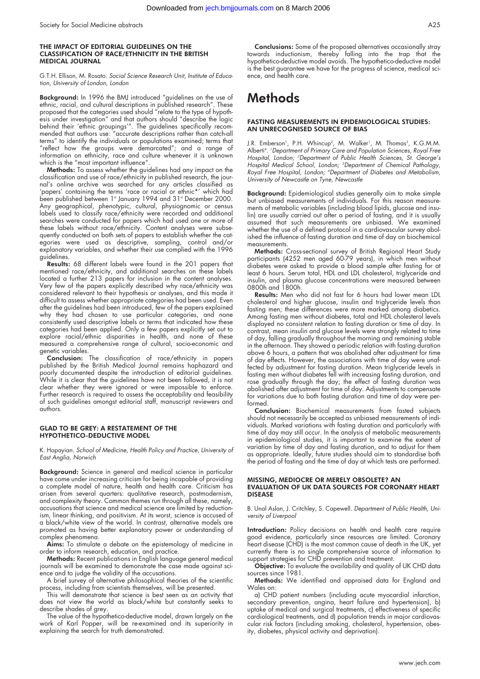### THE IMPACT OF EDITORIAL GUIDELINES ON THE CLASSIFICATION OF RACE/ETHNICITY IN THE BRITISH MEDICAL JOURNAL

G.T.H. Ellison, M. Rosato. Social Science Research Unit, Institute of Education, University of London, London

Background: In 1996 the BMJ introduced "guidelines on the use of ethnic, racial, and cultural descriptions in published research". These proposed that the categories used should "relate to the type of hypothesis under investigation" and that authors should "describe the logic behind their 'ethnic groupings'". The guidelines specifically recommended that authors use: "accurate descriptions rather than catch-all terms" to identify the individuals or populations examined; terms that "reflect how the groups were demarcated"; and a range of information on ethnicity, race and culture whenever it is unknown which is the "most important influence".

Methods: To assess whether the guidelines had any impact on the classification and use of race/ethnicity in published research, the journal's online archive was searched for any articles classified as 'papers' containing the terms 'race or racial or ethnic\*' which had been published between 1st January 1994 and 31st December 2000. Any geographical, phenotypic, cultural, physiognomic or census labels used to classify race/ethnicity were recorded and additional searches were conducted for papers which had used one or more of these labels without race/ethnicity. Content analyses were subsequently conducted on both sets of papers to establish whether the categories were used as descriptive, sampling, control and/or explanatory variables, and whether their use complied with the 1996 guidelines.

Results: 68 different labels were found in the 201 papers that mentioned race/ethnicity, and additional searches on these labels located a further 213 papers for inclusion in the content analyses. Very few of the papers explicitly described why race/ethnicity was considered relevant to their hypothesis or analyses, and this made it difficult to assess whether appropriate categories had been used. Even after the guidelines had been introduced, few of the papers explained why they had chosen to use particular categories, and none consistently used descriptive labels or terms that indicated how these categories had been applied. Only a few papers explicitly set out to explore racial/ethnic disparities in health, and none of these measured a comprehensive range of cultural, socio-economic and genetic variables.

Conclusion: The classification of race/ethnicity in papers published by the British Medical Journal remains haphazard and poorly documented despite the introduction of editorial guidelines. While it is clear that the guidelines have not been followed, it is not clear whether they were ignored or were impossible to enforce. Further research is required to assess the acceptability and feasibility of such guidelines amongst editorial staff, manuscript reviewers and authors.

### GLAD TO BE GREY: A RESTATEMENT OF THE HYPOTHETICO-DEDUCTIVE MODEL

K. Hopayian. School of Medicine, Health Policy and Practice, University of East Anglia, Norwich

Background: Science in general and medical science in particular have come under increasing criticism for being incapable of providing a complete model of nature, health and health care. Criticism has arisen from several quarters: qualitative research, postmodernism, and complexity theory. Common themes run through all these, namely, accusations that science and medical science are limited by reductionism, linear thinking, and positivism. At its worst, science is accused of a black/white view of the world. In contrast, alternative models are promoted as having better explanatory power or understanding of complex phenomena.

Aims: To stimulate a debate on the epistemology of medicine in order to inform research, education, and practice.

Methods: Recent publications in English language general medical journals will be examined to demonstrate the case made against science and to judge the validity of the accusations.

A brief survey of alternative philosophical theories of the scientific process, including from scientists themselves, will be presented.

This will demonstrate that science is best seen as an activity that does not view the world as black/white but constantly seeks to describe shades of grey.

The value of the hypothetico-deductive model, drawn largely on the work of Karl Popper, will be re-examined and its superiority in explaining the search for truth demonstrated.

**Conclusions:** Some of the proposed alternatives occasionally stray towards inductionism, thereby falling into the trap that the hypothetico-deductive model avoids. The hypothetico-deductive model is the best guarantee we have for the progress of science, medical science, and health care.

# Methods

### FASTING MEASUREMENTS IN EPIDEMIOLOGICAL STUDIES: AN UNRECOGNISED SOURCE OF BIAS

J.R. Emberson<sup>1</sup>, P.H. Whincup<sup>2</sup>, M. Walker<sup>1</sup>, M. Thomas<sup>3</sup>, K.G.M.M. Alberti<sup>4</sup>. *Department of Primary Care and Population Sciences, Royal Free* Hospital, London; <sup>2</sup> Department of Public Health Sciences, St. George's Hospital Medical School, London; <sup>3</sup> Department of Chemical Pathology, Royal Free Hospital, London; <sup>4</sup> Department of Diabetes and Metabolism, University of Newcastle on Tyne, Newcastle

Background: Epidemiological studies generally aim to make simple but unbiased measurements of individuals. For this reason measurements of metabolic variables (including blood lipids, glucose and insulin) are usually carried out after a period of fasting, and it is usually assumed that such measurements are unbiased. We examined whether the use of a defined protocol in a cardiovascular survey abolished the influence of fasting duration and time of day on biochemical measurements.

**Methods:** Cross-sectional survey of British Regional Heart Study participants (4252 men aged 60-79 years), in which men without diabetes were asked to provide a blood sample after fasting for at least 6 hours. Serum total, HDL and LDL cholesterol, triglyceride and insulin, and plasma glucose concentrations were measured between 0800h and 1800h.

Results: Men who did not fast for 6 hours had lower mean LDL cholesterol and higher glucose, insulin and triglyceride levels than fasting men; these differences were more marked among diabetics. Among fasting men without diabetes, total and HDL cholesterol levels displayed no consistent relation to fasting duration or time of day. In contrast, mean insulin and glucose levels were strongly related to time of day, falling gradually throughout the morning and remaining stable in the afternoon. They showed a periodic relation with fasting duration above 6 hours, a pattern that was abolished after adjustment for time of day effects. However, the associations with time of day were unaffected by adjustment for fasting duration. Mean triglyceride levels in fasting men without diabetes fell with increasing fasting duration, and rose gradually through the day; the effect of fasting duration was abolished after adjustment for time of day. Adjustments to compensate for variations due to both fasting duration and time of day were performed.

Conclusion: Biochemical measurements from fasted subjects should not necessarily be accepted as unbiased measurements of individuals. Marked variations with fasting duration and particularly with time of day may still occur. In the analysis of metabolic measurements in epidemiological studies, it is important to examine the extent of variation by time of day and fasting duration, and to adjust for them as appropriate. Ideally, future studies should aim to standardise both the period of fasting and the time of day at which tests are performed.

### MISSING, MEDIOCRE OR MERELY OBSOLETE? AN EVALUATION OF UK DATA SOURCES FOR CORONARY HEART DISEASE

B. Unal Aslan, J. Critchley, S. Capewell. Department of Public Health, University of Liverpool

Introduction: Policy decisions on health and health care require good evidence, particularly since resources are limited. Coronary heart disease (CHD) is the most common cause of death in the UK, yet currently there is no single comprehensive source of information to support strategies for CHD prevention and treatment.

Objective: To evaluate the availability and quality of UK CHD data sources since 1981.

Methods: We identified and appraised data for England and Wales on:

a) CHD patient numbers (including acute myocardial infarction, secondary prevention, angina, heart failure and hypertension), b) uptake of medical and surgical treatments, c) effectiveness of specific cardiological treatments, and d) population trends in major cardiovascular risk factors (including smoking, cholesterol, hypertension, obesity, diabetes, physical activity and deprivation).